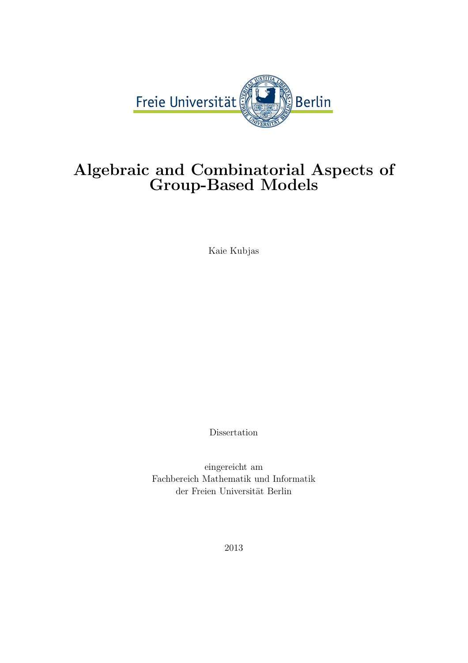

### Algebraic and Combinatorial Aspects of Group-Based Models

Kaie Kubjas

Dissertation

eingereicht am Fachbereich Mathematik und Informatik der Freien Universität Berlin

2013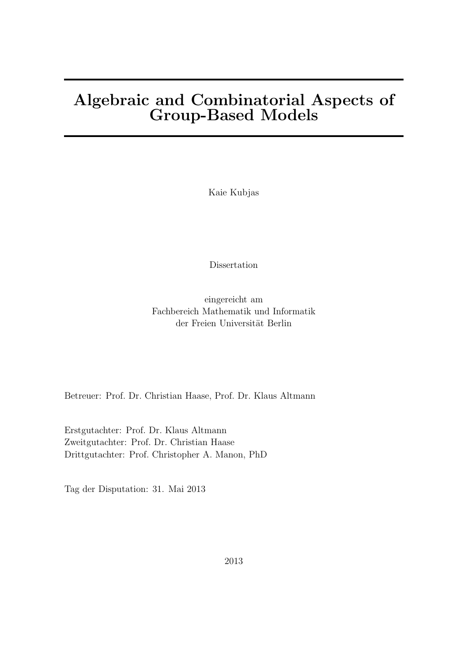### Algebraic and Combinatorial Aspects of Group-Based Models

Kaie Kubjas

Dissertation

eingereicht am Fachbereich Mathematik und Informatik der Freien Universität Berlin

Betreuer: Prof. Dr. Christian Haase, Prof. Dr. Klaus Altmann

Erstgutachter: Prof. Dr. Klaus Altmann Zweitgutachter: Prof. Dr. Christian Haase Drittgutachter: Prof. Christopher A. Manon, PhD

Tag der Disputation: 31. Mai 2013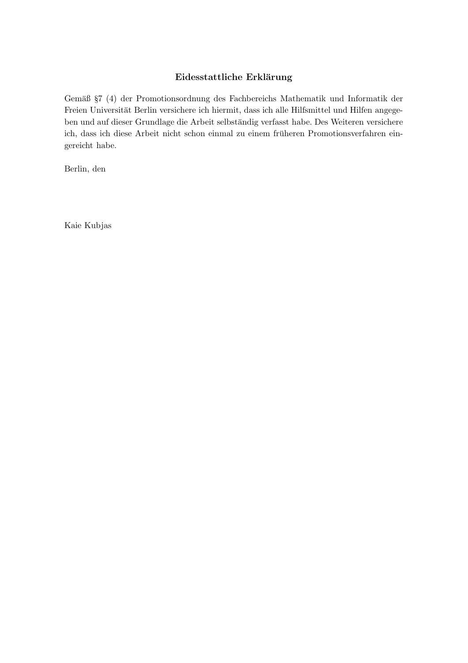### Eidesstattliche Erklärung

Gemäß §7 (4) der Promotionsordnung des Fachbereichs Mathematik und Informatik der Freien Universität Berlin versichere ich hiermit, dass ich alle Hilfsmittel und Hilfen angegeben und auf dieser Grundlage die Arbeit selbständig verfasst habe. Des Weiteren versichere ich, dass ich diese Arbeit nicht schon einmal zu einem früheren Promotionsverfahren eingereicht habe.

Berlin, den

Kaie Kubjas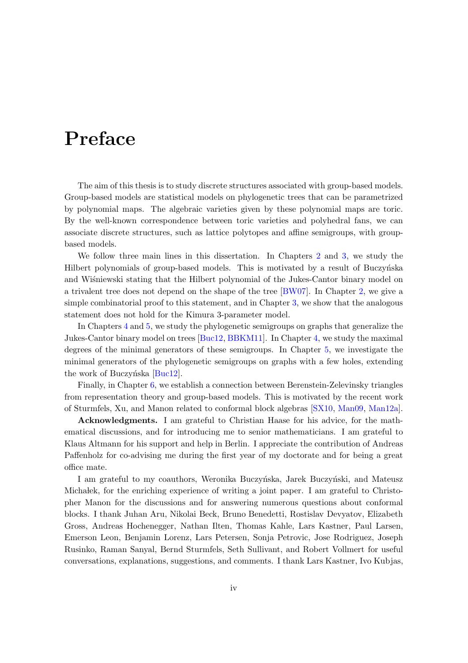## Preface

The aim of this thesis is to study discrete structures associated with group-based models. Group-based models are statistical models on phylogenetic trees that can be parametrized by polynomial maps. The algebraic varieties given by these polynomial maps are toric. By the well-known correspondence between toric varieties and polyhedral fans, we can associate discrete structures, such as lattice polytopes and affine semigroups, with groupbased models.

We follow three main lines in this dissertation. In Chapters [2](#page-22-0) and [3,](#page-33-0) we study the Hilbert polynomials of group-based models. This is motivated by a result of Buczyńska and Wisniewski stating that the Hilbert polynomial of the Jukes-Cantor binary model on a trivalent tree does not depend on the shape of the tree [\[BW07\]](#page-88-0). In Chapter [2,](#page-22-0) we give a simple combinatorial proof to this statement, and in Chapter [3,](#page-33-0) we show that the analogous statement does not hold for the Kimura 3-parameter model.

In Chapters [4](#page-38-0) and [5,](#page-48-0) we study the phylogenetic semigroups on graphs that generalize the Jukes-Cantor binary model on trees [\[Buc12,](#page-88-1) [BBKM11\]](#page-88-2). In Chapter [4,](#page-38-0) we study the maximal degrees of the minimal generators of these semigroups. In Chapter [5,](#page-48-0) we investigate the minimal generators of the phylogenetic semigroups on graphs with a few holes, extending the work of Buczyńska  $[Buc12]$ .

Finally, in Chapter [6,](#page-69-0) we establish a connection between Berenstein-Zelevinsky triangles from representation theory and group-based models. This is motivated by the recent work of Sturmfels, Xu, and Manon related to conformal block algebras [\[SX10,](#page-91-0) [Man09,](#page-90-0) [Man12a\]](#page-90-1).

Acknowledgments. I am grateful to Christian Haase for his advice, for the mathematical discussions, and for introducing me to senior mathematicians. I am grateful to Klaus Altmann for his support and help in Berlin. I appreciate the contribution of Andreas Paffenholz for co-advising me during the first year of my doctorate and for being a great office mate.

I am grateful to my coauthors, Weronika Buczyńska, Jarek Buczyński, and Mateusz Micha lek, for the enriching experience of writing a joint paper. I am grateful to Christopher Manon for the discussions and for answering numerous questions about conformal blocks. I thank Juhan Aru, Nikolai Beck, Bruno Benedetti, Rostislav Devyatov, Elizabeth Gross, Andreas Hochenegger, Nathan Ilten, Thomas Kahle, Lars Kastner, Paul Larsen, Emerson Leon, Benjamin Lorenz, Lars Petersen, Sonja Petrovic, Jose Rodriguez, Joseph Rusinko, Raman Sanyal, Bernd Sturmfels, Seth Sullivant, and Robert Vollmert for useful conversations, explanations, suggestions, and comments. I thank Lars Kastner, Ivo Kubjas,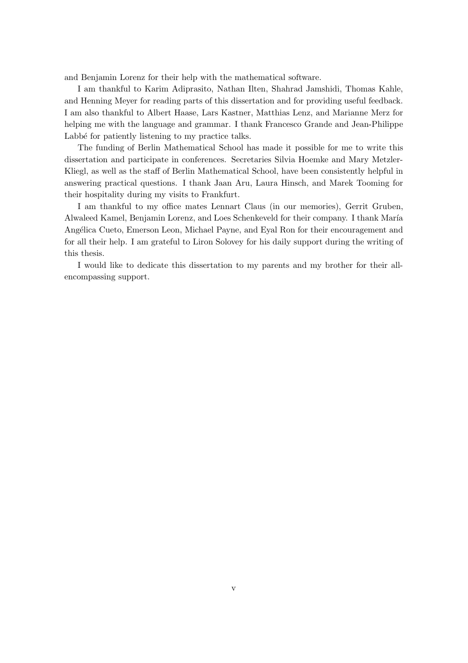and Benjamin Lorenz for their help with the mathematical software.

I am thankful to Karim Adiprasito, Nathan Ilten, Shahrad Jamshidi, Thomas Kahle, and Henning Meyer for reading parts of this dissertation and for providing useful feedback. I am also thankful to Albert Haase, Lars Kastner, Matthias Lenz, and Marianne Merz for helping me with the language and grammar. I thank Francesco Grande and Jean-Philippe Labbé for patiently listening to my practice talks.

The funding of Berlin Mathematical School has made it possible for me to write this dissertation and participate in conferences. Secretaries Silvia Hoemke and Mary Metzler-Kliegl, as well as the staff of Berlin Mathematical School, have been consistently helpful in answering practical questions. I thank Jaan Aru, Laura Hinsch, and Marek Tooming for their hospitality during my visits to Frankfurt.

I am thankful to my office mates Lennart Claus (in our memories), Gerrit Gruben, Alwaleed Kamel, Benjamin Lorenz, and Loes Schenkeveld for their company. I thank María Angélica Cueto, Emerson Leon, Michael Payne, and Eyal Ron for their encouragement and for all their help. I am grateful to Liron Solovey for his daily support during the writing of this thesis.

I would like to dedicate this dissertation to my parents and my brother for their allencompassing support.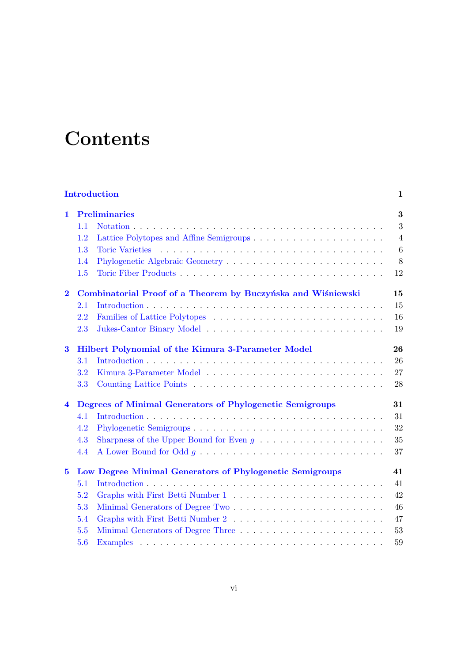# <span id="page-6-0"></span>**Contents**

| <b>Introduction</b><br>1 |                                                          |                                                              |                |  |
|--------------------------|----------------------------------------------------------|--------------------------------------------------------------|----------------|--|
| 1.                       |                                                          | <b>Preliminaries</b>                                         |                |  |
|                          | 1.1                                                      |                                                              | 3              |  |
|                          | 1.2                                                      |                                                              | $\overline{4}$ |  |
|                          | 1.3                                                      |                                                              | 6              |  |
|                          | 1.4                                                      |                                                              | $8\,$          |  |
|                          | 1.5                                                      |                                                              | 12             |  |
| $\bf{2}$                 |                                                          | Combinatorial Proof of a Theorem by Buczyńska and Wiśniewski | 15             |  |
|                          | 2.1                                                      |                                                              | 15             |  |
|                          | 2.2                                                      |                                                              | 16             |  |
|                          | 2.3                                                      |                                                              | 19             |  |
| $\bf{3}$                 | Hilbert Polynomial of the Kimura 3-Parameter Model       |                                                              |                |  |
|                          | 3.1                                                      |                                                              | 26             |  |
|                          | 3.2                                                      |                                                              | 27             |  |
|                          | 3.3                                                      |                                                              | 28             |  |
| 4                        |                                                          | Degrees of Minimal Generators of Phylogenetic Semigroups     | 31             |  |
|                          | 4.1                                                      |                                                              | 31             |  |
|                          | 4.2                                                      |                                                              | 32             |  |
|                          | 4.3                                                      |                                                              | 35             |  |
|                          | 4.4                                                      |                                                              | 37             |  |
| $\bf{5}$                 | Low Degree Minimal Generators of Phylogenetic Semigroups |                                                              | 41             |  |
|                          | 5.1                                                      |                                                              | 41             |  |
|                          | 5.2                                                      |                                                              | 42             |  |
|                          | 5.3                                                      |                                                              | 46             |  |
|                          | 5.4                                                      |                                                              | 47             |  |
|                          | 5.5                                                      |                                                              | 53             |  |
|                          | 5.6                                                      |                                                              | 59             |  |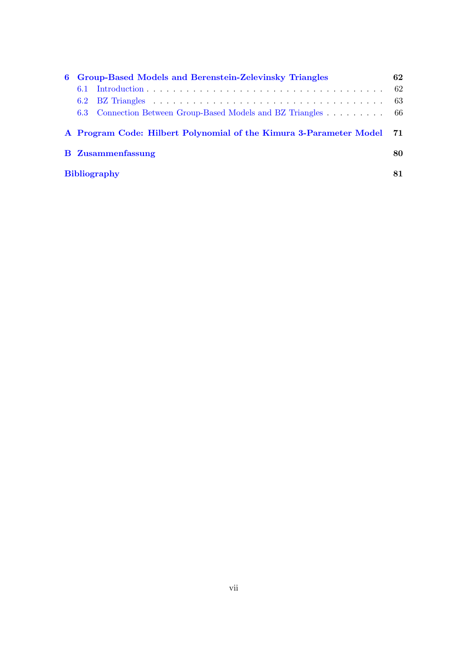| 6 | <b>Group-Based Models and Berenstein-Zelevinsky Triangles</b>         |     |  |  |
|---|-----------------------------------------------------------------------|-----|--|--|
|   | 6.1                                                                   | 62  |  |  |
|   |                                                                       | -63 |  |  |
|   | 6.3 Connection Between Group-Based Models and BZ Triangles 66         |     |  |  |
|   | A Program Code: Hilbert Polynomial of the Kimura 3-Parameter Model 71 |     |  |  |
|   | <b>B</b> Zusammenfassung                                              |     |  |  |
|   | <b>Bibliography</b>                                                   |     |  |  |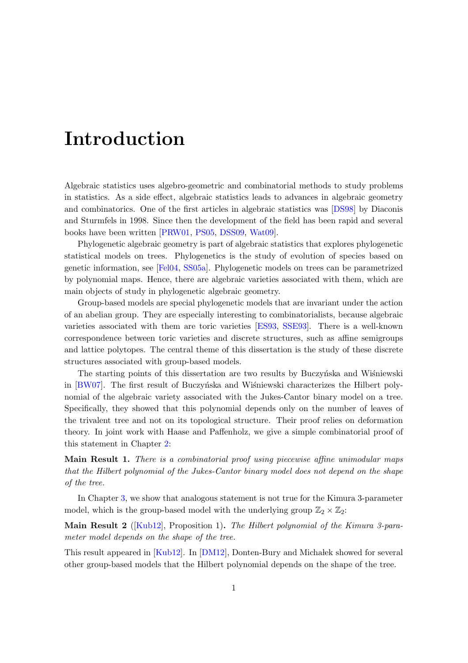## Introduction

Algebraic statistics uses algebro-geometric and combinatorial methods to study problems in statistics. As a side effect, algebraic statistics leads to advances in algebraic geometry and combinatorics. One of the first articles in algebraic statistics was [\[DS98\]](#page-88-3) by Diaconis and Sturmfels in 1998. Since then the development of the field has been rapid and several books have been written [\[PRW01,](#page-91-1) [PS05,](#page-91-2) [DSS09,](#page-89-0) [Wat09\]](#page-91-3).

Phylogenetic algebraic geometry is part of algebraic statistics that explores phylogenetic statistical models on trees. Phylogenetics is the study of evolution of species based on genetic information, see [\[Fel04,](#page-89-1) [SS05a\]](#page-91-4). Phylogenetic models on trees can be parametrized by polynomial maps. Hence, there are algebraic varieties associated with them, which are main objects of study in phylogenetic algebraic geometry.

Group-based models are special phylogenetic models that are invariant under the action of an abelian group. They are especially interesting to combinatorialists, because algebraic varieties associated with them are toric varieties [\[ES93,](#page-89-2) [SSE93\]](#page-91-5). There is a well-known correspondence between toric varieties and discrete structures, such as affine semigroups and lattice polytopes. The central theme of this dissertation is the study of these discrete structures associated with group-based models.

The starting points of this dissertation are two results by Buczynska and Wisniewski in [\[BW07\]](#page-88-0). The first result of Buczyńska and Wisniewski characterizes the Hilbert polynomial of the algebraic variety associated with the Jukes-Cantor binary model on a tree. Specifically, they showed that this polynomial depends only on the number of leaves of the trivalent tree and not on its topological structure. Their proof relies on deformation theory. In joint work with Haase and Paffenholz, we give a simple combinatorial proof of this statement in Chapter [2:](#page-22-0)

Main Result 1. There is a combinatorial proof using piecewise affine unimodular maps that the Hilbert polynomial of the Jukes-Cantor binary model does not depend on the shape of the tree.

In Chapter [3,](#page-33-0) we show that analogous statement is not true for the Kimura 3-parameter model, which is the group-based model with the underlying group  $\mathbb{Z}_2 \times \mathbb{Z}_2$ :

Main Result 2 ([\[Kub12\]](#page-90-2), Proposition 1). The Hilbert polynomial of the Kimura 3-parameter model depends on the shape of the tree.

This result appeared in [\[Kub12\]](#page-90-2). In [\[DM12\]](#page-88-4), Donten-Bury and Michalek showed for several other group-based models that the Hilbert polynomial depends on the shape of the tree.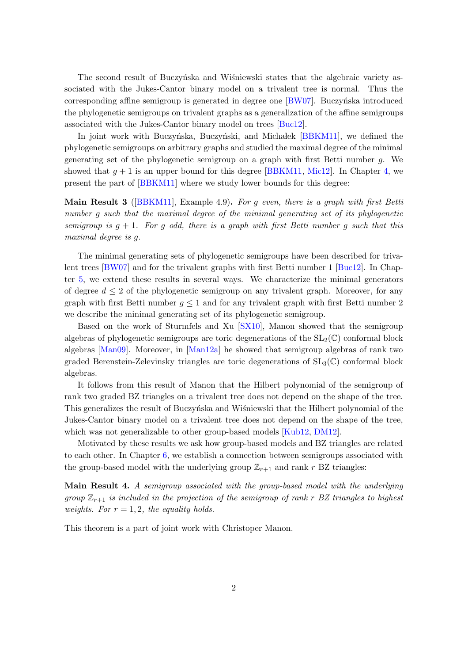The second result of Buczynska and Wisniewski states that the algebraic variety associated with the Jukes-Cantor binary model on a trivalent tree is normal. Thus the corresponding affine semigroup is generated in degree one  $[BW07]$ . Buczyńska introduced the phylogenetic semigroups on trivalent graphs as a generalization of the affine semigroups associated with the Jukes-Cantor binary model on trees [\[Buc12\]](#page-88-1).

In joint work with Buczyńska, Buczyński, and Michalek [\[BBKM11\]](#page-88-2), we defined the phylogenetic semigroups on arbitrary graphs and studied the maximal degree of the minimal generating set of the phylogenetic semigroup on a graph with first Betti number g. We showed that  $g + 1$  is an upper bound for this degree [\[BBKM11,](#page-88-2) [Mic12\]](#page-90-3). In Chapter [4,](#page-38-0) we present the part of [\[BBKM11\]](#page-88-2) where we study lower bounds for this degree:

**Main Result 3** ([\[BBKM11\]](#page-88-2), Example 4.9). For g even, there is a graph with first Betti number q such that the maximal degree of the minimal generating set of its phylogenetic semigroup is  $q + 1$ . For q odd, there is a graph with first Betti number q such that this maximal degree is g.

The minimal generating sets of phylogenetic semigroups have been described for trivalent trees [\[BW07\]](#page-88-0) and for the trivalent graphs with first Betti number 1 [\[Buc12\]](#page-88-1). In Chapter [5,](#page-48-0) we extend these results in several ways. We characterize the minimal generators of degree  $d \leq 2$  of the phylogenetic semigroup on any trivalent graph. Moreover, for any graph with first Betti number  $g \leq 1$  and for any trivalent graph with first Betti number 2 we describe the minimal generating set of its phylogenetic semigroup.

Based on the work of Sturmfels and Xu [\[SX10\]](#page-91-0), Manon showed that the semigroup algebras of phylogenetic semigroups are toric degenerations of the  $SL_2(\mathbb{C})$  conformal block algebras [\[Man09\]](#page-90-0). Moreover, in [\[Man12a\]](#page-90-1) he showed that semigroup algebras of rank two graded Berenstein-Zelevinsky triangles are toric degenerations of  $SL_3(\mathbb{C})$  conformal block algebras.

It follows from this result of Manon that the Hilbert polynomial of the semigroup of rank two graded BZ triangles on a trivalent tree does not depend on the shape of the tree. This generalizes the result of Buczyńska and Wisniewski that the Hilbert polynomial of the Jukes-Cantor binary model on a trivalent tree does not depend on the shape of the tree, which was not generalizable to other group-based models  $\kappa$ Kub12, DM12.

Motivated by these results we ask how group-based models and BZ triangles are related to each other. In Chapter [6,](#page-69-0) we establish a connection between semigroups associated with the group-based model with the underlying group  $\mathbb{Z}_{r+1}$  and rank r BZ triangles:

Main Result 4. A semigroup associated with the group-based model with the underlying group  $\mathbb{Z}_{r+1}$  is included in the projection of the semigroup of rank r BZ triangles to highest weights. For  $r = 1, 2$ , the equality holds.

This theorem is a part of joint work with Christoper Manon.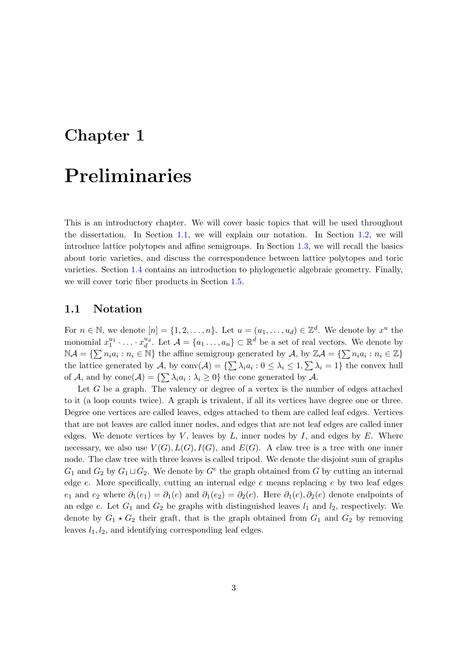# <span id="page-10-0"></span>Chapter 1

## Preliminaries

This is an introductory chapter. We will cover basic topics that will be used throughout the dissertation. In Section [1.1,](#page-10-1) we will explain our notation. In Section [1.2,](#page-11-0) we will introduce lattice polytopes and affine semigroups. In Section [1.3,](#page-13-0) we will recall the basics about toric varieties, and discuss the correspondence between lattice polytopes and toric varieties. Section [1.4](#page-15-0) contains an introduction to phylogenetic algebraic geometry. Finally, we will cover toric fiber products in Section [1.5.](#page-19-0)

### <span id="page-10-1"></span>1.1 Notation

For  $n \in \mathbb{N}$ , we denote  $[n] = \{1, 2, ..., n\}$ . Let  $u = (u_1, ..., u_d) \in \mathbb{Z}^d$ . We denote by  $x^u$  the monomial  $x_1^{u_1} \cdot \ldots \cdot x_d^{u_d}$ . Let  $\mathcal{A} = \{a_1 \ldots, a_n\} \subset \mathbb{R}^d$  be a set of real vectors. We denote by  $\mathbb{N} \mathcal{A} = \{ \sum n_i a_i : n_i \in \mathbb{N} \}$  the affine semigroup generated by  $\mathcal{A}$ , by  $\mathbb{Z} \mathcal{A} = \{ \sum n_i a_i : n_i \in \mathbb{Z} \}$ the lattice generated by A, by  $\text{conv}(\mathcal{A}) = \{\sum \lambda_i a_i : 0 \leq \lambda_i \leq 1, \sum \lambda_i = 1\}$  the convex hull of A, and by  $cone(\mathcal{A}) = \{\sum \lambda_i a_i : \lambda_i \geq 0\}$  the cone generated by A.

Let  $G$  be a graph. The valency or degree of a vertex is the number of edges attached to it (a loop counts twice). A graph is trivalent, if all its vertices have degree one or three. Degree one vertices are called leaves, edges attached to them are called leaf edges. Vertices that are not leaves are called inner nodes, and edges that are not leaf edges are called inner edges. We denote vertices by  $V$ , leaves by  $L$ , inner nodes by  $I$ , and edges by  $E$ . Where necessary, we also use  $V(G)$ ,  $L(G)$ ,  $I(G)$ , and  $E(G)$ . A claw tree is a tree with one inner node. The claw tree with three leaves is called tripod. We denote the disjoint sum of graphs  $G_1$  and  $G_2$  by  $G_1 \sqcup G_2$ . We denote by  $G^e$  the graph obtained from G by cutting an internal edge  $e$ . More specifically, cutting an internal edge  $e$  means replacing  $e$  by two leaf edges  $e_1$  and  $e_2$  where  $\partial_1(e_1) = \partial_1(e)$  and  $\partial_1(e_2) = \partial_2(e)$ . Here  $\partial_1(e), \partial_2(e)$  denote endpoints of an edge e. Let  $G_1$  and  $G_2$  be graphs with distinguished leaves  $l_1$  and  $l_2$ , respectively. We denote by  $G_1 \star G_2$  their graft, that is the graph obtained from  $G_1$  and  $G_2$  by removing leaves  $l_1, l_2$ , and identifying corresponding leaf edges.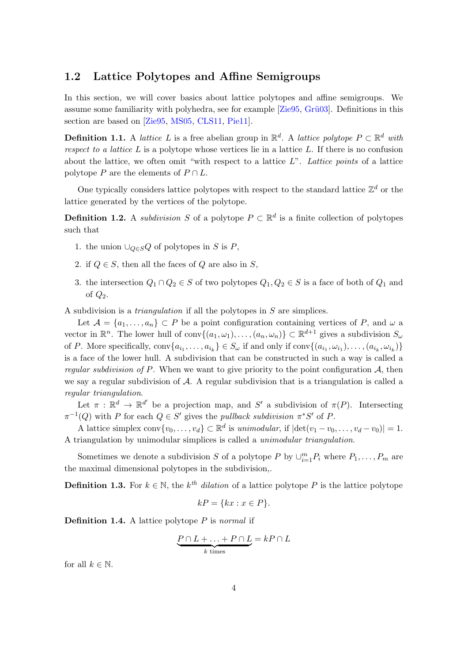### <span id="page-11-0"></span>1.2 Lattice Polytopes and Affine Semigroups

In this section, we will cover basics about lattice polytopes and affine semigroups. We assume some familiarity with polyhedra, see for example  $[Zie95, Gri03]$ . Definitions in this section are based on [\[Zie95,](#page-91-6) [MS05,](#page-90-4) [CLS11,](#page-88-5) [Pie11\]](#page-91-7).

**Definition 1.1.** A lattice L is a free abelian group in  $\mathbb{R}^d$ . A lattice polytope  $P \subset \mathbb{R}^d$  with respect to a lattice  $L$  is a polytope whose vertices lie in a lattice  $L$ . If there is no confusion about the lattice, we often omit "with respect to a lattice  $L$ ". Lattice points of a lattice polytope P are the elements of  $P \cap L$ .

One typically considers lattice polytopes with respect to the standard lattice  $\mathbb{Z}^d$  or the lattice generated by the vertices of the polytope.

**Definition 1.2.** A subdivision S of a polytope  $P \subset \mathbb{R}^d$  is a finite collection of polytopes such that

- 1. the union  $\bigcup_{Q\in S}Q$  of polytopes in S is P,
- 2. if  $Q \in S$ , then all the faces of Q are also in S,
- 3. the intersection  $Q_1 \cap Q_2 \in S$  of two polytopes  $Q_1, Q_2 \in S$  is a face of both of  $Q_1$  and of  $Q_2$ .

A subdivision is a triangulation if all the polytopes in S are simplices.

Let  $\mathcal{A} = \{a_1, \ldots, a_n\} \subset P$  be a point configuration containing vertices of P, and  $\omega$  a vector in  $\mathbb{R}^n$ . The lower hull of conv $\{(a_1,\omega_1),\ldots,(a_n,\omega_n)\}\subset\mathbb{R}^{d+1}$  gives a subdivision  $S_{\omega}$ of P. More specifically,  $conv\{a_{i_1},...,a_{i_k}\}\in S_\omega$  if and only if  $conv\{(a_{i_1},\omega_{i_1}),\ldots,(a_{i_k},\omega_{i_k})\}$ is a face of the lower hull. A subdivision that can be constructed in such a way is called a regular subdivision of P. When we want to give priority to the point configuration  $A$ , then we say a regular subdivision of A. A regular subdivision that is a triangulation is called a regular triangulation.

Let  $\pi : \mathbb{R}^d \to \mathbb{R}^{d'}$  be a projection map, and S' a subdivision of  $\pi(P)$ . Intersecting  $\pi^{-1}(Q)$  with P for each  $Q \in S'$  gives the *pullback subdivision*  $\pi^*S'$  of P.

A lattice simplex  $conv\{v_0, \ldots, v_d\} \subset \mathbb{R}^d$  is unimodular, if  $|det(v_1 - v_0, \ldots, v_d - v_0)| = 1$ . A triangulation by unimodular simplices is called a unimodular triangulation.

Sometimes we denote a subdivision S of a polytope P by  $\cup_{i=1}^{m} P_i$  where  $P_1, \ldots, P_m$  are the maximal dimensional polytopes in the subdivision,.

**Definition 1.3.** For  $k \in \mathbb{N}$ , the  $k^{th}$  dilation of a lattice polytope P is the lattice polytope

$$
kP = \{kx : x \in P\}.
$$

**Definition 1.4.** A lattice polytope  $P$  is normal if

$$
\underbrace{P \cap L + \ldots + P \cap L}_{k \text{ times}} = kP \cap L
$$

for all  $k \in \mathbb{N}$ .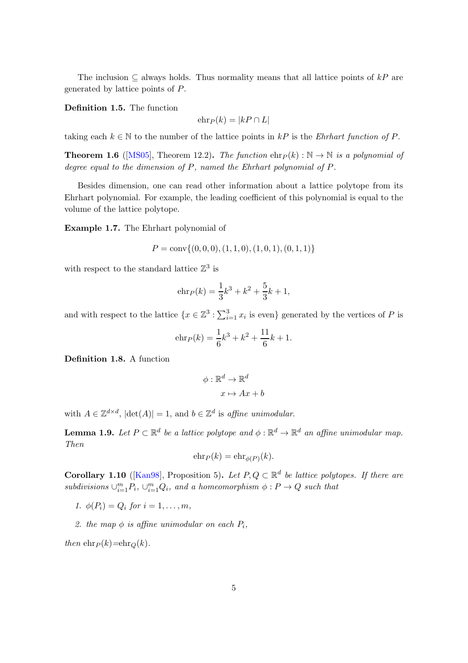The inclusion  $\subseteq$  always holds. Thus normality means that all lattice points of kP are generated by lattice points of P.

Definition 1.5. The function

$$
\operatorname{ehr}_P(k) = |kP \cap L|
$$

taking each  $k \in \mathbb{N}$  to the number of the lattice points in kP is the Ehrhart function of P.

**Theorem 1.6** ([\[MS05\]](#page-90-4), Theorem 12.2). The function  $\text{ehr}_P(k) : \mathbb{N} \to \mathbb{N}$  is a polynomial of degree equal to the dimension of P, named the Ehrhart polynomial of P.

Besides dimension, one can read other information about a lattice polytope from its Ehrhart polynomial. For example, the leading coefficient of this polynomial is equal to the volume of the lattice polytope.

<span id="page-12-0"></span>Example 1.7. The Ehrhart polynomial of

$$
P = \text{conv}\{(0,0,0), (1,1,0), (1,0,1), (0,1,1)\}
$$

with respect to the standard lattice  $\mathbb{Z}^3$  is

$$
e \ln P(k) = \frac{1}{3}k^3 + k^2 + \frac{5}{3}k + 1,
$$

and with respect to the lattice  $\{x \in \mathbb{Z}^3 : \sum_{i=1}^3 x_i \text{ is even}\}$  generated by the vertices of P is

$$
e \ln P(k) = \frac{1}{6}k^3 + k^2 + \frac{11}{6}k + 1.
$$

Definition 1.8. A function

$$
\phi : \mathbb{R}^d \to \mathbb{R}^d
$$

$$
x \mapsto Ax + b
$$

with  $A \in \mathbb{Z}^{d \times d}$ ,  $|\det(A)| = 1$ , and  $b \in \mathbb{Z}^d$  is affine unimodular.

**Lemma 1.9.** Let  $P \subset \mathbb{R}^d$  be a lattice polytope and  $\phi : \mathbb{R}^d \to \mathbb{R}^d$  an affine unimodular map. Then

$$
\operatorname{ehr}_P(k) = \operatorname{ehr}_{\phi(P)}(k).
$$

**Corollary 1.10** ([\[Kan98\]](#page-90-5), Proposition 5). Let  $P, Q \subset \mathbb{R}^d$  be lattice polytopes. If there are  $subdivisions \cup_{i=1}^{m} P_i, \cup_{i=1}^{m} Q_i$ , and a homeomorphism  $\phi : P \to Q$  such that

- 1.  $\phi(P_i) = Q_i \text{ for } i = 1, ..., m,$
- 2. the map  $\phi$  is affine unimodular on each  $P_i$ ,

then  $\text{ehr}_P(k)=\text{ehr}_Q(k)$ .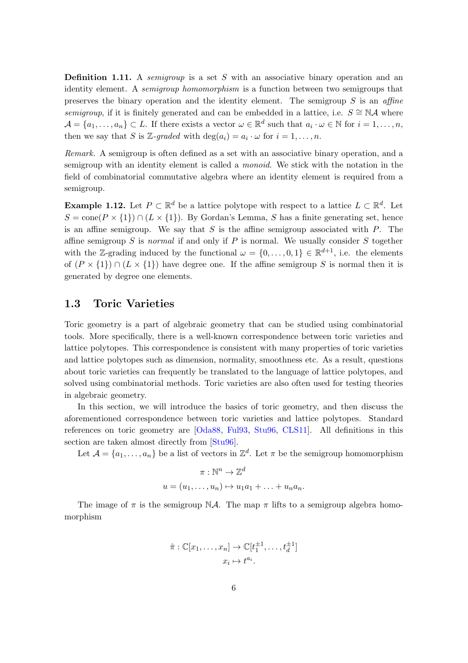**Definition 1.11.** A *semigroup* is a set S with an associative binary operation and an identity element. A *semigroup homomorphism* is a function between two semigroups that preserves the binary operation and the identity element. The semigroup  $S$  is an affine semigroup, if it is finitely generated and can be embedded in a lattice, i.e.  $S \cong N\mathcal{A}$  where  $\mathcal{A} = \{a_1, \ldots, a_n\} \subset L$ . If there exists a vector  $\omega \in \mathbb{R}^d$  such that  $a_i \cdot \omega \in \mathbb{N}$  for  $i = 1, \ldots, n$ , then we say that S is Z-graded with  $\deg(a_i) = a_i \cdot \omega$  for  $i = 1, \ldots, n$ .

Remark. A semigroup is often defined as a set with an associative binary operation, and a semigroup with an identity element is called a *monoid*. We stick with the notation in the field of combinatorial commutative algebra where an identity element is required from a semigroup.

**Example 1.12.** Let  $P \subset \mathbb{R}^d$  be a lattice polytope with respect to a lattice  $L \subset \mathbb{R}^d$ . Let  $S = \text{cone}(P \times \{1\}) \cap (L \times \{1\})$ . By Gordan's Lemma, S has a finite generating set, hence is an affine semigroup. We say that  $S$  is the affine semigroup associated with  $P$ . The affine semigroup  $S$  is normal if and only if  $P$  is normal. We usually consider  $S$  together with the Z-grading induced by the functional  $\omega = \{0, \ldots, 0, 1\} \in \mathbb{R}^{d+1}$ , i.e. the elements of  $(P \times \{1\}) \cap (L \times \{1\})$  have degree one. If the affine semigroup S is normal then it is generated by degree one elements.

### <span id="page-13-0"></span>1.3 Toric Varieties

Toric geometry is a part of algebraic geometry that can be studied using combinatorial tools. More specifically, there is a well-known correspondence between toric varieties and lattice polytopes. This correspondence is consistent with many properties of toric varieties and lattice polytopes such as dimension, normality, smoothness etc. As a result, questions about toric varieties can frequently be translated to the language of lattice polytopes, and solved using combinatorial methods. Toric varieties are also often used for testing theories in algebraic geometry.

In this section, we will introduce the basics of toric geometry, and then discuss the aforementioned correspondence between toric varieties and lattice polytopes. Standard references on toric geometry are [\[Oda88,](#page-91-8) [Ful93,](#page-89-4) [Stu96,](#page-91-9) [CLS11\]](#page-88-5). All definitions in this section are taken almost directly from [\[Stu96\]](#page-91-9).

Let  $\mathcal{A} = \{a_1, \ldots, a_n\}$  be a list of vectors in  $\mathbb{Z}^d$ . Let  $\pi$  be the semigroup homomorphism

$$
\pi : \mathbb{N}^n \to \mathbb{Z}^d
$$
  

$$
u = (u_1, \dots, u_n) \mapsto u_1 a_1 + \dots + u_n a_n.
$$

The image of  $\pi$  is the semigroup NA. The map  $\pi$  lifts to a semigroup algebra homomorphism

$$
\hat{\pi}: \mathbb{C}[x_1,\ldots,x_n] \to \mathbb{C}[t_1^{\pm 1},\ldots,t_d^{\pm 1}]
$$

$$
x_i \mapsto t^{a_i}.
$$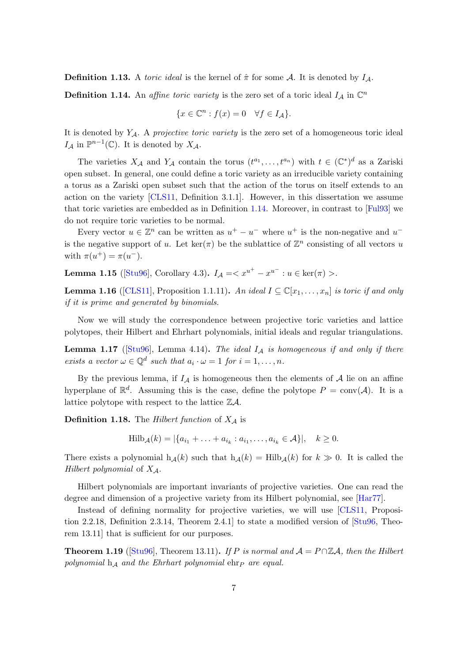**Definition 1.13.** A toric ideal is the kernel of  $\hat{\pi}$  for some A. It is denoted by  $I_A$ .

<span id="page-14-0"></span>**Definition 1.14.** An affine toric variety is the zero set of a toric ideal  $I_A$  in  $\mathbb{C}^n$ 

$$
\{x \in \mathbb{C}^n : f(x) = 0 \quad \forall f \in I_{\mathcal{A}}\}.
$$

It is denoted by  $Y_{\mathcal{A}}$ . A *projective toric variety* is the zero set of a homogeneous toric ideal  $I_{\mathcal{A}}$  in  $\mathbb{P}^{n-1}(\mathbb{C})$ . It is denoted by  $X_{\mathcal{A}}$ .

The varieties  $X_{\mathcal{A}}$  and  $Y_{\mathcal{A}}$  contain the torus  $(t^{a_1},...,t^{a_n})$  with  $t \in (\mathbb{C}^*)^d$  as a Zariski open subset. In general, one could define a toric variety as an irreducible variety containing a torus as a Zariski open subset such that the action of the torus on itself extends to an action on the variety [\[CLS11,](#page-88-5) Definition 3.1.1]. However, in this dissertation we assume that toric varieties are embedded as in Definition [1.14.](#page-14-0) Moreover, in contrast to [\[Ful93\]](#page-89-4) we do not require toric varieties to be normal.

Every vector  $u \in \mathbb{Z}^n$  can be written as  $u^+ - u^-$  where  $u^+$  is the non-negative and  $u^$ is the negative support of u. Let  $\ker(\pi)$  be the sublattice of  $\mathbb{Z}^n$  consisting of all vectors u with  $\pi(u^{+}) = \pi(u^{-})$ .

**Lemma 1.15** ([\[Stu96\]](#page-91-9), Corollary 4.3).  $I_A = :  $u \in \text{ker}(\pi) >$ .$ 

**Lemma 1.16** ([\[CLS11\]](#page-88-5), Proposition 1.1.11). An ideal  $I \subseteq \mathbb{C}[x_1,\ldots,x_n]$  is toric if and only if it is prime and generated by binomials.

Now we will study the correspondence between projective toric varieties and lattice polytopes, their Hilbert and Ehrhart polynomials, initial ideals and regular triangulations.

<span id="page-14-1"></span>**Lemma 1.17** ([\[Stu96\]](#page-91-9), Lemma 4.14). The ideal  $I_A$  is homogeneous if and only if there exists a vector  $\omega \in \mathbb{Q}^d$  such that  $a_i \cdot \omega = 1$  for  $i = 1, \ldots, n$ .

By the previous lemma, if  $I_A$  is homogeneous then the elements of A lie on an affine hyperplane of  $\mathbb{R}^d$ . Assuming this is the case, define the polytope  $P = \text{conv}(\mathcal{A})$ . It is a lattice polytope with respect to the lattice  $\mathbb{Z}A$ .

**Definition 1.18.** The Hilbert function of  $X_A$  is

 $\text{Hilb}_{\mathcal{A}}(k) = |\{a_{i_1} + \ldots + a_{i_k} : a_{i_1}, \ldots, a_{i_k} \in \mathcal{A}\}|, \quad k \geq 0.$ 

There exists a polynomial  $h_{\mathcal{A}}(k)$  such that  $h_{\mathcal{A}}(k) = Hilb_{\mathcal{A}}(k)$  for  $k \gg 0$ . It is called the Hilbert polynomial of  $X_{\mathcal{A}}$ .

Hilbert polynomials are important invariants of projective varieties. One can read the degree and dimension of a projective variety from its Hilbert polynomial, see [\[Har77\]](#page-89-5).

Instead of defining normality for projective varieties, we will use [\[CLS11,](#page-88-5) Proposition 2.2.18, Definition 2.3.14, Theorem 2.4.1] to state a modified version of [\[Stu96,](#page-91-9) Theorem 13.11] that is sufficient for our purposes.

<span id="page-14-2"></span>**Theorem 1.19** ([\[Stu96\]](#page-91-9), Theorem 13.11). If P is normal and  $A = P \cap \mathbb{Z}A$ , then the Hilbert polynomial  $h_A$  and the Ehrhart polynomial  $e$ hr $\bar{P}$  are equal.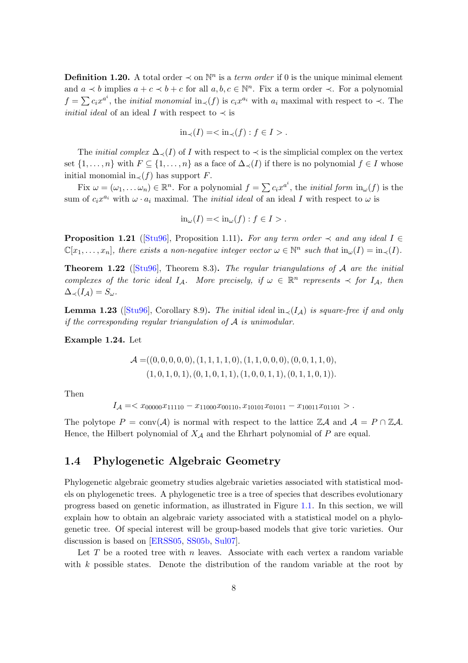**Definition 1.20.** A total order  $\prec$  on  $\mathbb{N}^n$  is a *term order* if 0 is the unique minimal element and  $a \prec b$  implies  $a + c \prec b + c$  for all  $a, b, c \in \mathbb{N}^n$ . Fix a term order  $\prec$ . For a polynomial  $f = \sum c_i x^{a^i}$ , the *initial monomial* in<sub>≺</sub>(f) is  $c_i x^{a_i}$  with  $a_i$  maximal with respect to  $\prec$ . The *initial ideal* of an ideal I with respect to  $\prec$  is

$$
\text{in}_{\prec}(I) = \langle \text{in}_{\prec}(f) : f \in I \rangle.
$$

The *initial complex*  $\Delta$ <sub> $\prec$ </sub>(*I*) of *I* with respect to  $\prec$  is the simplicial complex on the vertex set  $\{1,\ldots,n\}$  with  $F \subseteq \{1,\ldots,n\}$  as a face of  $\Delta_{\prec}(I)$  if there is no polynomial  $f \in I$  whose initial monomial in $\chi(f)$  has support F.

Fix  $\omega = (\omega_1, \dots \omega_n) \in \mathbb{R}^n$ . For a polynomial  $f = \sum c_i x^{a^i}$ , the *initial form*  $\text{in}_{\omega}(f)$  is the sum of  $c_i x^{a_i}$  with  $\omega \cdot a_i$  maximal. The *initial ideal* of an ideal I with respect to  $\omega$  is

$$
\text{in}_{\omega}(I) = \langle \text{in}_{\omega}(f) : f \in I \rangle.
$$

**Proposition 1.21** ([\[Stu96\]](#page-91-9), Proposition 1.11). For any term order  $\prec$  and any ideal I  $\in$  $\mathbb{C}[x_1,\ldots,x_n]$ , there exists a non-negative integer vector  $\omega \in \mathbb{N}^n$  such that  $\text{in}_{\omega}(I) = \text{in}_{\prec}(I)$ .

**Theorem 1.22** ([\[Stu96\]](#page-91-9), Theorem 8.3). The regular triangulations of A are the initial complexes of the toric ideal  $I_A$ . More precisely, if  $\omega \in \mathbb{R}^n$  represents  $\prec$  for  $I_A$ , then  $\Delta_{\prec}(I_{\mathcal{A}}) = S_{\omega}.$ 

<span id="page-15-2"></span>Lemma 1.23 ([\[Stu96\]](#page-91-9), Corollary 8.9). The initial ideal in $\chi(I_A)$  is square-free if and only if the corresponding regular triangulation of  $A$  is unimodular.

<span id="page-15-1"></span>Example 1.24. Let

$$
\mathcal{A} = ((0,0,0,0,0), (1,1,1,1,0), (1,1,0,0,0), (0,0,1,1,0),(1,0,1,0,1), (0,1,0,1,1), (1,0,0,1,1), (0,1,1,0,1)).
$$

Then

$$
I_{\mathcal{A}} = \langle x_{00000} x_{11110} - x_{11000} x_{00110}, x_{10101} x_{01011} - x_{10011} x_{01101} \rangle.
$$

The polytope  $P = \text{conv}(\mathcal{A})$  is normal with respect to the lattice  $\mathbb{Z}\mathcal{A}$  and  $\mathcal{A} = P \cap \mathbb{Z}\mathcal{A}$ . Hence, the Hilbert polynomial of  $X_{\mathcal{A}}$  and the Ehrhart polynomial of P are equal.

### <span id="page-15-0"></span>1.4 Phylogenetic Algebraic Geometry

Phylogenetic algebraic geometry studies algebraic varieties associated with statistical models on phylogenetic trees. A phylogenetic tree is a tree of species that describes evolutionary progress based on genetic information, as illustrated in Figure [1.1.](#page-16-0) In this section, we will explain how to obtain an algebraic variety associated with a statistical model on a phylogenetic tree. Of special interest will be group-based models that give toric varieties. Our discussion is based on [\[ERSS05,](#page-89-6) [SS05b,](#page-91-10) [Sul07\]](#page-91-11).

Let T be a rooted tree with n leaves. Associate with each vertex a random variable with k possible states. Denote the distribution of the random variable at the root by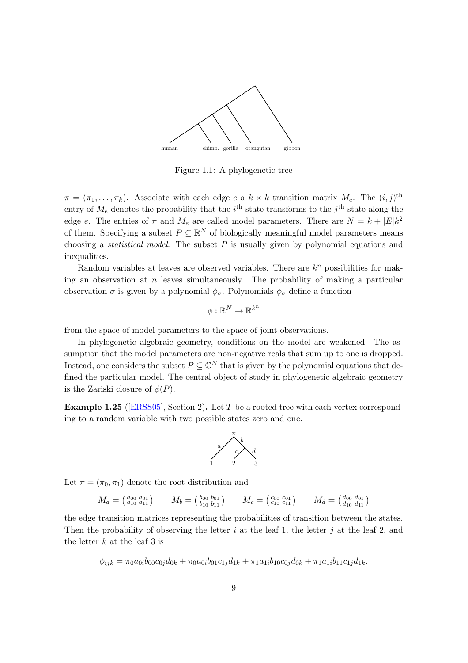<span id="page-16-0"></span>

Figure 1.1: A phylogenetic tree

 $\pi = (\pi_1, \ldots, \pi_k)$ . Associate with each edge e a  $k \times k$  transition matrix  $M_e$ . The  $(i, j)$ <sup>th</sup> entry of  $M_e$  denotes the probability that the  $i^{\text{th}}$  state transforms to the  $j^{\text{th}}$  state along the edge e. The entries of  $\pi$  and  $M_e$  are called model parameters. There are  $N = k + |E|k^2$ of them. Specifying a subset  $P \subseteq \mathbb{R}^N$  of biologically meaningful model parameters means choosing a *statistical model*. The subset  $P$  is usually given by polynomial equations and inequalities.

Random variables at leaves are observed variables. There are  $k<sup>n</sup>$  possibilities for making an observation at  $n$  leaves simultaneously. The probability of making a particular observation  $\sigma$  is given by a polynomial  $\phi_{\sigma}$ . Polynomials  $\phi_{\sigma}$  define a function

$$
\phi:\mathbb{R}^N\to\mathbb{R}^{k^n}
$$

from the space of model parameters to the space of joint observations.

In phylogenetic algebraic geometry, conditions on the model are weakened. The assumption that the model parameters are non-negative reals that sum up to one is dropped. Instead, one considers the subset  $P \subseteq \mathbb{C}^N$  that is given by the polynomial equations that defined the particular model. The central object of study in phylogenetic algebraic geometry is the Zariski closure of  $\phi(P)$ .

**Example 1.25** ([\[ERSS05\]](#page-89-6), Section 2). Let T be a rooted tree with each vertex corresponding to a random variable with two possible states zero and one.



Let  $\pi = (\pi_0, \pi_1)$  denote the root distribution and

$$
M_a = \begin{pmatrix} a_{00} & a_{01} \\ a_{10} & a_{11} \end{pmatrix} \qquad M_b = \begin{pmatrix} b_{00} & b_{01} \\ b_{10} & b_{11} \end{pmatrix} \qquad M_c = \begin{pmatrix} c_{00} & c_{01} \\ c_{10} & c_{11} \end{pmatrix} \qquad M_d = \begin{pmatrix} d_{00} & d_{01} \\ d_{10} & d_{11} \end{pmatrix}
$$

the edge transition matrices representing the probabilities of transition between the states. Then the probability of observing the letter i at the leaf 1, the letter j at the leaf 2, and the letter  $k$  at the leaf 3 is

$$
\phi_{ijk} = \pi_0 a_{0i} b_{00} c_{0j} d_{0k} + \pi_0 a_{0i} b_{01} c_{1j} d_{1k} + \pi_1 a_{1i} b_{10} c_{0j} d_{0k} + \pi_1 a_{1i} b_{11} c_{1j} d_{1k}.
$$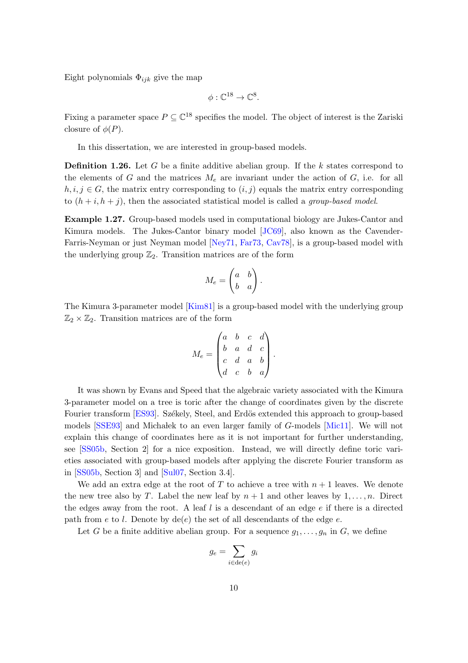Eight polynomials  $\Phi_{ijk}$  give the map

$$
\phi: \mathbb{C}^{18} \to \mathbb{C}^8.
$$

Fixing a parameter space  $P \subseteq \mathbb{C}^{18}$  specifies the model. The object of interest is the Zariski closure of  $\phi(P)$ .

In this dissertation, we are interested in group-based models.

**Definition 1.26.** Let G be a finite additive abelian group. If the k states correspond to the elements of G and the matrices  $M_e$  are invariant under the action of G, i.e. for all  $h, i, j \in G$ , the matrix entry corresponding to  $(i, j)$  equals the matrix entry corresponding to  $(h + i, h + j)$ , then the associated statistical model is called a *group-based model*.

Example 1.27. Group-based models used in computational biology are Jukes-Cantor and Kimura models. The Jukes-Cantor binary model [\[JC69\]](#page-90-6), also known as the Cavender-Farris-Neyman or just Neyman model [\[Ney71,](#page-90-7) [Far73,](#page-89-7) [Cav78\]](#page-88-6), is a group-based model with the underlying group  $\mathbb{Z}_2$ . Transition matrices are of the form

$$
M_e = \begin{pmatrix} a & b \\ b & a \end{pmatrix}.
$$

The Kimura 3-parameter model [\[Kim81\]](#page-90-8) is a group-based model with the underlying group  $\mathbb{Z}_2 \times \mathbb{Z}_2$ . Transition matrices are of the form

$$
M_e = \begin{pmatrix} a & b & c & d \\ b & a & d & c \\ c & d & a & b \\ d & c & b & a \end{pmatrix}.
$$

It was shown by Evans and Speed that the algebraic variety associated with the Kimura 3-parameter model on a tree is toric after the change of coordinates given by the discrete Fourier transform [\[ES93\]](#page-89-2). Székely, Steel, and Erdös extended this approach to group-based models  $[SSE93]$  and Michalek to an even larger family of  $G$ -models [\[Mic11\]](#page-90-9). We will not explain this change of coordinates here as it is not important for further understanding, see [\[SS05b,](#page-91-10) Section 2] for a nice exposition. Instead, we will directly define toric varieties associated with group-based models after applying the discrete Fourier transform as in [\[SS05b,](#page-91-10) Section 3] and [\[Sul07,](#page-91-11) Section 3.4].

We add an extra edge at the root of T to achieve a tree with  $n+1$  leaves. We denote the new tree also by T. Label the new leaf by  $n + 1$  and other leaves by  $1, \ldots, n$ . Direct the edges away from the root. A leaf  $l$  is a descendant of an edge  $e$  if there is a directed path from e to l. Denote by  $de(e)$  the set of all descendants of the edge e.

Let G be a finite additive abelian group. For a sequence  $g_1, \ldots, g_n$  in G, we define

$$
g_e = \sum_{i \in \text{de}(e)} g_i
$$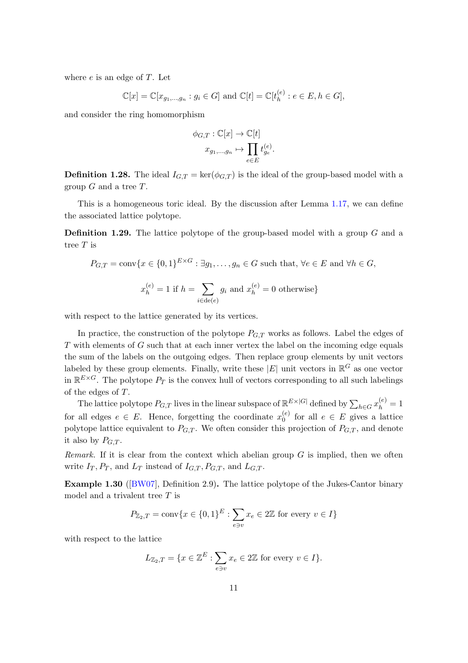where  $e$  is an edge of  $T$ . Let

$$
\mathbb{C}[x] = \mathbb{C}[x_{g_1,...,g_n} : g_i \in G]
$$
 and  $\mathbb{C}[t] = \mathbb{C}[t_h^{(e)} : e \in E, h \in G],$ 

and consider the ring homomorphism

$$
\phi_{G,T}: \mathbb{C}[x] \to \mathbb{C}[t]
$$

$$
x_{g_1,\dots,g_n} \mapsto \prod_{e \in E} t_{g_e}^{(e)}
$$

.

**Definition 1.28.** The ideal  $I_{G,T} = \text{ker}(\phi_{G,T})$  is the ideal of the group-based model with a group  $G$  and a tree  $T$ .

This is a homogeneous toric ideal. By the discussion after Lemma [1.17,](#page-14-1) we can define the associated lattice polytope.

**Definition 1.29.** The lattice polytope of the group-based model with a group  $G$  and a tree T is

$$
P_{G,T} = \text{conv}\{x \in \{0,1\}^{E \times G} : \exists g_1, \dots, g_n \in G \text{ such that, } \forall e \in E \text{ and } \forall h \in G,
$$

$$
x_h^{(e)} = 1 \text{ if } h = \sum_{i \in \text{de}(e)} g_i \text{ and } x_h^{(e)} = 0 \text{ otherwise}\}
$$

with respect to the lattice generated by its vertices.

In practice, the construction of the polytope  $P_{G,T}$  works as follows. Label the edges of T with elements of G such that at each inner vertex the label on the incoming edge equals the sum of the labels on the outgoing edges. Then replace group elements by unit vectors labeled by these group elements. Finally, write these  $|E|$  unit vectors in  $\mathbb{R}^G$  as one vector in  $\mathbb{R}^{E\times G}$ . The polytope  $P_T$  is the convex hull of vectors corresponding to all such labelings of the edges of T.

The lattice polytope  $P_{G,T}$  lives in the linear subspace of  $\mathbb{R}^{E\times |G|}$  defined by  $\sum_{h\in G} x_h^{(e)} = 1$ for all edges  $e \in E$ . Hence, forgetting the coordinate  $x_0^{(e)}$  $e^{(e)}$  for all  $e \in E$  gives a lattice polytope lattice equivalent to  $P_{G,T}$ . We often consider this projection of  $P_{G,T}$ , and denote it also by  $P_{G,T}$ .

*Remark.* If it is clear from the context which abelian group  $G$  is implied, then we often write  $I_T$ ,  $P_T$ , and  $L_T$  instead of  $I_{G,T}$ ,  $P_{G,T}$ , and  $L_{G,T}$ .

Example 1.30 ([\[BW07\]](#page-88-0), Definition 2.9). The lattice polytope of the Jukes-Cantor binary model and a trivalent tree  $T$  is

$$
P_{\mathbb{Z}_2,T} = \text{conv}\{x \in \{0,1\}^E : \sum_{e \ni v} x_e \in 2\mathbb{Z} \text{ for every } v \in I\}
$$

with respect to the lattice

$$
L_{\mathbb{Z}_2,T} = \{ x \in \mathbb{Z}^E : \sum_{e \ni v} x_e \in 2\mathbb{Z} \text{ for every } v \in I \}.
$$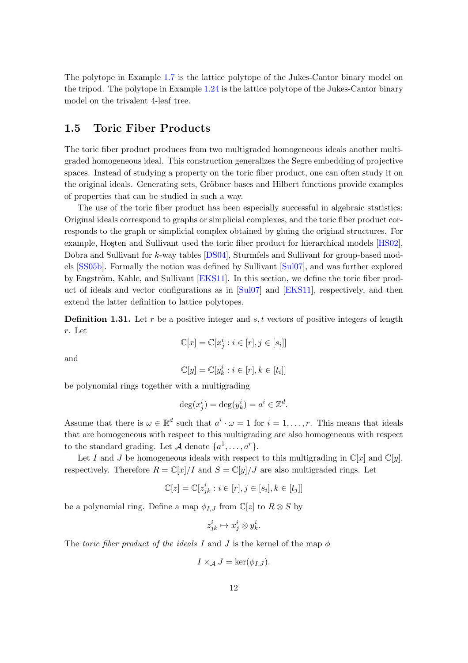The polytope in Example [1.7](#page-12-0) is the lattice polytope of the Jukes-Cantor binary model on the tripod. The polytope in Example [1.24](#page-15-1) is the lattice polytope of the Jukes-Cantor binary model on the trivalent 4-leaf tree.

### <span id="page-19-0"></span>1.5 Toric Fiber Products

The toric fiber product produces from two multigraded homogeneous ideals another multigraded homogeneous ideal. This construction generalizes the Segre embedding of projective spaces. Instead of studying a property on the toric fiber product, one can often study it on the original ideals. Generating sets, Gröbner bases and Hilbert functions provide examples of properties that can be studied in such a way.

The use of the toric fiber product has been especially successful in algebraic statistics: Original ideals correspond to graphs or simplicial complexes, and the toric fiber product corresponds to the graph or simplicial complex obtained by gluing the original structures. For example, Hosten and Sullivant used the toric fiber product for hierarchical models [\[HS02\]](#page-89-8), Dobra and Sullivant for k-way tables [\[DS04\]](#page-89-9), Sturmfels and Sullivant for group-based models [\[SS05b\]](#page-91-10). Formally the notion was defined by Sullivant [\[Sul07\]](#page-91-11), and was further explored by Engström, Kahle, and Sullivant [\[EKS11\]](#page-89-10). In this section, we define the toric fiber product of ideals and vector configurations as in [\[Sul07\]](#page-91-11) and [\[EKS11\]](#page-89-10), respectively, and then extend the latter definition to lattice polytopes.

**Definition 1.31.** Let r be a positive integer and  $s, t$  vectors of positive integers of length r. Let

$$
\mathbb{C}[x] = \mathbb{C}[x_j^i : i \in [r], j \in [s_i]]
$$

and

$$
\mathbb{C}[y] = \mathbb{C}[y_k^i : i \in [r], k \in [t_i]]
$$

be polynomial rings together with a multigrading

$$
\deg(x_j^i) = \deg(y_k^i) = a^i \in \mathbb{Z}^d
$$

.

Assume that there is  $\omega \in \mathbb{R}^d$  such that  $a^i \cdot \omega = 1$  for  $i = 1, \ldots, r$ . This means that ideals that are homogeneous with respect to this multigrading are also homogeneous with respect to the standard grading. Let A denote  $\{a^1, \ldots, a^r\}$ .

Let I and J be homogeneous ideals with respect to this multigrading in  $\mathbb{C}[x]$  and  $\mathbb{C}[y]$ , respectively. Therefore  $R = \mathbb{C}[x]/I$  and  $S = \mathbb{C}[y]/J$  are also multigraded rings. Let

$$
\mathbb{C}[z] = \mathbb{C}[z_{jk}^i : i \in [r], j \in [s_i], k \in [t_j]]
$$

be a polynomial ring. Define a map  $\phi_{I,J}$  from  $\mathbb{C}[z]$  to  $R \otimes S$  by

$$
z_{jk}^i \mapsto x_j^i \otimes y_k^i.
$$

The toric fiber product of the ideals I and J is the kernel of the map  $\phi$ 

$$
I \times_{\mathcal{A}} J = \ker(\phi_{I,J}).
$$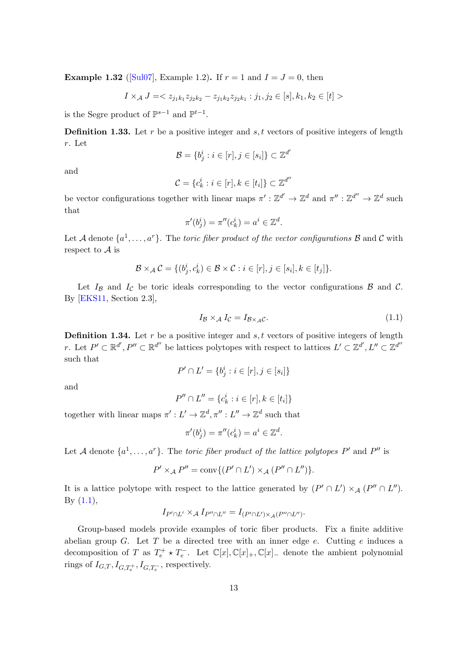**Example 1.32** ([\[Sul07\]](#page-91-11), Example 1.2). If  $r = 1$  and  $I = J = 0$ , then

$$
I \times_{\mathcal{A}} J = \langle z_{j_1k_1} z_{j_2k_2} - z_{j_1k_2} z_{j_2k_1} : j_1, j_2 \in [s], k_1, k_2 \in [t] \rangle
$$

is the Segre product of  $\mathbb{P}^{s-1}$  and  $\mathbb{P}^{t-1}$ .

**Definition 1.33.** Let r be a positive integer and  $s, t$  vectors of positive integers of length r. Let ′

$$
\mathcal{B} = \{b_j^i : i \in [r], j \in [s_i]\} \subset \mathbb{Z}^d
$$

and

$$
\mathcal{C} = \{c_k^i : i \in [r], k \in [t_i]\} \subset \mathbb{Z}^{d''}
$$

be vector configurations together with linear maps  $\pi': \mathbb{Z}^{d'} \to \mathbb{Z}^d$  and  $\pi'': \mathbb{Z}^{d''} \to \mathbb{Z}^d$  such that

$$
\pi'(b_j^i) = \pi''(c_k^i) = a^i \in \mathbb{Z}^d.
$$

Let A denote  $\{a^1, \ldots, a^r\}$ . The *toric fiber product of the vector configurations*  $\mathcal B$  and  $\mathcal C$  with respect to  $A$  is

$$
\mathcal{B} \times_{\mathcal{A}} \mathcal{C} = \{ (b_j^i, c_k^i) \in \mathcal{B} \times \mathcal{C} : i \in [r], j \in [s_i], k \in [t_j] \}.
$$

Let  $I_{\beta}$  and  $I_{\beta}$  be toric ideals corresponding to the vector configurations  $\beta$  and  $\beta$ . By [\[EKS11,](#page-89-10) Section 2.3],

<span id="page-20-0"></span>
$$
I_{\mathcal{B}} \times_{\mathcal{A}} I_{\mathcal{C}} = I_{\mathcal{B} \times_{\mathcal{A}} \mathcal{C}}.\tag{1.1}
$$

**Definition 1.34.** Let r be a positive integer and s, t vectors of positive integers of length r. Let  $P' \subset \mathbb{R}^{d'}$ ,  $P'' \subset \mathbb{R}^{d''}$  be lattices polytopes with respect to lattices  $L' \subset \mathbb{Z}^{d'}$ ,  $L'' \subset \mathbb{Z}^{d''}$ such that

$$
P' \cap L' = \{b_j^i : i \in [r], j \in [s_i]\}
$$

and

$$
P'' \cap L'' = \{c_k^i : i \in [r], k \in [t_i]\}
$$

together with linear maps  $\pi': L' \to \mathbb{Z}^d, \pi'': L'' \to \mathbb{Z}^d$  such that

$$
\pi'(b_j^i) = \pi''(c_k^i) = a^i \in \mathbb{Z}^d.
$$

Let A denote  $\{a^1, \ldots, a^r\}$ . The toric fiber product of the lattice polytopes P' and P'' is

$$
P' \times_A P'' = \text{conv}\{(P' \cap L') \times_A (P'' \cap L'')\}.
$$

It is a lattice polytope with respect to the lattice generated by  $(P' \cap L') \times_A (P'' \cap L'')$ . By  $(1.1)$ ,

$$
I_{P'\cap L'}\times_{\mathcal{A}}I_{P''\cap L''}=I_{(P'\cap L')\times_{\mathcal{A}}(P''\cap L'')}.
$$

Group-based models provide examples of toric fiber products. Fix a finite additive abelian group G. Let T be a directed tree with an inner edge  $e$ . Cutting  $e$  induces a decomposition of T as  $T_e^+ \star T_e^-$ . Let  $\mathbb{C}[x], \mathbb{C}[x]_+$ ,  $\mathbb{C}[x]_-$  denote the ambient polynomial rings of  $I_{G,T}, I_{G,T_e^+}, I_{G,T_e^-}$ , respectively.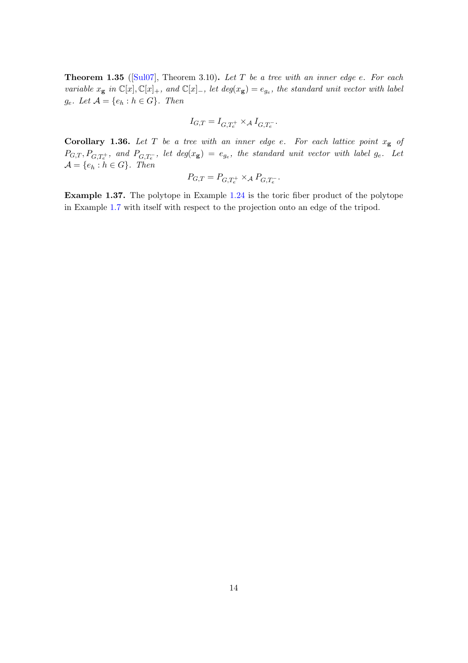<span id="page-21-1"></span>**Theorem 1.35** ( $\text{Sul07}$ ), Theorem 3.10). Let T be a tree with an inner edge e. For each variable  $x_{\bf g}$  in  $\mathbb{C}[x], \mathbb{C}[x]_+$ , and  $\mathbb{C}[x]_-$ , let  $deg(x_{\bf g}) = e_{g_e}$ , the standard unit vector with label  $g_e$ . Let  $\mathcal{A} = \{e_h : h \in G\}$ . Then

$$
I_{G,T}=I_{G,T_e^+}\times_\mathcal{A} I_{G,T_e^-}.
$$

<span id="page-21-0"></span>**Corollary 1.36.** Let T be a tree with an inner edge e. For each lattice point  $x_g$  of  $P_{G,T}, P_{G,T_e^+},$  and  $P_{G,T_e^-}$ , let  $deg(x_{\bf g}) = e_{g_e}$ , the standard unit vector with label  $g_e$ . Let  $\mathcal{A} = \{e_h : h \in G\}$ . Then

$$
P_{G,T} = P_{G,T_e^+} \times_A P_{G,T_e^-}.
$$

Example 1.37. The polytope in Example [1.24](#page-15-1) is the toric fiber product of the polytope in Example [1.7](#page-12-0) with itself with respect to the projection onto an edge of the tripod.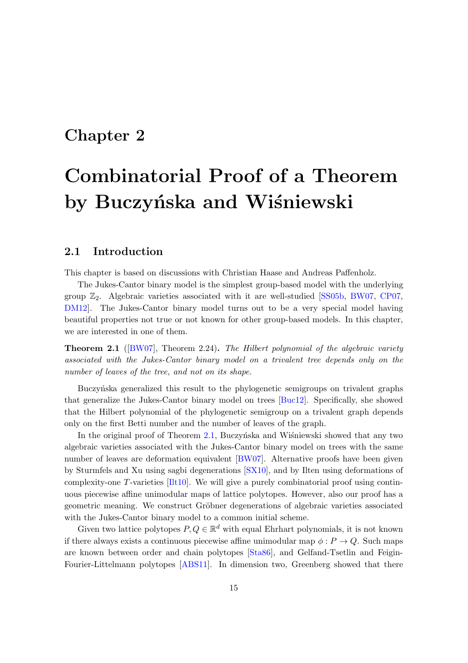### <span id="page-22-0"></span>Chapter 2

# Combinatorial Proof of a Theorem by Buczyńska and Wiśniewski

### <span id="page-22-1"></span>2.1 Introduction

This chapter is based on discussions with Christian Haase and Andreas Paffenholz.

The Jukes-Cantor binary model is the simplest group-based model with the underlying group  $\mathbb{Z}_2$ . Algebraic varieties associated with it are well-studied [\[SS05b,](#page-91-10) [BW07,](#page-88-0) [CP07,](#page-88-7) [DM12\]](#page-88-4). The Jukes-Cantor binary model turns out to be a very special model having beautiful properties not true or not known for other group-based models. In this chapter, we are interested in one of them.

<span id="page-22-2"></span>Theorem 2.1 ([\[BW07\]](#page-88-0), Theorem 2.24). The Hilbert polynomial of the algebraic variety associated with the Jukes-Cantor binary model on a trivalent tree depends only on the number of leaves of the tree, and not on its shape.

Buczyńska generalized this result to the phylogenetic semigroups on trivalent graphs that generalize the Jukes-Cantor binary model on trees [\[Buc12\]](#page-88-1). Specifically, she showed that the Hilbert polynomial of the phylogenetic semigroup on a trivalent graph depends only on the first Betti number and the number of leaves of the graph.

In the original proof of Theorem [2.1,](#page-22-2) Buczyńska and Wisniewski showed that any two algebraic varieties associated with the Jukes-Cantor binary model on trees with the same number of leaves are deformation equivalent [\[BW07\]](#page-88-0). Alternative proofs have been given by Sturmfels and Xu using sagbi degenerations [\[SX10\]](#page-91-0), and by Ilten using deformations of complexity-one T-varieties [\[Ilt10\]](#page-89-11). We will give a purely combinatorial proof using continuous piecewise affine unimodular maps of lattice polytopes. However, also our proof has a geometric meaning. We construct Gröbner degenerations of algebraic varieties associated with the Jukes-Cantor binary model to a common initial scheme.

Given two lattice polytopes  $P, Q \in \mathbb{R}^d$  with equal Ehrhart polynomials, it is not known if there always exists a continuous piecewise affine unimodular map  $\phi: P \to Q$ . Such maps are known between order and chain polytopes [\[Sta86\]](#page-91-12), and Gelfand-Tsetlin and Feigin-Fourier-Littelmann polytopes [\[ABS11\]](#page-88-8). In dimension two, Greenberg showed that there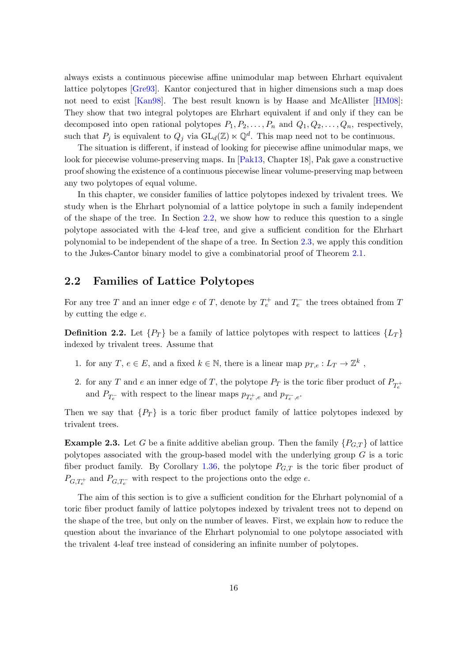always exists a continuous piecewise affine unimodular map between Ehrhart equivalent lattice polytopes [\[Gre93\]](#page-89-12). Kantor conjectured that in higher dimensions such a map does not need to exist [\[Kan98\]](#page-90-5). The best result known is by Haase and McAllister [\[HM08\]](#page-89-13): They show that two integral polytopes are Ehrhart equivalent if and only if they can be decomposed into open rational polytopes  $P_1, P_2, \ldots, P_n$  and  $Q_1, Q_2, \ldots, Q_n$ , respectively, such that  $P_j$  is equivalent to  $Q_j$  via  $GL_d(\mathbb{Z}) \ltimes \mathbb{Q}^d$ . This map need not to be continuous.

The situation is different, if instead of looking for piecewise affine unimodular maps, we look for piecewise volume-preserving maps. In [\[Pak13,](#page-91-13) Chapter 18], Pak gave a constructive proof showing the existence of a continuous piecewise linear volume-preserving map between any two polytopes of equal volume.

In this chapter, we consider families of lattice polytopes indexed by trivalent trees. We study when is the Ehrhart polynomial of a lattice polytope in such a family independent of the shape of the tree. In Section [2.2,](#page-23-0) we show how to reduce this question to a single polytope associated with the 4-leaf tree, and give a sufficient condition for the Ehrhart polynomial to be independent of the shape of a tree. In Section [2.3,](#page-26-0) we apply this condition to the Jukes-Cantor binary model to give a combinatorial proof of Theorem [2.1.](#page-22-2)

### <span id="page-23-0"></span>2.2 Families of Lattice Polytopes

For any tree T and an inner edge  $e$  of T, denote by  $T_e^+$  and  $T_e^-$  the trees obtained from T by cutting the edge e.

<span id="page-23-1"></span>**Definition 2.2.** Let  $\{P_T\}$  be a family of lattice polytopes with respect to lattices  $\{L_T\}$ indexed by trivalent trees. Assume that

- 1. for any T,  $e \in E$ , and a fixed  $k \in \mathbb{N}$ , there is a linear map  $p_{T,e}: L_T \to \mathbb{Z}^k$ ,
- 2. for any T and e an inner edge of T, the polytope  $P_T$  is the toric fiber product of  $P_{T_e^+}$ and  $P_{T_e^-}$  with respect to the linear maps  $p_{T_e^+,e}$  and  $p_{T_e^-,e}$ .

Then we say that  $\{P_T\}$  is a toric fiber product family of lattice polytopes indexed by trivalent trees.

**Example 2.3.** Let G be a finite additive abelian group. Then the family  $\{P_{G,T}\}\$  of lattice polytopes associated with the group-based model with the underlying group  $G$  is a toric fiber product family. By Corollary [1.36,](#page-21-0) the polytope  $P_{G,T}$  is the toric fiber product of  $P_{G,T_e^+}$  and  $P_{G,T_e^-}$  with respect to the projections onto the edge e.

The aim of this section is to give a sufficient condition for the Ehrhart polynomial of a toric fiber product family of lattice polytopes indexed by trivalent trees not to depend on the shape of the tree, but only on the number of leaves. First, we explain how to reduce the question about the invariance of the Ehrhart polynomial to one polytope associated with the trivalent 4-leaf tree instead of considering an infinite number of polytopes.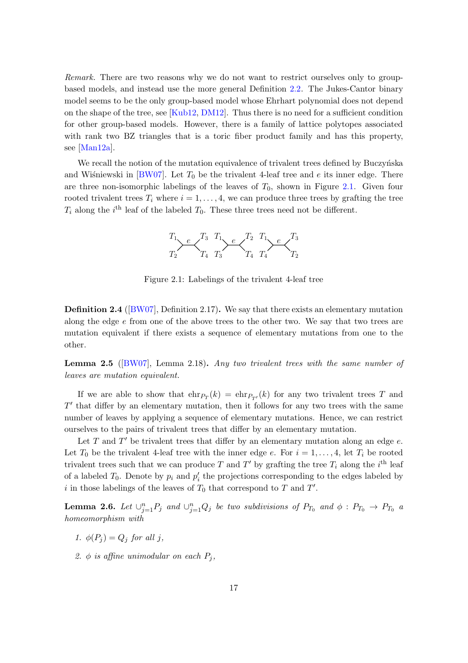Remark. There are two reasons why we do not want to restrict ourselves only to groupbased models, and instead use the more general Definition [2.2.](#page-23-1) The Jukes-Cantor binary model seems to be the only group-based model whose Ehrhart polynomial does not depend on the shape of the tree, see [\[Kub12,](#page-90-2) [DM12\]](#page-88-4). Thus there is no need for a sufficient condition for other group-based models. However, there is a family of lattice polytopes associated with rank two BZ triangles that is a toric fiber product family and has this property, see [\[Man12a\]](#page-90-1).

<span id="page-24-0"></span>We recall the notion of the mutation equivalence of trivalent trees defined by Buczynska and Wisniewski in  $BWO7$ . Let  $T_0$  be the trivalent 4-leaf tree and e its inner edge. There are three non-isomorphic labelings of the leaves of  $T_0$ , shown in Figure [2.1.](#page-24-0) Given four rooted trivalent trees  $T_i$  where  $i = 1, \ldots, 4$ , we can produce three trees by grafting the tree  $T_i$  along the *i*<sup>th</sup> leaf of the labeled  $T_0$ . These three trees need not be different.



Figure 2.1: Labelings of the trivalent 4-leaf tree

<span id="page-24-3"></span>Definition 2.4 ([\[BW07\]](#page-88-0), Definition 2.17). We say that there exists an elementary mutation along the edge  $e$  from one of the above trees to the other two. We say that two trees are mutation equivalent if there exists a sequence of elementary mutations from one to the other.

<span id="page-24-2"></span>**Lemma 2.5** ( $BWT$ ), Lemma 2.18). Any two trivalent trees with the same number of leaves are mutation equivalent.

If we are able to show that  $\text{ehr}_{T}(k) = \text{ehr}_{T'}(k)$  for any two trivalent trees T and  $T'$  that differ by an elementary mutation, then it follows for any two trees with the same number of leaves by applying a sequence of elementary mutations. Hence, we can restrict ourselves to the pairs of trivalent trees that differ by an elementary mutation.

Let  $T$  and  $T'$  be trivalent trees that differ by an elementary mutation along an edge  $e$ . Let  $T_0$  be the trivalent 4-leaf tree with the inner edge e. For  $i = 1, \ldots, 4$ , let  $T_i$  be rooted trivalent trees such that we can produce T and T' by grafting the tree  $T_i$  along the  $i^{\text{th}}$  leaf of a labeled  $T_0$ . Denote by  $p_i$  and  $p'_i$  the projections corresponding to the edges labeled by i in those labelings of the leaves of  $T_0$  that correspond to  $T$  and  $T'$ .

<span id="page-24-1"></span>**Lemma 2.6.** Let  $\cup_{j=1}^n P_j$  and  $\cup_{j=1}^n Q_j$  be two subdivisions of  $P_{T_0}$  and  $\phi : P_{T_0} \to P_{T_0}$  a homeomorphism with

- 1.  $\phi(P_i) = Q_i$  for all j,
- 2. φ is affine unimodular on each  $P_i$ ,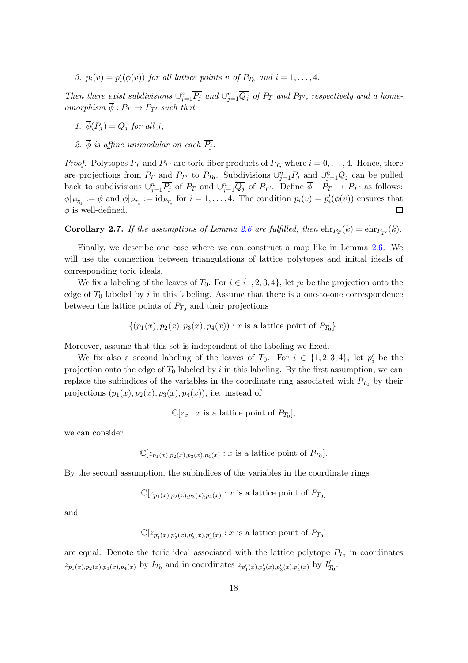3.  $p_i(v) = p'_i(\phi(v))$  for all lattice points v of  $P_{T_0}$  and  $i = 1, ..., 4$ .

Then there exist subdivisions  $\cup_{j=1}^n \overline{P_j}$  and  $\cup_{j=1}^n \overline{Q_j}$  of  $P_T$  and  $P_{T'}$ , respectively and a homeomorphism  $\overline{\phi}: P_T \to P_{T'}$  such that

- 1.  $\overline{\phi}(\overline{P_i}) = \overline{Q_i}$  for all j,
- 2.  $\overline{\phi}$  is affine unimodular on each  $\overline{P_i}$ .

*Proof.* Polytopes  $P_T$  and  $P_{T'}$  are toric fiber products of  $P_{T_i}$  where  $i = 0, \ldots, 4$ . Hence, there are projections from  $P_T$  and  $P_{T'}$  to  $P_{T_0}$ . Subdivisions  $\cup_{j=1}^n P_j$  and  $\cup_{j=1}^n Q_j$  can be pulled back to subdivisions  $\cup_{j=1}^n \overline{P_j}$  of  $P_T$  and  $\cup_{j=1}^n \overline{Q_j}$  of  $P_{T'}$ . Define  $\overline{\phi}: P_T \to P_{T'}$  as follows:  $\overline{\phi}|_{P_{T_0}} := \phi$  and  $\overline{\phi}|_{P_{T_i}} := \text{id}_{P_{T_i}}$  for  $i = 1, ..., 4$ . The condition  $p_i(v) = p'_i(\phi(v))$  ensures that  $\overline{\phi}$  is well-defined.  $\Box$ 

<span id="page-25-0"></span>**Corollary 2.7.** If the assumptions of Lemma [2.6](#page-24-1) are fulfilled, then  $\text{ehr}_{T}(k) = \text{ehr}_{T'}(k)$ .

Finally, we describe one case where we can construct a map like in Lemma [2.6.](#page-24-1) We will use the connection between triangulations of lattice polytopes and initial ideals of corresponding toric ideals.

We fix a labeling of the leaves of  $T_0$ . For  $i \in \{1, 2, 3, 4\}$ , let  $p_i$  be the projection onto the edge of  $T_0$  labeled by i in this labeling. Assume that there is a one-to-one correspondence between the lattice points of  $P_{T_0}$  and their projections

$$
\{(p_1(x), p_2(x), p_3(x), p_4(x)) : x \text{ is a lattice point of } P_{T_0}\}.
$$

Moreover, assume that this set is independent of the labeling we fixed.

We fix also a second labeling of the leaves of  $T_0$ . For  $i \in \{1,2,3,4\}$ , let  $p'_i$  be the projection onto the edge of  $T_0$  labeled by i in this labeling. By the first assumption, we can replace the subindices of the variables in the coordinate ring associated with  $P_{T_0}$  by their projections  $(p_1(x), p_2(x), p_3(x), p_4(x))$ , i.e. instead of

$$
\mathbb{C}[z_x : x \text{ is a lattice point of } P_{T_0}],
$$

we can consider

$$
\mathbb{C}[z_{p_1(x),p_2(x),p_3(x),p_4(x)}:x\text{ is a lattice point of }P_{T_0}].
$$

By the second assumption, the subindices of the variables in the coordinate rings

$$
\mathbb{C}[z_{p_1(x),p_2(x),p_3(x),p_4(x)}:x\text{ is a lattice point of }P_{T_0}]
$$

and

$$
\mathbb{C}[z_{p_1'(x),p_2'(x),p_3'(x),p_4'(x)}:x
$$
 is a lattice point of  $P_{T_0}]$ 

are equal. Denote the toric ideal associated with the lattice polytope  $P_{T_0}$  in coordinates  $z_{p_1(x),p_2(x),p_3(x),p_4(x)}$  by  $I_{T_0}$  and in coordinates  $z_{p'_1(x),p'_2(x),p'_3(x),p'_4(x)}$  by  $I'_{T_0}$ .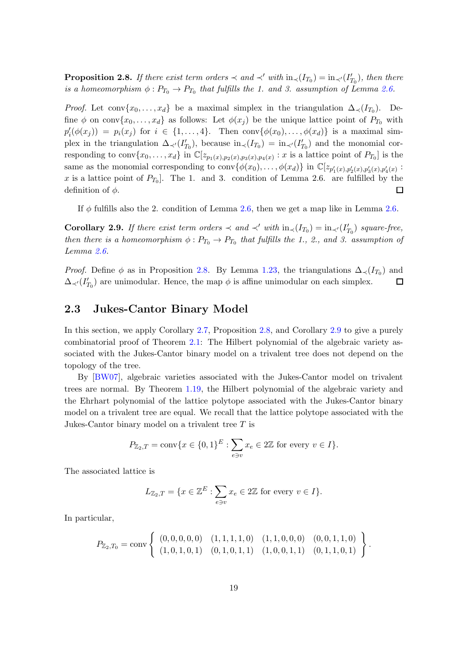<span id="page-26-1"></span>**Proposition 2.8.** If there exist term orders  $\prec$  and  $\prec'$  with  $\text{in}_{\prec}(I_{T_0}) = \text{in}_{\prec'}(I_{T_0}')$ , then there is a homeomorphism  $\phi: P_{T_0} \to P_{T_0}$  that fulfills the 1. and 3. assumption of Lemma [2.6.](#page-24-1)

*Proof.* Let conv $\{x_0, \ldots, x_d\}$  be a maximal simplex in the triangulation  $\Delta_{\prec}(I_{T_0})$ . Define  $\phi$  on conv $\{x_0, \ldots, x_d\}$  as follows: Let  $\phi(x_j)$  be the unique lattice point of  $P_{T_0}$  with  $p'_{i}(\phi(x_j)) = p_i(x_j)$  for  $i \in \{1, \ldots, 4\}$ . Then conv $\{\phi(x_0), \ldots, \phi(x_d)\}\$ is a maximal simplex in the triangulation  $\Delta_{\prec'}(I'_{T_0})$ , because  $\text{in}_{\prec'}(I'_{T_0}) = \text{in}_{\prec'}(I'_{T_0})$  and the monomial corresponding to conv $\{x_0, \ldots, x_d\}$  in  $\mathbb{C}[z_{p_1(x),p_2(x),p_3(x),p_4(x)} : x$  is a lattice point of  $P_{T_0}]$  is the same as the monomial corresponding to  $conv\{\phi(x_0), \ldots, \phi(x_d)\}\$ in  $\mathbb{C}[z_{p'_1(x), p'_2(x), p'_3(x), p'_4(x)}:$ x is a lattice point of  $P_{T_0}$ . The 1. and 3. condition of Lemma 2.6. are fulfilled by the definition of  $\phi$ .  $\Box$ 

If  $\phi$  fulfills also the 2. condition of Lemma [2.6,](#page-24-1) then we get a map like in Lemma [2.6.](#page-24-1)

<span id="page-26-2"></span>**Corollary 2.9.** If there exist term orders  $\prec$  and  $\prec'$  with  $\text{in}_{\prec}(I_{T_0}) = \text{in}_{\prec'}(I'_{T_0})$  square-free, then there is a homeomorphism  $\phi : P_{T_0} \to P_{T_0}$  that fulfills the 1., 2., and 3. assumption of Lemma [2.6.](#page-24-1)

*Proof.* Define  $\phi$  as in Proposition [2.8.](#page-26-1) By Lemma [1.23,](#page-15-2) the triangulations  $\Delta_{\prec}(I_{T_0})$  and  $\Delta_{\prec'}(I'_{T_0})$  are unimodular. Hence, the map  $\phi$  is affine unimodular on each simplex.  $\Box$ 

### <span id="page-26-0"></span>2.3 Jukes-Cantor Binary Model

In this section, we apply Corollary [2.7,](#page-25-0) Proposition [2.8,](#page-26-1) and Corollary [2.9](#page-26-2) to give a purely combinatorial proof of Theorem [2.1:](#page-22-2) The Hilbert polynomial of the algebraic variety associated with the Jukes-Cantor binary model on a trivalent tree does not depend on the topology of the tree.

By [\[BW07\]](#page-88-0), algebraic varieties associated with the Jukes-Cantor model on trivalent trees are normal. By Theorem [1.19,](#page-14-2) the Hilbert polynomial of the algebraic variety and the Ehrhart polynomial of the lattice polytope associated with the Jukes-Cantor binary model on a trivalent tree are equal. We recall that the lattice polytope associated with the Jukes-Cantor binary model on a trivalent tree  $T$  is

$$
P_{\mathbb{Z}_2,T} = \text{conv}\{x \in \{0,1\}^E : \sum_{e \ni v} x_e \in 2\mathbb{Z} \text{ for every } v \in I\}.
$$

The associated lattice is

$$
L_{\mathbb{Z}_2,T} = \{ x \in \mathbb{Z}^E : \sum_{e \ni v} x_e \in 2\mathbb{Z} \text{ for every } v \in I \}.
$$

In particular,

$$
P_{\mathbb{Z}_2,T_0} = \text{conv}\left\{ \begin{array}{lll} (0,0,0,0,0) & (1,1,1,1,0) & (1,1,0,0,0) & (0,0,1,1,0) \\ (1,0,1,0,1) & (0,1,0,1,1) & (1,0,0,1,1) & (0,1,1,0,1) \end{array} \right\}.
$$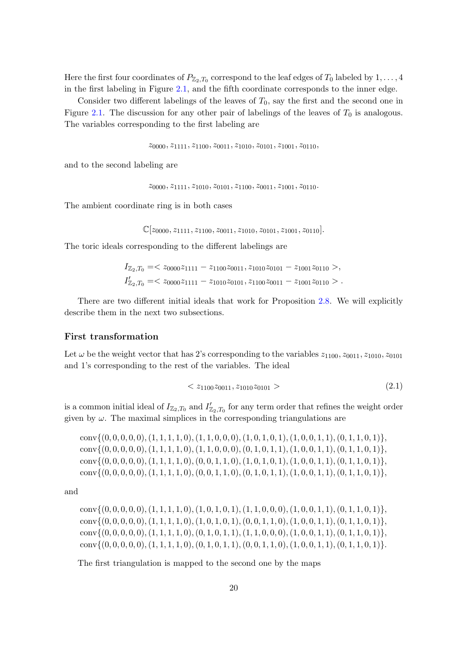Here the first four coordinates of  $P_{\mathbb{Z}_2,T_0}$  correspond to the leaf edges of  $T_0$  labeled by  $1,\ldots,4$ in the first labeling in Figure [2.1,](#page-24-0) and the fifth coordinate corresponds to the inner edge.

Consider two different labelings of the leaves of  $T_0$ , say the first and the second one in Figure [2.1.](#page-24-0) The discussion for any other pair of labelings of the leaves of  $T_0$  is analogous. The variables corresponding to the first labeling are

 $z_{0000}, z_{1111}, z_{1100}, z_{0011}, z_{1010}, z_{0101}, z_{1001}, z_{0110}, z_{0110}$ 

and to the second labeling are

 $z_{0000}, z_{1111}, z_{1010}, z_{0101}, z_{1100}, z_{0011}, z_{1001}, z_{0110}.$ 

The ambient coordinate ring is in both cases

```
\mathbb{C}[z_{0000}, z_{1111}, z_{1100}, z_{0011}, z_{1010}, z_{0101}, z_{1001}, z_{0110}].
```
The toric ideals corresponding to the different labelings are

$$
I_{\mathbb{Z}_2,T_0} = \langle 2000021111 - 2110020011, 2101020101 - 2100120110 \rangle,
$$
  
\n
$$
I'_{\mathbb{Z}_2,T_0} = \langle 2000021111 - 2101020101, 2110020011 - 2100120110 \rangle.
$$

There are two different initial ideals that work for Proposition [2.8.](#page-26-1) We will explicitly describe them in the next two subsections.

#### First transformation

Let  $\omega$  be the weight vector that has 2's corresponding to the variables  $z_{1100}, z_{0011}, z_{1010}, z_{0101}$ and 1's corresponding to the rest of the variables. The ideal

<span id="page-27-0"></span>
$$
\langle z_{1100} z_{0011}, z_{1010} z_{0101} \rangle \tag{2.1}
$$

is a common initial ideal of  $I_{\mathbb{Z}_2,T_0}$  and  $I'_{\mathbb{Z}_2,T_0}$  for any term order that refines the weight order given by  $\omega$ . The maximal simplices in the corresponding triangulations are

 $conv{(0, 0, 0, 0, 0), (1, 1, 1, 1, 0), (1, 1, 0, 0, 0), (1, 0, 1, 0, 1), (1, 0, 0, 1, 1), (0, 1, 1, 0, 1)}$  $conv{(0, 0, 0, 0, 0), (1, 1, 1, 1, 0), (1, 1, 0, 0, 0), (0, 1, 0, 1, 1), (1, 0, 0, 1, 1), (0, 1, 1, 0, 1)}$  $conv\{(0, 0, 0, 0, 0), (1, 1, 1, 1, 0), (0, 0, 1, 1, 0), (1, 0, 1, 0, 1), (1, 0, 0, 1, 1), (0, 1, 1, 0, 1)\},\$  $conv\{(0, 0, 0, 0, 0), (1, 1, 1, 1, 0), (0, 0, 1, 1, 0), (0, 1, 0, 1, 1), (1, 0, 0, 1, 1), (0, 1, 1, 0, 1)\},\$ 

and

 $\text{conv}\{(0, 0, 0, 0, 0), (1, 1, 1, 1, 0), (1, 0, 1, 0, 1), (1, 1, 0, 0, 0), (1, 0, 0, 1, 1), (0, 1, 1, 0, 1)\},\$  $conv\{(0, 0, 0, 0, 0), (1, 1, 1, 1, 0), (1, 0, 1, 0, 1), (0, 0, 1, 1, 0), (1, 0, 0, 1, 1), (0, 1, 1, 0, 1)\},\$  $conv{(0, 0, 0, 0, 0), (1, 1, 1, 1, 0), (0, 1, 0, 1, 1), (1, 1, 0, 0, 0), (1, 0, 0, 1, 1), (0, 1, 1, 0, 1)}$  $conv{(0, 0, 0, 0, 0), (1, 1, 1, 1, 0), (0, 1, 0, 1, 1), (0, 0, 1, 1, 0), (1, 0, 0, 1, 1), (0, 1, 1, 0, 1)}.$ 

The first triangulation is mapped to the second one by the maps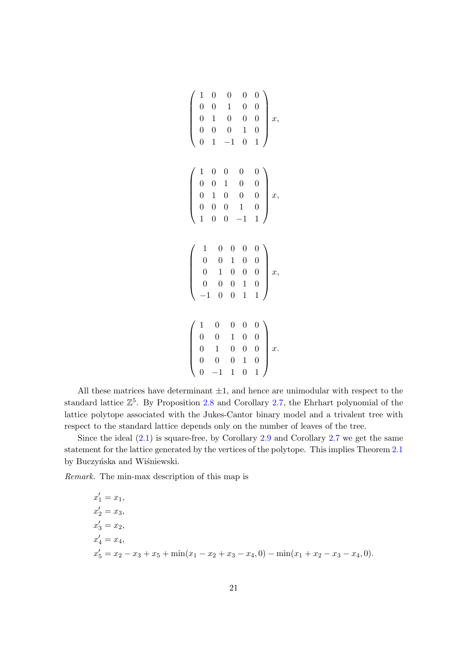$$
\begin{pmatrix}\n1 & 0 & 0 & 0 & 0 \\
0 & 0 & 1 & 0 & 0 \\
0 & 1 & 0 & 0 & 0 \\
0 & 0 & 0 & 1 & 0 \\
0 & 1 & -1 & 0 & 1\n\end{pmatrix} x,
$$
\n
$$
\begin{pmatrix}\n1 & 0 & 0 & 0 & 0 \\
0 & 0 & 1 & 0 & 0 \\
0 & 1 & 0 & 0 & 0 \\
0 & 0 & 0 & 1 & 0 \\
1 & 0 & 0 & -1 & 1\n\end{pmatrix} x,
$$
\n
$$
\begin{pmatrix}\n1 & 0 & 0 & 0 & 0 \\
0 & 0 & 1 & 0 & 0 \\
0 & 1 & 0 & 0 & 0 \\
0 & 0 & 1 & 0 & 0 \\
-1 & 0 & 0 & 1 & 1\n\end{pmatrix} x,
$$
\n
$$
\begin{pmatrix}\n1 & 0 & 0 & 0 & 0 \\
0 & 0 & 1 & 0 & 0 \\
0 & 1 & 0 & 0 & 0 \\
0 & 0 & 0 & 1 & 0 \\
0 & -1 & 1 & 0 & 1\n\end{pmatrix} x.
$$

All these matrices have determinant  $\pm 1$ , and hence are unimodular with respect to the standard lattice  $\mathbb{Z}^5$ . By Proposition [2.8](#page-26-1) and Corollary [2.7,](#page-25-0) the Ehrhart polynomial of the lattice polytope associated with the Jukes-Cantor binary model and a trivalent tree with respect to the standard lattice depends only on the number of leaves of the tree.

Since the ideal  $(2.1)$  is square-free, by Corollary [2.9](#page-26-2) and Corollary [2.7](#page-25-0) we get the same statement for the lattice generated by the vertices of the polytope. This implies Theorem [2.1](#page-22-2) by Buczyńska and Wiśniewski.

Remark. The min-max description of this map is

$$
x'_{1} = x_{1},
$$
  
\n
$$
x'_{2} = x_{3},
$$
  
\n
$$
x'_{3} = x_{2},
$$
  
\n
$$
x'_{4} = x_{4},
$$
  
\n
$$
x'_{5} = x_{2} - x_{3} + x_{5} + \min(x_{1} - x_{2} + x_{3} - x_{4}, 0) - \min(x_{1} + x_{2} - x_{3} - x_{4}, 0).
$$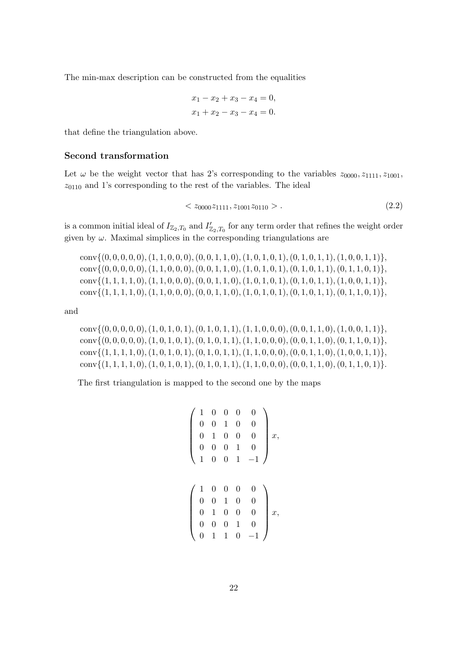The min-max description can be constructed from the equalities

$$
x_1 - x_2 + x_3 - x_4 = 0,
$$
  

$$
x_1 + x_2 - x_3 - x_4 = 0.
$$

that define the triangulation above.

#### Second transformation

Let  $\omega$  be the weight vector that has 2's corresponding to the variables  $z_{0000}, z_{1111}, z_{1001}$ ,  $z_{0110}$  and 1's corresponding to the rest of the variables. The ideal

<span id="page-29-0"></span>
$$
\langle z_{0000} z_{1111}, z_{1001} z_{0110} \rangle. \tag{2.2}
$$

is a common initial ideal of  $I_{\mathbb{Z}_2,T_0}$  and  $I'_{\mathbb{Z}_2,T_0}$  for any term order that refines the weight order given by  $\omega$ . Maximal simplices in the corresponding triangulations are

 $conv{(0, 0, 0, 0, 0), (1, 1, 0, 0, 0), (0, 0, 1, 1, 0), (1, 0, 1, 0, 1), (0, 1, 0, 1, 1), (1, 0, 0, 1, 1)}$  $conv{(0, 0, 0, 0, 0), (1, 1, 0, 0, 0), (0, 0, 1, 1, 0), (1, 0, 1, 0, 1), (0, 1, 0, 1, 1, 0, 1)}$  $conv{(1, 1, 1, 1, 0), (1, 1, 0, 0, 0), (0, 0, 1, 1, 0), (1, 0, 1, 0, 1), (0, 1, 0, 1, 1), (1, 0, 0, 1, 1)}$  $conv{(1, 1, 1, 1, 0), (1, 1, 0, 0, 0), (0, 0, 1, 1, 0), (1, 0, 1, 0, 1), (0, 1, 0, 1, 1, 0, 1)},$ 

and

 $conv{(0, 0, 0, 0, 0), (1, 0, 1, 0, 1), (0, 1, 0, 1, 1), (1, 1, 0, 0, 0), (0, 0, 1, 1, 0), (1, 0, 0, 1, 1)},$  $conv{(0, 0, 0, 0, 0), (1, 0, 1, 0, 1), (0, 1, 0, 1, 1), (1, 1, 0, 0, 0), (0, 0, 1, 1, 0), (0, 1, 1, 0, 1)}$  $conv{(1, 1, 1, 1, 0), (1, 0, 1, 0, 1), (0, 1, 0, 1, 1), (1, 1, 0, 0, 0), (0, 0, 1, 1, 0), (1, 0, 0, 1, 1)}$  $conv{(1, 1, 1, 1, 0), (1, 0, 1, 0, 1), (0, 1, 0, 1, 1), (1, 1, 0, 0, 0), (0, 0, 1, 1, 0), (0, 1, 1, 0, 1)}$ .

The first triangulation is mapped to the second one by the maps

$$
\left(\begin{array}{cccccc} 1 & 0 & 0 & 0 & 0 \\ 0 & 0 & 1 & 0 & 0 \\ 0 & 1 & 0 & 0 & 0 \\ 0 & 0 & 0 & 1 & 0 \\ 1 & 0 & 0 & 1 & -1 \end{array}\right)x,
$$

$$
\left(\begin{array}{cccccc} 1 & 0 & 0 & 0 & 0 \\ 0 & 0 & 1 & 0 & 0 \\ 0 & 1 & 0 & 0 & 0 \\ 0 & 0 & 0 & 1 & 0 \\ 0 & 1 & 1 & 0 & -1 \end{array}\right)x,
$$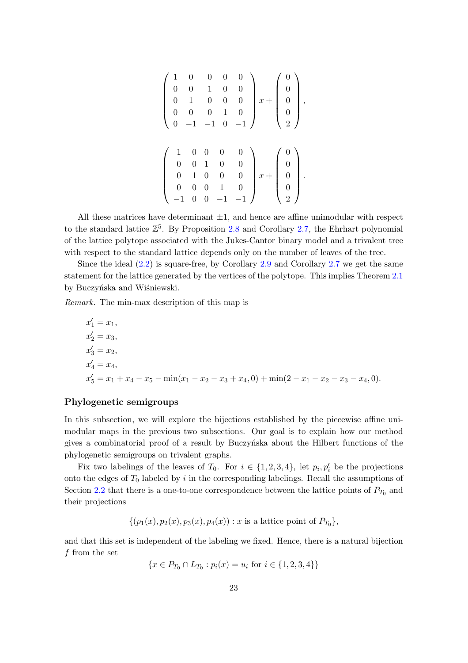$$
\begin{pmatrix} 1 & 0 & 0 & 0 & 0 \\ 0 & 0 & 1 & 0 & 0 \\ 0 & 1 & 0 & 0 & 0 \\ 0 & 0 & 0 & 1 & 0 \\ 0 & -1 & -1 & 0 & -1 \end{pmatrix} x + \begin{pmatrix} 0 \\ 0 \\ 0 \\ 0 \\ 2 \end{pmatrix},
$$

$$
\begin{pmatrix} 1 & 0 & 0 & 0 & 0 \\ 0 & 0 & 1 & 0 & 0 \\ 0 & 1 & 0 & 0 & 0 \\ 0 & 0 & 0 & 1 & 0 \\ -1 & 0 & 0 & -1 & -1 \end{pmatrix} x + \begin{pmatrix} 0 \\ 0 \\ 0 \\ 0 \\ 0 \end{pmatrix}.
$$

All these matrices have determinant  $\pm 1$ , and hence are affine unimodular with respect to the standard lattice  $\mathbb{Z}^5$ . By Proposition [2.8](#page-26-1) and Corollary [2.7,](#page-25-0) the Ehrhart polynomial of the lattice polytope associated with the Jukes-Cantor binary model and a trivalent tree with respect to the standard lattice depends only on the number of leaves of the tree.

Since the ideal [\(2.2\)](#page-29-0) is square-free, by Corollary [2.9](#page-26-2) and Corollary [2.7](#page-25-0) we get the same statement for the lattice generated by the vertices of the polytope. This implies Theorem [2.1](#page-22-2) by Buczyńska and Wiśniewski.

Remark. The min-max description of this map is

$$
x'_1 = x_1,
$$
  
\n
$$
x'_2 = x_3,
$$
  
\n
$$
x'_3 = x_2,
$$
  
\n
$$
x'_4 = x_4,
$$
  
\n
$$
x'_5 = x_1 + x_4 - x_5 - \min(x_1 - x_2 - x_3 + x_4, 0) + \min(2 - x_1 - x_2 - x_3 - x_4, 0).
$$

#### Phylogenetic semigroups

In this subsection, we will explore the bijections established by the piecewise affine unimodular maps in the previous two subsections. Our goal is to explain how our method gives a combinatorial proof of a result by Buczynska about the Hilbert functions of the phylogenetic semigroups on trivalent graphs.

Fix two labelings of the leaves of  $T_0$ . For  $i \in \{1, 2, 3, 4\}$ , let  $p_i, p'_i$  be the projections onto the edges of  $T_0$  labeled by i in the corresponding labelings. Recall the assumptions of Section [2.2](#page-23-0) that there is a one-to-one correspondence between the lattice points of  $P_{T_0}$  and their projections

$$
\{(p_1(x), p_2(x), p_3(x), p_4(x)) : x \text{ is a lattice point of } P_{T_0}\},\
$$

and that this set is independent of the labeling we fixed. Hence, there is a natural bijection f from the set

$$
\{x \in P_{T_0} \cap L_{T_0} : p_i(x) = u_i \text{ for } i \in \{1, 2, 3, 4\}\}
$$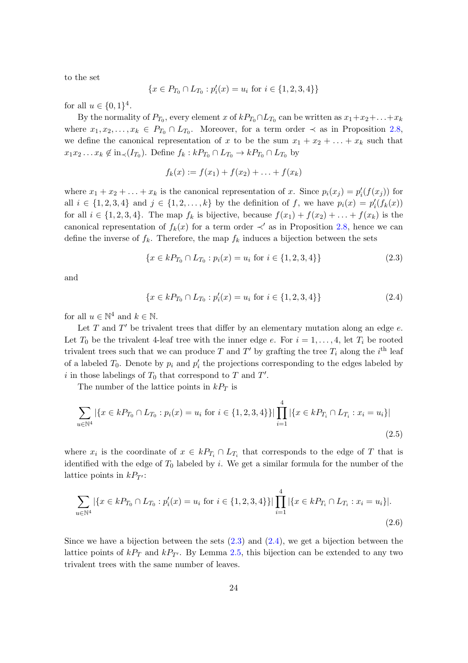to the set

$$
\{x \in P_{T_0} \cap L_{T_0} : p_i'(x) = u_i \text{ for } i \in \{1, 2, 3, 4\}\}
$$

for all  $u \in \{0, 1\}^4$ .

By the normality of  $P_{T_0}$ , every element x of  $kP_{T_0} \cap L_{T_0}$  can be written as  $x_1+x_2+\ldots+x_k$ where  $x_1, x_2, \ldots, x_k \in P_{T_0} \cap L_{T_0}$ . Moreover, for a term order  $\prec$  as in Proposition [2.8,](#page-26-1) we define the canonical representation of x to be the sum  $x_1 + x_2 + \ldots + x_k$  such that  $x_1x_2 \ldots x_k \notin in_{\prec}(I_{T_0})$ . Define  $f_k : kP_{T_0} \cap L_{T_0} \to kP_{T_0} \cap L_{T_0}$  by

<span id="page-31-0"></span>
$$
f_k(x) := f(x_1) + f(x_2) + \ldots + f(x_k)
$$

where  $x_1 + x_2 + \ldots + x_k$  is the canonical representation of x. Since  $p_i(x_j) = p'_i(f(x_j))$  for all  $i \in \{1, 2, 3, 4\}$  and  $j \in \{1, 2, ..., k\}$  by the definition of f, we have  $p_i(x) = p'_i(f_k(x))$ for all  $i \in \{1, 2, 3, 4\}$ . The map  $f_k$  is bijective, because  $f(x_1) + f(x_2) + \ldots + f(x_k)$  is the canonical representation of  $f_k(x)$  for a term order  $\prec'$  as in Proposition [2.8,](#page-26-1) hence we can define the inverse of  $f_k$ . Therefore, the map  $f_k$  induces a bijection between the sets

$$
\{x \in kP_{T_0} \cap L_{T_0} : p_i(x) = u_i \text{ for } i \in \{1, 2, 3, 4\}\}\
$$
\n(2.3)

and

<span id="page-31-2"></span><span id="page-31-1"></span>
$$
\{x \in kP_{T_0} \cap L_{T_0} : p_i'(x) = u_i \text{ for } i \in \{1, 2, 3, 4\}\}\
$$
\n(2.4)

for all  $u \in \mathbb{N}^4$  and  $k \in \mathbb{N}$ .

Let  $T$  and  $T'$  be trivalent trees that differ by an elementary mutation along an edge  $e$ . Let  $T_0$  be the trivalent 4-leaf tree with the inner edge e. For  $i = 1, \ldots, 4$ , let  $T_i$  be rooted trivalent trees such that we can produce T and T' by grafting the tree  $T_i$  along the  $i^{\text{th}}$  leaf of a labeled  $T_0$ . Denote by  $p_i$  and  $p'_i$  the projections corresponding to the edges labeled by i in those labelings of  $T_0$  that correspond to  $T$  and  $T'$ .

The number of the lattice points in  $kP_T$  is

$$
\sum_{u \in \mathbb{N}^4} |\{x \in kP_{T_0} \cap L_{T_0} : p_i(x) = u_i \text{ for } i \in \{1, 2, 3, 4\}\}| \prod_{i=1}^4 |\{x \in kP_{T_i} \cap L_{T_i} : x_i = u_i\}|
$$
\n(2.5)

where  $x_i$  is the coordinate of  $x \in kP_{T_i} \cap L_{T_i}$  that corresponds to the edge of T that is identified with the edge of  $T_0$  labeled by i. We get a similar formula for the number of the lattice points in  $kP_{T'}$ :

<span id="page-31-3"></span>
$$
\sum_{u \in \mathbb{N}^4} |\{x \in kP_{T_0} \cap L_{T_0} : p_i'(x) = u_i \text{ for } i \in \{1, 2, 3, 4\}\}| \prod_{i=1}^4 |\{x \in kP_{T_i} \cap L_{T_i} : x_i = u_i\}|.
$$
\n(2.6)

Since we have a bijection between the sets  $(2.3)$  and  $(2.4)$ , we get a bijection between the lattice points of  $kP_T$  and  $kP_{T'}$ . By Lemma [2.5,](#page-24-2) this bijection can be extended to any two trivalent trees with the same number of leaves.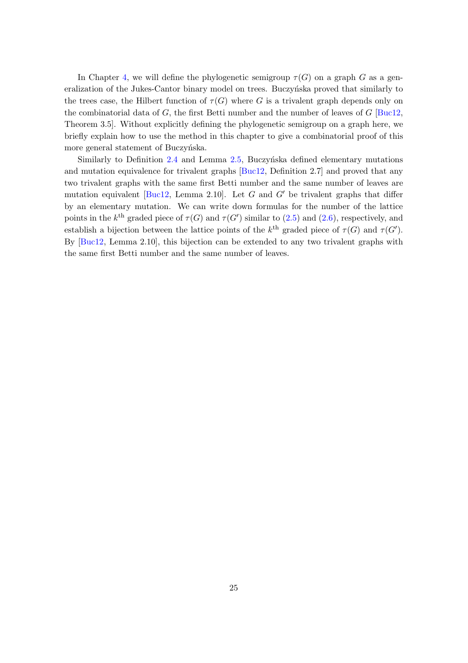In Chapter [4,](#page-38-0) we will define the phylogenetic semigroup  $\tau(G)$  on a graph G as a generalization of the Jukes-Cantor binary model on trees. Buczyńska proved that similarly to the trees case, the Hilbert function of  $\tau(G)$  where G is a trivalent graph depends only on the combinatorial data of G, the first Betti number and the number of leaves of  $G$  [\[Buc12,](#page-88-1) Theorem 3.5]. Without explicitly defining the phylogenetic semigroup on a graph here, we briefly explain how to use the method in this chapter to give a combinatorial proof of this more general statement of Buczyńska.

Similarly to Definition  $2.4$  and Lemma  $2.5$ , Buczyńska defined elementary mutations and mutation equivalence for trivalent graphs [\[Buc12,](#page-88-1) Definition 2.7] and proved that any two trivalent graphs with the same first Betti number and the same number of leaves are mutation equivalent [\[Buc12,](#page-88-1) Lemma 2.10]. Let  $G$  and  $G'$  be trivalent graphs that differ by an elementary mutation. We can write down formulas for the number of the lattice points in the  $k^{\text{th}}$  graded piece of  $\tau(G)$  and  $\tau(G')$  similar to [\(2.5\)](#page-31-2) and [\(2.6\)](#page-31-3), respectively, and establish a bijection between the lattice points of the  $k^{\text{th}}$  graded piece of  $\tau(G)$  and  $\tau(G')$ . By [\[Buc12,](#page-88-1) Lemma 2.10], this bijection can be extended to any two trivalent graphs with the same first Betti number and the same number of leaves.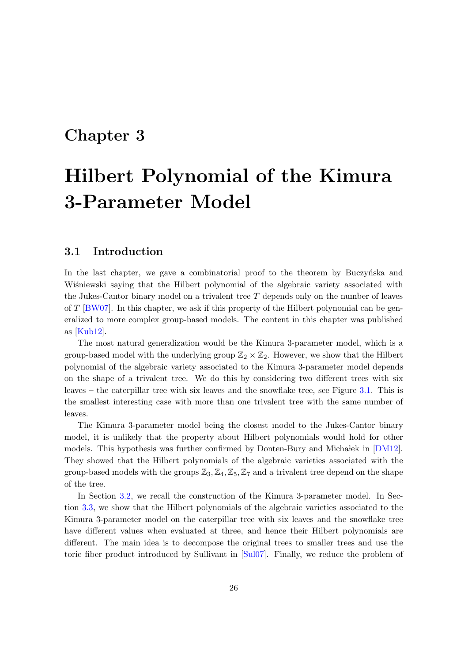### <span id="page-33-0"></span>Chapter 3

# Hilbert Polynomial of the Kimura 3-Parameter Model

#### <span id="page-33-1"></span>3.1 Introduction

In the last chapter, we gave a combinatorial proof to the theorem by Buczyńska and Wisniewski saying that the Hilbert polynomial of the algebraic variety associated with the Jukes-Cantor binary model on a trivalent tree T depends only on the number of leaves of  $T$  [\[BW07\]](#page-88-0). In this chapter, we ask if this property of the Hilbert polynomial can be generalized to more complex group-based models. The content in this chapter was published as [\[Kub12\]](#page-90-2).

The most natural generalization would be the Kimura 3-parameter model, which is a group-based model with the underlying group  $\mathbb{Z}_2 \times \mathbb{Z}_2$ . However, we show that the Hilbert polynomial of the algebraic variety associated to the Kimura 3-parameter model depends on the shape of a trivalent tree. We do this by considering two different trees with six leaves – the caterpillar tree with six leaves and the snowflake tree, see Figure [3.1.](#page-36-0) This is the smallest interesting case with more than one trivalent tree with the same number of leaves.

The Kimura 3-parameter model being the closest model to the Jukes-Cantor binary model, it is unlikely that the property about Hilbert polynomials would hold for other models. This hypothesis was further confirmed by Donten-Bury and Michalek in [\[DM12\]](#page-88-4). They showed that the Hilbert polynomials of the algebraic varieties associated with the group-based models with the groups  $\mathbb{Z}_3, \mathbb{Z}_4, \mathbb{Z}_5, \mathbb{Z}_7$  and a trivalent tree depend on the shape of the tree.

In Section [3.2,](#page-34-0) we recall the construction of the Kimura 3-parameter model. In Section [3.3,](#page-35-0) we show that the Hilbert polynomials of the algebraic varieties associated to the Kimura 3-parameter model on the caterpillar tree with six leaves and the snowflake tree have different values when evaluated at three, and hence their Hilbert polynomials are different. The main idea is to decompose the original trees to smaller trees and use the toric fiber product introduced by Sullivant in [\[Sul07\]](#page-91-11). Finally, we reduce the problem of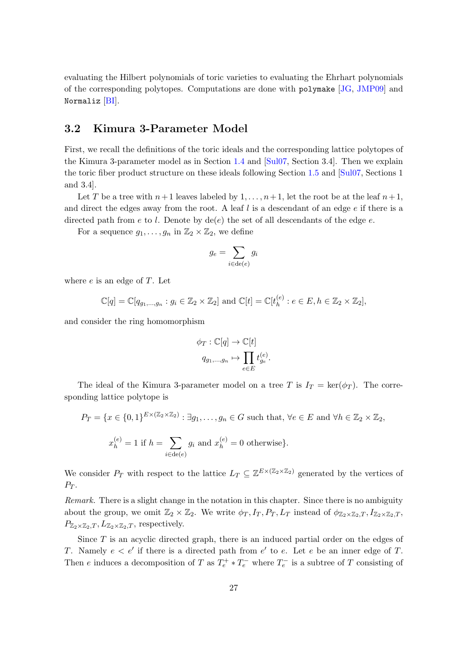evaluating the Hilbert polynomials of toric varieties to evaluating the Ehrhart polynomials of the corresponding polytopes. Computations are done with polymake [\[JG,](#page-90-10) [JMP09\]](#page-90-11) and Normaliz [\[BI\]](#page-88-9).

### <span id="page-34-0"></span>3.2 Kimura 3-Parameter Model

First, we recall the definitions of the toric ideals and the corresponding lattice polytopes of the Kimura 3-parameter model as in Section [1.4](#page-15-0) and [\[Sul07,](#page-91-11) Section 3.4]. Then we explain the toric fiber product structure on these ideals following Section [1.5](#page-19-0) and [\[Sul07,](#page-91-11) Sections 1 and 3.4].

Let T be a tree with  $n+1$  leaves labeled by  $1, \ldots, n+1$ , let the root be at the leaf  $n+1$ , and direct the edges away from the root. A leaf  $l$  is a descendant of an edge  $e$  if there is a directed path from e to l. Denote by  $de(e)$  the set of all descendants of the edge e.

For a sequence  $g_1, \ldots, g_n$  in  $\mathbb{Z}_2 \times \mathbb{Z}_2$ , we define

$$
g_e = \sum_{i \in \text{de}(e)} g_i
$$

where  $e$  is an edge of  $T$ . Let

$$
\mathbb{C}[q] = \mathbb{C}[q_{g_1,\ldots,g_n} : g_i \in \mathbb{Z}_2 \times \mathbb{Z}_2] \text{ and } \mathbb{C}[t] = \mathbb{C}[t_h^{(e)} : e \in E, h \in \mathbb{Z}_2 \times \mathbb{Z}_2],
$$

and consider the ring homomorphism

$$
\phi_T : \mathbb{C}[q] \to \mathbb{C}[t]
$$

$$
q_{g_1,\dots,g_n} \mapsto \prod_{e \in E} t_{g_e}^{(e)}.
$$

The ideal of the Kimura 3-parameter model on a tree T is  $I_T = \text{ker}(\phi_T)$ . The corresponding lattice polytope is

$$
P_T = \{x \in \{0, 1\}^{E \times (\mathbb{Z}_2 \times \mathbb{Z}_2)} : \exists g_1, \dots, g_n \in G \text{ such that, } \forall e \in E \text{ and } \forall h \in \mathbb{Z}_2 \times \mathbb{Z}_2,
$$
  

$$
x_h^{(e)} = 1 \text{ if } h = \sum_{i \in \text{de}(e)} g_i \text{ and } x_h^{(e)} = 0 \text{ otherwise} \}.
$$

We consider  $P_T$  with respect to the lattice  $L_T \subseteq \mathbb{Z}^{E \times (\mathbb{Z}_2 \times \mathbb{Z}_2)}$  generated by the vertices of  $P_T$ .

Remark. There is a slight change in the notation in this chapter. Since there is no ambiguity about the group, we omit  $\mathbb{Z}_2 \times \mathbb{Z}_2$ . We write  $\phi_T, I_T, P_T, L_T$  instead of  $\phi_{\mathbb{Z}_2 \times \mathbb{Z}_2,T}, I_{\mathbb{Z}_2 \times \mathbb{Z}_2,T}$  $P_{\mathbb{Z}_2\times\mathbb{Z}_2,T}, L_{\mathbb{Z}_2\times\mathbb{Z}_2,T}$ , respectively.

Since  $T$  is an acyclic directed graph, there is an induced partial order on the edges of T. Namely  $e < e'$  if there is a directed path from  $e'$  to e. Let e be an inner edge of T. Then e induces a decomposition of T as  $T_e^+ * T_e^-$  where  $T_e^-$  is a subtree of T consisting of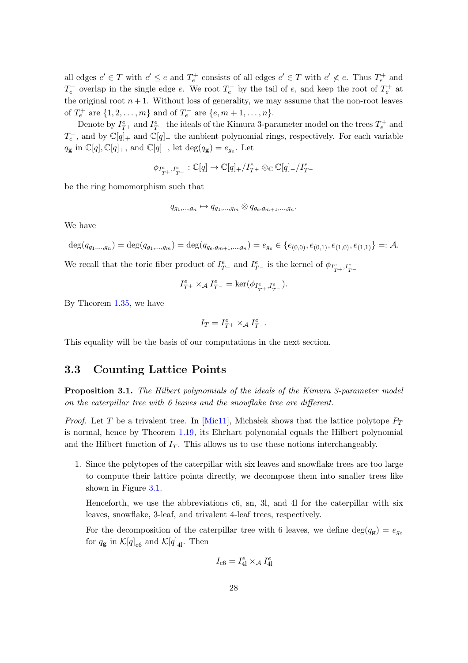all edges  $e' \in T$  with  $e' \leq e$  and  $T_e^+$  consists of all edges  $e' \in T$  with  $e' \nless e$ . Thus  $T_e^+$  and  $T_e^-$  overlap in the single edge e. We root  $T_e^-$  by the tail of e, and keep the root of  $T_e^+$  at the original root  $n + 1$ . Without loss of generality, we may assume that the non-root leaves of  $T_e^+$  are  $\{1, 2, ..., m\}$  and of  $T_e^-$  are  $\{e, m + 1, ..., n\}$ .

Denote by  $I_{T^+}^e$  and  $I_{T^-}^e$  the ideals of the Kimura 3-parameter model on the trees  $T_e^+$  and  $T_e^-$ , and by  $\mathbb{C}[q]_+$  and  $\mathbb{C}[q]_-$  the ambient polynomial rings, respectively. For each variable  $q_{\mathbf{g}}$  in  $\mathbb{C}[q], \mathbb{C}[q]_+$ , and  $\mathbb{C}[q]_-$ , let  $\deg(q_{\mathbf{g}}) = e_{g_e}$ . Let

$$
\phi_{I^e_{T^+},I^e_{T^-}}:\mathbb{C}[q]\rightarrow\mathbb{C}[q]_+/I^e_{T^+}\otimes_{\mathbb{C}}\mathbb{C}[q]_-/I^e_{T^-}
$$

be the ring homomorphism such that

$$
q_{g_1,\ldots,g_n} \mapsto q_{g_1,\ldots,g_m} \otimes q_{g_e,g_{m+1},\ldots,g_n}.
$$

We have

$$
\deg(q_{g_1,\ldots,g_n}) = \deg(q_{g_1,\ldots,g_m}) = \deg(q_{g_e,g_{m+1},\ldots,g_n}) = e_{g_e} \in \{e_{(0,0)}, e_{(0,1)}, e_{(1,0)}, e_{(1,1)}\} =: \mathcal{A}.
$$

We recall that the toric fiber product of  $I_{T^+}^e$  and  $I_{T^-}^e$  is the kernel of  $\phi_{I_{T^+}^e, I_{T^-}^e}$ 

$$
I^e_{T^+} \times_{\mathcal{A}} I^e_{T^-} = \ker(\phi_{I^e_{T^+},I^e_{T^-}}).
$$

By Theorem [1.35,](#page-21-1) we have

$$
I_T = I_{T^+}^e \times_{\mathcal{A}} I_{T^-}^e.
$$

<span id="page-35-0"></span>This equality will be the basis of our computations in the next section.

### 3.3 Counting Lattice Points

Proposition 3.1. The Hilbert polynomials of the ideals of the Kimura 3-parameter model on the caterpillar tree with 6 leaves and the snowflake tree are different.

*Proof.* Let T be a trivalent tree. In [\[Mic11\]](#page-90-9), Michalek shows that the lattice polytope  $P_T$ is normal, hence by Theorem [1.19,](#page-14-2) its Ehrhart polynomial equals the Hilbert polynomial and the Hilbert function of  $I_T$ . This allows us to use these notions interchangeably.

1. Since the polytopes of the caterpillar with six leaves and snowflake trees are too large to compute their lattice points directly, we decompose them into smaller trees like shown in Figure [3.1.](#page-36-0)

Henceforth, we use the abbreviations c6, sn, 3l, and 4l for the caterpillar with six leaves, snowflake, 3-leaf, and trivalent 4-leaf trees, respectively.

For the decomposition of the caterpillar tree with 6 leaves, we define  $\deg(q_{g}) = e_{q_{e}}$ for  $q_{\mathbf{g}}$  in  $\mathcal{K}[q]_{c6}$  and  $\mathcal{K}[q]_{4l}$ . Then

$$
I_{\text{c6}}=I_{\text{4l}}^{e}\times_{\mathcal{A}}I_{\text{4l}}^{e}
$$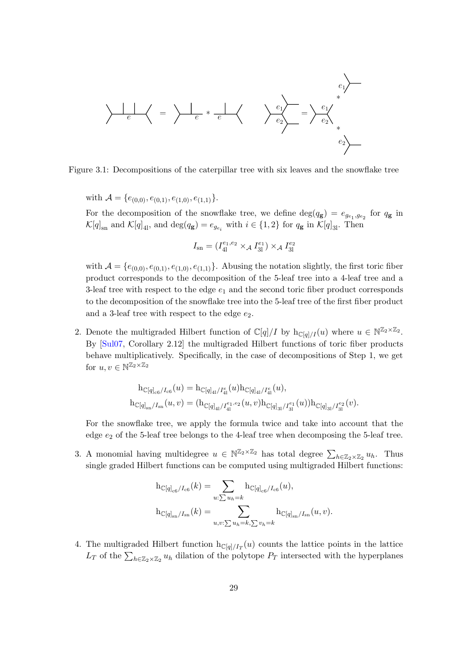$$
\left\langle \begin{array}{c} e_1 \\ e \end{array} \right\rangle = \left\langle \begin{array}{c} e_1 \\ e \end{array} \right\rangle = \left\langle \begin{array}{c} e_1 \\ e \end{array} \right\rangle = \left\langle \begin{array}{c} e_1 \\ e_2 \end{array} \right\rangle = \left\langle \begin{array}{c} e_1 \\ e_2 \end{array} \right\rangle = \left\langle \begin{array}{c} e_1 \\ e_2 \end{array} \right\rangle = \left\langle \begin{array}{c} e_1 \\ e_2 \end{array} \right\rangle = \left\langle \begin{array}{c} e_1 \\ e_2 \end{array} \right\rangle = \left\langle \begin{array}{c} e_1 \\ e_2 \end{array} \right\rangle = \left\langle \begin{array}{c} e_1 \\ e_2 \end{array} \right\rangle = \left\langle \begin{array}{c} e_1 \\ e_2 \end{array} \right\rangle = \left\langle \begin{array}{c} e_1 \\ e_2 \end{array} \right\rangle = \left\langle \begin{array}{c} e_1 \\ e_2 \end{array} \right\rangle = \left\langle \begin{array}{c} e_1 \\ e_2 \end{array} \right\rangle = \left\langle \begin{array}{c} e_1 \\ e_2 \end{array} \right\rangle = \left\langle \begin{array}{c} e_1 \\ e_2 \end{array} \right\rangle = \left\langle \begin{array}{c} e_1 \\ e_2 \end{array} \right\rangle = \left\langle \begin{array}{c} e_1 \\ e_2 \end{array} \right\rangle = \left\langle \begin{array}{c} e_1 \\ e_2 \end{array} \right\rangle = \left\langle \begin{array}{c} e_1 \\ e_2 \end{array} \right\rangle = \left\langle \begin{array}{c} e_1 \\ e_2 \end{array} \right\rangle = \left\langle \begin{array}{c} e_1 \\ e_2 \end{array} \right\rangle = \left\langle \begin{array}{c} e_1 \\ e_2 \end{array} \right\rangle = \left\langle \begin{array}{c} e_1 \\ e_2 \end{array} \right\rangle = \left\langle \begin{array}{c} e_1 \\ e_2 \end{array} \right\rangle = \left\langle \begin{array}{c} e_1 \\ e_2 \end{array} \right\rangle = \left\langle \begin{array}{c} e_1 \\ e_2 \end{array} \right\rangle = \left\langle \begin{array}{c
$$

Figure 3.1: Decompositions of the caterpillar tree with six leaves and the snowflake tree

with  $\mathcal{A} = \{e_{(0,0)}, e_{(0,1)}, e_{(1,0)}, e_{(1,1)}\}.$ 

For the decomposition of the snowflake tree, we define  $\deg(q_{g}) = e_{g_{e_1}, g_{e_2}}$  for  $q_{g}$  in  $\mathcal{K}[q]_{\text{sn}}$  and  $\mathcal{K}[q]_{4l}$ , and  $\deg(q_{\mathbf{g}}) = e_{g_{e_i}}$  with  $i \in \{1,2\}$  for  $q_{\mathbf{g}}$  in  $\mathcal{K}[q]_{3l}$ . Then

$$
I_{\rm sn} = (I_{41}^{e_1, e_2} \times_{\mathcal{A}} I_{31}^{e_1}) \times_{\mathcal{A}} I_{31}^{e_2}
$$

with  $\mathcal{A} = \{e_{(0,0)}, e_{(0,1)}, e_{(1,0)}, e_{(1,1)}\}$ . Abusing the notation slightly, the first toric fiber product corresponds to the decomposition of the 5-leaf tree into a 4-leaf tree and a 3-leaf tree with respect to the edge  $e_1$  and the second toric fiber product corresponds to the decomposition of the snowflake tree into the 5-leaf tree of the first fiber product and a 3-leaf tree with respect to the edge  $e_2$ .

2. Denote the multigraded Hilbert function of  $\mathbb{C}[q]/I$  by  $h_{\mathbb{C}[q]/I}(u)$  where  $u \in \mathbb{N}^{\mathbb{Z}_2 \times \mathbb{Z}_2}$ . By [\[Sul07,](#page-91-0) Corollary 2.12] the multigraded Hilbert functions of toric fiber products behave multiplicatively. Specifically, in the case of decompositions of Step 1, we get for  $u, v \in \mathbb{N}^{\mathbb{Z}_2 \times \mathbb{Z}_2}$ 

$$
\begin{aligned} \mathbf{h}_{\mathbb{C}[q]_{\text{c6}}/I_{\text{c6}}}(u)&=\mathbf{h}_{\mathbb{C}[q]_{41}/I_{41}^e}(u)\mathbf{h}_{\mathbb{C}[q]_{41}/I_{41}^e}(u),\\ \mathbf{h}_{\mathbb{C}[q]_{\text{sn}}/I_{\text{sn}}}(u,v)&=(\mathbf{h}_{\mathbb{C}[q]_{41}/I_{41}^{e_1,e_2}}(u,v)\mathbf{h}_{\mathbb{C}[q]_{31}/I_{31}^{e_1}}(u))\mathbf{h}_{\mathbb{C}[q]_{31}/I_{31}^{e_2}}(v).\end{aligned}
$$

For the snowflake tree, we apply the formula twice and take into account that the edge  $e_2$  of the 5-leaf tree belongs to the 4-leaf tree when decomposing the 5-leaf tree.

3. A monomial having multidegree  $u \in \mathbb{N}^{\mathbb{Z}_2 \times \mathbb{Z}_2}$  has total degree  $\sum_{h \in \mathbb{Z}_2 \times \mathbb{Z}_2} u_h$ . Thus single graded Hilbert functions can be computed using multigraded Hilbert functions:

$$
h_{\mathbb{C}[q]_{\rm c6}/I_{\rm c6}}(k) = \sum_{u:\sum u_h = k} h_{\mathbb{C}[q]_{\rm c6}/I_{\rm c6}}(u),
$$
  

$$
h_{\mathbb{C}[q]_{\rm sn}/I_{\rm sn}}(k) = \sum_{u,v:\sum u_h = k,\sum v_h = k} h_{\mathbb{C}[q]_{\rm sn}/I_{\rm sn}}(u,v).
$$

4. The multigraded Hilbert function  $h_{\mathbb{C}[q]/I_T}(u)$  counts the lattice points in the lattice  $L_T$  of the  $\sum_{h \in \mathbb{Z}_2 \times \mathbb{Z}_2} u_h$  dilation of the polytope  $P_T$  intersected with the hyperplanes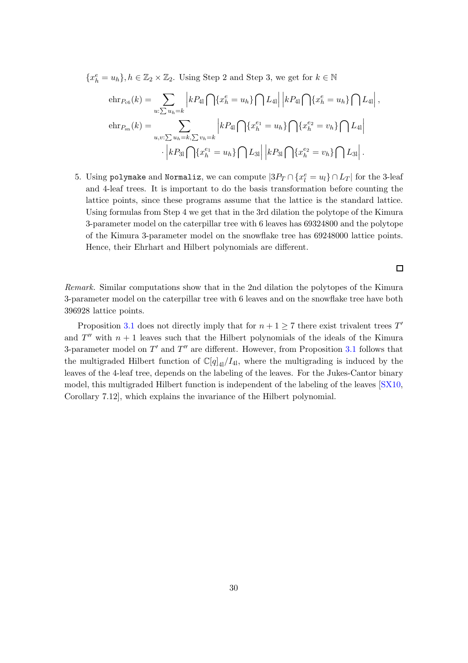${x_h^e = u_h}, h \in \mathbb{Z}_2 \times \mathbb{Z}_2$ . Using Step 2 and Step 3, we get for  $k \in \mathbb{N}$ 

$$
\text{ehr}_{P_{\text{c6}}}(k) = \sum_{u:\sum u_h = k} \left| k P_{41} \bigcap \{x_h^e = u_h\} \bigcap L_{41} \right| \left| k P_{41} \bigcap \{x_h^e = u_h\} \bigcap L_{41} \right|,
$$
\n
$$
\text{ehr}_{P_{\text{sn}}}(k) = \sum_{u,v:\sum u_h = k, \sum v_h = k} \left| k P_{41} \bigcap \{x_h^{e_1} = u_h\} \bigcap \{x_h^{e_2} = v_h\} \bigcap L_{41} \right|
$$
\n
$$
\cdot \left| k P_{31} \bigcap \{x_h^{e_1} = u_h\} \bigcap L_{31} \right| \left| k P_{31} \bigcap \{x_h^{e_2} = v_h\} \bigcap L_{31} \right|.
$$

5. Using polymake and Normaliz, we can compute  $|3P_T \cap \{x_l^e = u_l\} \cap L_T|$  for the 3-leaf and 4-leaf trees. It is important to do the basis transformation before counting the lattice points, since these programs assume that the lattice is the standard lattice. Using formulas from Step 4 we get that in the 3rd dilation the polytope of the Kimura 3-parameter model on the caterpillar tree with 6 leaves has 69324800 and the polytope of the Kimura 3-parameter model on the snowflake tree has 69248000 lattice points. Hence, their Ehrhart and Hilbert polynomials are different.

 $\Box$ 

Remark. Similar computations show that in the 2nd dilation the polytopes of the Kimura 3-parameter model on the caterpillar tree with 6 leaves and on the snowflake tree have both 396928 lattice points.

Proposition [3.1](#page-35-0) does not directly imply that for  $n + 1 \ge 7$  there exist trivalent trees  $T'$ and  $T''$  with  $n + 1$  leaves such that the Hilbert polynomials of the ideals of the Kimura 3-parameter model on  $T'$  and  $T''$  are different. However, from Proposition [3.1](#page-35-0) follows that the multigraded Hilbert function of  $\mathbb{C}[q]_{4}/I_{41}$ , where the multigrading is induced by the leaves of the 4-leaf tree, depends on the labeling of the leaves. For the Jukes-Cantor binary model, this multigraded Hilbert function is independent of the labeling of the leaves [\[SX10,](#page-91-1) Corollary 7.12], which explains the invariance of the Hilbert polynomial.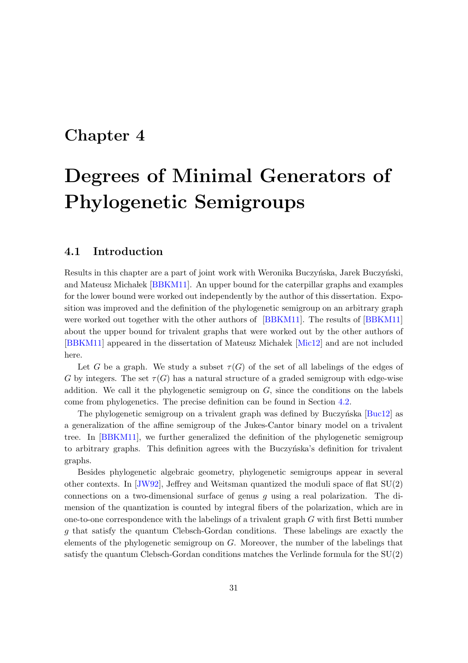### <span id="page-38-0"></span>Chapter 4

# Degrees of Minimal Generators of Phylogenetic Semigroups

#### 4.1 Introduction

Results in this chapter are a part of joint work with Weronika Buczyńska, Jarek Buczyński, and Mateusz Michalek [\[BBKM11\]](#page-88-0). An upper bound for the caterpillar graphs and examples for the lower bound were worked out independently by the author of this dissertation. Exposition was improved and the definition of the phylogenetic semigroup on an arbitrary graph were worked out together with the other authors of [\[BBKM11\]](#page-88-0). The results of [\[BBKM11\]](#page-88-0) about the upper bound for trivalent graphs that were worked out by the other authors of [\[BBKM11\]](#page-88-0) appeared in the dissertation of Mateusz Micha lek [\[Mic12\]](#page-90-0) and are not included here.

Let G be a graph. We study a subset  $\tau(G)$  of the set of all labelings of the edges of G by integers. The set  $\tau(G)$  has a natural structure of a graded semigroup with edge-wise addition. We call it the phylogenetic semigroup on  $G$ , since the conditions on the labels come from phylogenetics. The precise definition can be found in Section [4.2.](#page-39-0)

The phylogenetic semigroup on a trivalent graph was defined by Buczyńska  $[Buc12]$  as a generalization of the affine semigroup of the Jukes-Cantor binary model on a trivalent tree. In [\[BBKM11\]](#page-88-0), we further generalized the definition of the phylogenetic semigroup to arbitrary graphs. This definition agrees with the Buczyntska's definition for trivalent graphs.

Besides phylogenetic algebraic geometry, phylogenetic semigroups appear in several other contexts. In  $JW92$ , Jeffrey and Weitsman quantized the moduli space of flat  $SU(2)$ connections on a two-dimensional surface of genus q using a real polarization. The dimension of the quantization is counted by integral fibers of the polarization, which are in one-to-one correspondence with the labelings of a trivalent graph G with first Betti number g that satisfy the quantum Clebsch-Gordan conditions. These labelings are exactly the elements of the phylogenetic semigroup on G. Moreover, the number of the labelings that satisfy the quantum Clebsch-Gordan conditions matches the Verlinde formula for the SU(2)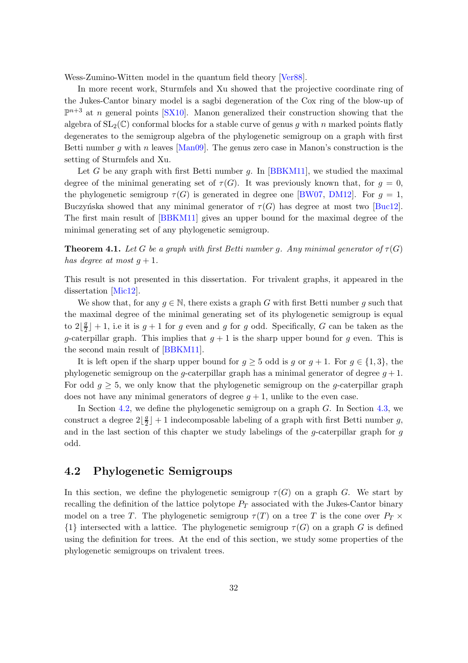Wess-Zumino-Witten model in the quantum field theory [\[Ver88\]](#page-91-2).

In more recent work, Sturmfels and Xu showed that the projective coordinate ring of the Jukes-Cantor binary model is a sagbi degeneration of the Cox ring of the blow-up of  $\mathbb{P}^{n+3}$  at n general points [\[SX10\]](#page-91-1). Manon generalized their construction showing that the algebra of  $SL_2(\mathbb{C})$  conformal blocks for a stable curve of genus g with n marked points flatly degenerates to the semigroup algebra of the phylogenetic semigroup on a graph with first Betti number q with n leaves  $\text{Man09}$ . The genus zero case in Manon's construction is the setting of Sturmfels and Xu.

Let G be any graph with first Betti number  $q$ . In [\[BBKM11\]](#page-88-0), we studied the maximal degree of the minimal generating set of  $\tau(G)$ . It was previously known that, for  $q = 0$ , the phylogenetic semigroup  $\tau(G)$  is generated in degree one [\[BW07,](#page-88-2) [DM12\]](#page-88-3). For  $g = 1$ , Buczyńska showed that any minimal generator of  $\tau(G)$  has degree at most two [\[Buc12\]](#page-88-1). The first main result of [\[BBKM11\]](#page-88-0) gives an upper bound for the maximal degree of the minimal generating set of any phylogenetic semigroup.

**Theorem 4.1.** Let G be a graph with first Betti number g. Any minimal generator of  $\tau(G)$ has degree at most  $q + 1$ .

This result is not presented in this dissertation. For trivalent graphs, it appeared in the dissertation [\[Mic12\]](#page-90-0).

We show that, for any  $g \in \mathbb{N}$ , there exists a graph G with first Betti number g such that the maximal degree of the minimal generating set of its phylogenetic semigroup is equal to  $2\frac{g}{2}$  $\frac{g}{2}$  | + 1, i.e it is  $g + 1$  for g even and g for g odd. Specifically, G can be taken as the g-caterpillar graph. This implies that  $g + 1$  is the sharp upper bound for g even. This is the second main result of [\[BBKM11\]](#page-88-0).

It is left open if the sharp upper bound for  $g \geq 5$  odd is g or  $g + 1$ . For  $g \in \{1,3\}$ , the phylogenetic semigroup on the g-caterpillar graph has a minimal generator of degree  $g + 1$ . For odd  $g \geq 5$ , we only know that the phylogenetic semigroup on the g-caterpillar graph does not have any minimal generators of degree  $g + 1$ , unlike to the even case.

In Section [4.2,](#page-39-0) we define the phylogenetic semigroup on a graph  $G$ . In Section [4.3,](#page-42-0) we construct a degree  $2\left|\frac{g}{2}\right|$  $\frac{g}{2}$  | + 1 indecomposable labeling of a graph with first Betti number g, and in the last section of this chapter we study labelings of the g-caterpillar graph for g odd.

#### <span id="page-39-0"></span>4.2 Phylogenetic Semigroups

In this section, we define the phylogenetic semigroup  $\tau(G)$  on a graph G. We start by recalling the definition of the lattice polytope  $P_T$  associated with the Jukes-Cantor binary model on a tree T. The phylogenetic semigroup  $\tau(T)$  on a tree T is the cone over  $P_T \times$  $\{1\}$  intersected with a lattice. The phylogenetic semigroup  $\tau(G)$  on a graph G is defined using the definition for trees. At the end of this section, we study some properties of the phylogenetic semigroups on trivalent trees.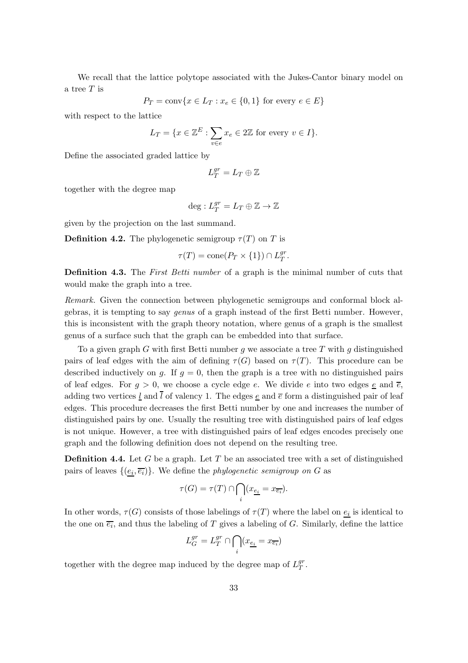We recall that the lattice polytope associated with the Jukes-Cantor binary model on a tree T is

$$
P_T = \text{conv}\{x \in L_T : x_e \in \{0, 1\} \text{ for every } e \in E\}
$$

with respect to the lattice

$$
L_T = \{ x \in \mathbb{Z}^E : \sum_{v \in e} x_e \in 2\mathbb{Z} \text{ for every } v \in I \}.
$$

Define the associated graded lattice by

$$
L_T^{gr}=L_T\oplus \mathbb{Z}
$$

together with the degree map

$$
\deg: L_T^{gr}=L_T\oplus \mathbb{Z} \to \mathbb{Z}
$$

given by the projection on the last summand.

**Definition 4.2.** The phylogenetic semigroup  $\tau(T)$  on T is

$$
\tau(T) = \text{cone}(P_T \times \{1\}) \cap L_T^{gr}.
$$

Definition 4.3. The First Betti number of a graph is the minimal number of cuts that would make the graph into a tree.

Remark. Given the connection between phylogenetic semigroups and conformal block algebras, it is tempting to say genus of a graph instead of the first Betti number. However, this is inconsistent with the graph theory notation, where genus of a graph is the smallest genus of a surface such that the graph can be embedded into that surface.

To a given graph G with first Betti number q we associate a tree T with q distinguished pairs of leaf edges with the aim of defining  $\tau(G)$  based on  $\tau(T)$ . This procedure can be described inductively on g. If  $g = 0$ , then the graph is a tree with no distinguished pairs of leaf edges. For  $q > 0$ , we choose a cycle edge e. We divide e into two edges e and  $\overline{e}$ , adding two vertices  $\underline{l}$  and  $\overline{l}$  of valency 1. The edges  $\underline{e}$  and  $\overline{e}$  form a distinguished pair of leaf edges. This procedure decreases the first Betti number by one and increases the number of distinguished pairs by one. Usually the resulting tree with distinguished pairs of leaf edges is not unique. However, a tree with distinguished pairs of leaf edges encodes precisely one graph and the following definition does not depend on the resulting tree.

**Definition 4.4.** Let G be a graph. Let T be an associated tree with a set of distinguished pairs of leaves  $\{(\underline{e_i}, \overline{e_i})\}$ . We define the *phylogenetic semigroup on G* as

$$
\tau(G) = \tau(T) \cap \bigcap_i (x_{\underline{e_i}} = x_{\overline{e_i}}).
$$

In other words,  $\tau(G)$  consists of those labelings of  $\tau(T)$  where the label on  $\underline{e_i}$  is identical to the one on  $\overline{e_i}$ , and thus the labeling of T gives a labeling of G. Similarly, define the lattice

$$
L_G^{gr}=L_T^{gr}\cap \bigcap_i (x_{\underline{e_i}}=x_{\overline{e_i}})
$$

together with the degree map induced by the degree map of  $L_T^{gr}$  $_T^{gr}.$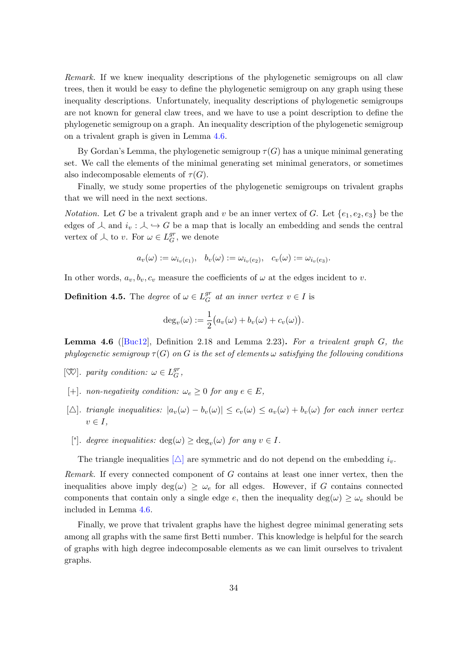Remark. If we knew inequality descriptions of the phylogenetic semigroups on all claw trees, then it would be easy to define the phylogenetic semigroup on any graph using these inequality descriptions. Unfortunately, inequality descriptions of phylogenetic semigroups are not known for general claw trees, and we have to use a point description to define the phylogenetic semigroup on a graph. An inequality description of the phylogenetic semigroup on a trivalent graph is given in Lemma [4.6.](#page-41-0)

By Gordan's Lemma, the phylogenetic semigroup  $\tau(G)$  has a unique minimal generating set. We call the elements of the minimal generating set minimal generators, or sometimes also indecomposable elements of  $\tau(G)$ .

Finally, we study some properties of the phylogenetic semigroups on trivalent graphs that we will need in the next sections.

*Notation.* Let G be a trivalent graph and v be an inner vertex of G. Let  $\{e_1, e_2, e_3\}$  be the edges of  $\perp$  and  $i_v : \perp \hookrightarrow G$  be a map that is locally an embedding and sends the central vertex of  $\perp$  to v. For  $\omega \in L_G^{gr}$  $_G^{gr}$ , we denote

$$
a_v(\omega) := \omega_{i_v(e_1)}, \quad b_v(\omega) := \omega_{i_v(e_2)}, \quad c_v(\omega) := \omega_{i_v(e_3)}.
$$

In other words,  $a_v, b_v, c_v$  measure the coefficients of  $\omega$  at the edges incident to v.

**Definition 4.5.** The *degree* of  $\omega \in L_G^{gr}$  $G \atop G$  at an inner vertex  $v \in I$  is

$$
\deg_v(\omega) := \frac{1}{2} \big( a_v(\omega) + b_v(\omega) + c_v(\omega) \big).
$$

<span id="page-41-0"></span>**Lemma 4.6** ([\[Buc12\]](#page-88-1), Definition 2.18 and Lemma 2.23). For a trivalent graph  $G$ , the phylogenetic semigroup  $\tau(G)$  on G is the set of elements  $\omega$  satisfying the following conditions

- $[\mathbb{Q}]$ . parity condition:  $\omega \in L_G^{gr}$  $_{G}^{gr},$
- <span id="page-41-1"></span>[+]. non-negativity condition:  $\omega_e \geq 0$  for any  $e \in E$ ,
- <span id="page-41-2"></span> $[\triangle]$ . triangle inequalities:  $|a_v(\omega) - b_v(\omega)| \leq c_v(\omega) \leq a_v(\omega) + b_v(\omega)$  for each inner vertex  $v \in I$ ,
- [°]. degree inequalities:  $\deg(\omega) \geq \deg_v(\omega)$  for any  $v \in I$ .

The triangle inequalities  $[\triangle]$  are symmetric and do not depend on the embedding  $i_v$ .

Remark. If every connected component of G contains at least one inner vertex, then the inequalities above imply  $deg(\omega) \geq \omega_e$  for all edges. However, if G contains connected components that contain only a single edge e, then the inequality deg( $\omega$ )  $\geq \omega_e$  should be included in Lemma [4.6.](#page-41-0)

Finally, we prove that trivalent graphs have the highest degree minimal generating sets among all graphs with the same first Betti number. This knowledge is helpful for the search of graphs with high degree indecomposable elements as we can limit ourselves to trivalent graphs.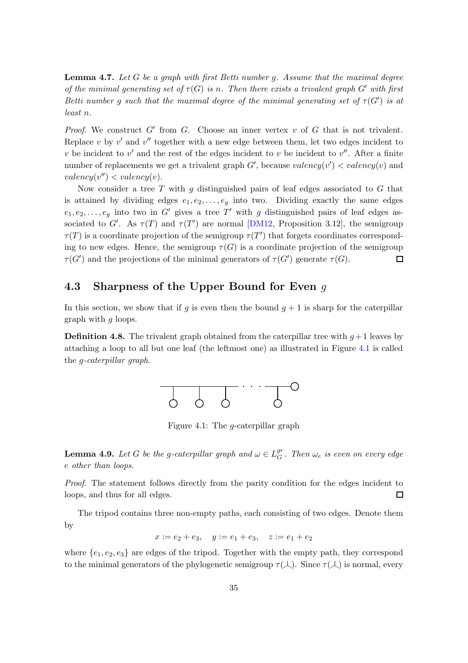<span id="page-42-3"></span>**Lemma 4.7.** Let  $G$  be a graph with first Betti number  $g$ . Assume that the maximal degree of the minimal generating set of  $\tau(G)$  is n. Then there exists a trivalent graph G' with first Betti number g such that the maximal degree of the minimal generating set of  $\tau(G')$  is at least n.

Proof. We construct  $G'$  from  $G$ . Choose an inner vertex  $v$  of  $G$  that is not trivalent. Replace  $v$  by  $v'$  and  $v''$  together with a new edge between them, let two edges incident to v be incident to  $v'$  and the rest of the edges incident to v be incident to  $v''$ . After a finite number of replacements we get a trivalent graph  $G'$ , because  $valency(v') < valency(v)$  and  $valency(v'') < valency(v)$ .

Now consider a tree T with q distinguished pairs of leaf edges associated to  $G$  that is attained by dividing edges  $e_1, e_2, \ldots, e_g$  into two. Dividing exactly the same edges  $e_1, e_2, \ldots, e_g$  into two in G' gives a tree T' with g distinguished pairs of leaf edges associated to G'. As  $\tau(T)$  and  $\tau(T')$  are normal [\[DM12,](#page-88-3) Proposition 3.12], the semigroup  $\tau(T)$  is a coordinate projection of the semigroup  $\tau(T')$  that forgets coordinates corresponding to new edges. Hence, the semigroup  $\tau(G)$  is a coordinate projection of the semigroup  $\tau(G')$  and the projections of the minimal generators of  $\tau(G')$  generate  $\tau(G)$ .  $\Box$ 

### <span id="page-42-0"></span>4.3 Sharpness of the Upper Bound for Even q

In this section, we show that if g is even then the bound  $g + 1$  is sharp for the caterpillar graph with g loops.

<span id="page-42-1"></span>**Definition 4.8.** The trivalent graph obtained from the caterpillar tree with  $q+1$  leaves by attaching a loop to all but one leaf (the leftmost one) as illustrated in Figure [4.1](#page-42-1) is called the g-caterpillar graph.



Figure 4.1: The g-caterpillar graph

<span id="page-42-2"></span>**Lemma 4.9.** Let G be the g-caterpillar graph and  $\omega \in L_G^{gr}$  $_G^{\mathit{gr}}$ . Then  $\omega_e$  is even on every edge e other than loops.

Proof. The statement follows directly from the parity condition for the edges incident to loops, and thus for all edges.  $\Box$ 

The tripod contains three non-empty paths, each consisting of two edges. Denote them by

$$
x := e_2 + e_3
$$
,  $y := e_1 + e_3$ ,  $z := e_1 + e_2$ 

where  $\{e_1, e_2, e_3\}$  are edges of the tripod. Together with the empty path, they correspond to the minimal generators of the phylogenetic semigroup  $\tau(\lambda)$ . Since  $\tau(\lambda)$  is normal, every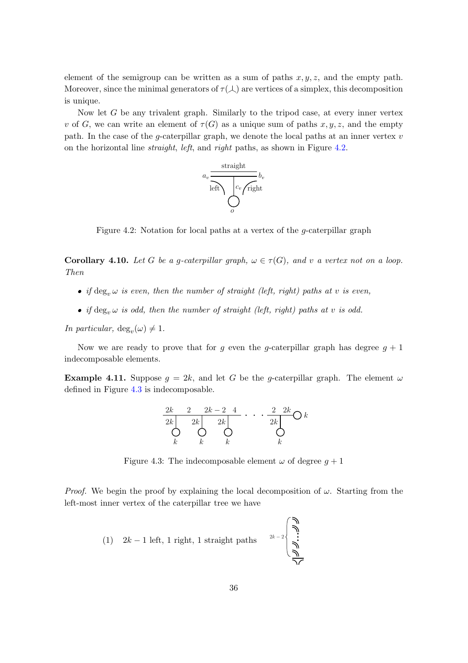element of the semigroup can be written as a sum of paths  $x, y, z$ , and the empty path. Moreover, since the minimal generators of  $\tau(\lambda)$  are vertices of a simplex, this decomposition is unique.

<span id="page-43-0"></span>Now let  $G$  be any trivalent graph. Similarly to the tripod case, at every inner vertex v of G, we can write an element of  $\tau(G)$  as a unique sum of paths x, y, z, and the empty path. In the case of the g-caterpillar graph, we denote the local paths at an inner vertex  $v$ on the horizontal line straight, left, and right paths, as shown in Figure [4.2.](#page-43-0)



Figure 4.2: Notation for local paths at a vertex of the g-caterpillar graph

<span id="page-43-2"></span>**Corollary 4.10.** Let G be a g-caterpillar graph,  $\omega \in \tau(G)$ , and v a vertex not on a loop. Then

- if  $\deg_v \omega$  is even, then the number of straight (left, right) paths at v is even,
- if deg<sub>n</sub>  $\omega$  is odd, then the number of straight (left, right) paths at v is odd.

In particular,  $deg_v(\omega) \neq 1$ .

Now we are ready to prove that for g even the g-caterpillar graph has degree  $g + 1$ indecomposable elements.

<span id="page-43-3"></span><span id="page-43-1"></span>**Example 4.11.** Suppose  $g = 2k$ , and let G be the g-caterpillar graph. The element  $\omega$ defined in Figure [4.3](#page-43-1) is indecomposable.

$$
\begin{array}{c|c}\n2k & 2 & 2k-2 & 4 \\
\hline\n2k & 2k & 2k \\
\bigcirc k & k & k\n\end{array}\n\qquad\n\begin{array}{c}\n\cdot & \cdot & \cdot & \frac{2}{2k} \\
\hline\n\cdot & \cdot & \cdot \\
\downarrow & \downarrow & \downarrow\n\end{array}
$$

Figure 4.3: The indecomposable element  $\omega$  of degree  $q+1$ 

*Proof.* We begin the proof by explaining the local decomposition of  $\omega$ . Starting from the left-most inner vertex of the caterpillar tree we have

(1)  $2k - 1$  left, 1 right, 1 straight paths  $2k - 2\begin{bmatrix} 2k \\ 1 \end{bmatrix}$ 

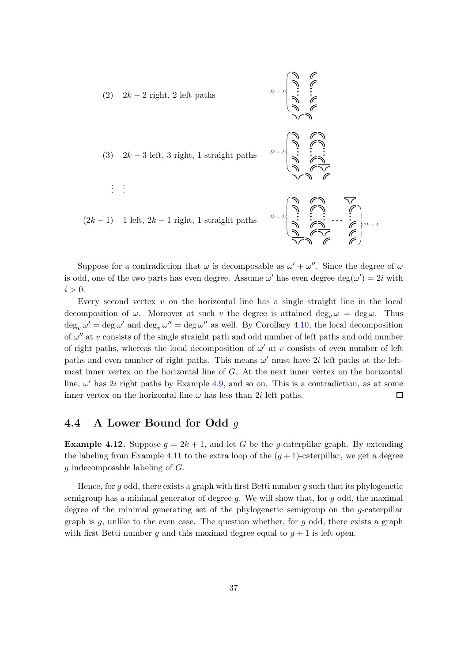

Suppose for a contradiction that  $\omega$  is decomposable as  $\omega' + \omega''$ . Since the degree of  $\omega$ is odd, one of the two parts has even degree. Assume  $\omega'$  has even degree  $\deg(\omega') = 2i$  with  $i > 0$ .

Every second vertex  $v$  on the horizontal line has a single straight line in the local decomposition of  $\omega$ . Moreover at such v the degree is attained  $\deg_v \omega = \deg \omega$ . Thus  $\deg_v \omega' = \deg \omega'$  and  $\deg_v \omega'' = \deg \omega''$  as well. By Corollary [4.10,](#page-43-2) the local decomposition of  $\omega''$  at v consists of the single straight path and odd number of left paths and odd number of right paths, whereas the local decomposition of  $\omega'$  at v consists of even number of left paths and even number of right paths. This means  $\omega'$  must have 2*i* left paths at the leftmost inner vertex on the horizontal line of G. At the next inner vertex on the horizontal line,  $\omega'$  has 2*i* right paths by Example [4.9,](#page-42-2) and so on. This is a contradiction, as at some inner vertex on the horizontal line  $\omega$  has less than 2*i* left paths. 囗

#### 4.4 A Lower Bound for Odd g

**Example 4.12.** Suppose  $g = 2k + 1$ , and let G be the g-caterpillar graph. By extending the labeling from Example [4.11](#page-43-3) to the extra loop of the  $(q + 1)$ -caterpillar, we get a degree g indecomposable labeling of G.

Hence, for g odd, there exists a graph with first Betti number g such that its phylogenetic semigroup has a minimal generator of degree q. We will show that, for  $q$  odd, the maximal degree of the minimal generating set of the phylogenetic semigroup on the g-caterpillar graph is  $g$ , unlike to the even case. The question whether, for  $g$  odd, there exists a graph with first Betti number g and this maximal degree equal to  $q + 1$  is left open.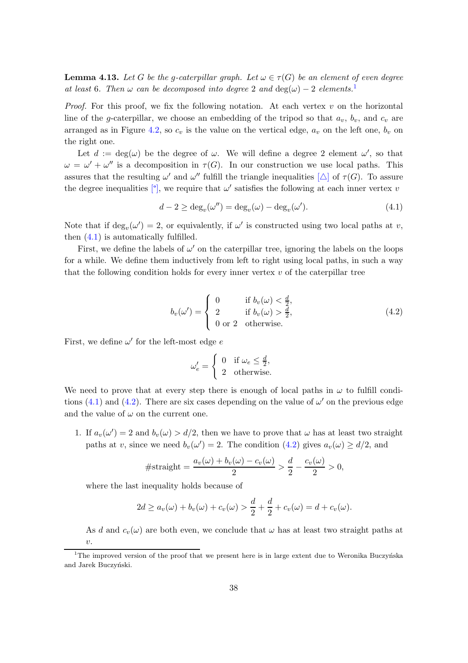**Lemma 4.13.** Let G be the g-caterpillar graph. Let  $\omega \in \tau(G)$  be an element of even degree at least 6. Then  $\omega$  can be decomposed into degree 2 and  $\deg(\omega) - 2$  elements.<sup>[1](#page-45-0)</sup>

*Proof.* For this proof, we fix the following notation. At each vertex  $v$  on the horizontal line of the g-caterpillar, we choose an embedding of the tripod so that  $a_v$ ,  $b_v$ , and  $c_v$  are arranged as in Figure [4.2,](#page-43-0) so  $c_v$  is the value on the vertical edge,  $a_v$  on the left one,  $b_v$  on the right one.

Let  $d := \deg(\omega)$  be the degree of  $\omega$ . We will define a degree 2 element  $\omega'$ , so that  $\omega = \omega' + \omega''$  is a decomposition in  $\tau(G)$ . In our construction we use local paths. This assures that the resulting  $\omega'$  and  $\omega''$  fulfill the triangle inequalities  $[\triangle]$  of  $\tau(G)$ . To assure the degree inequalities  $\lbrack \cdot \rbrack$ , we require that  $\omega'$  satisfies the following at each inner vertex v

<span id="page-45-1"></span>
$$
d - 2 \ge \deg_v(\omega'') = \deg_v(\omega) - \deg_v(\omega'). \tag{4.1}
$$

Note that if  $\deg_v(\omega') = 2$ , or equivalently, if  $\omega'$  is constructed using two local paths at v, then [\(4.1\)](#page-45-1) is automatically fulfilled.

First, we define the labels of  $\omega'$  on the caterpillar tree, ignoring the labels on the loops for a while. We define them inductively from left to right using local paths, in such a way that the following condition holds for every inner vertex  $v$  of the caterpillar tree

$$
b_v(\omega') = \begin{cases} 0 & \text{if } b_v(\omega) < \frac{d}{2}, \\ 2 & \text{if } b_v(\omega) > \frac{d}{2}, \\ 0 \text{ or } 2 & \text{otherwise.} \end{cases}
$$
(4.2)

First, we define  $\omega'$  for the left-most edge  $e$ 

<span id="page-45-2"></span>
$$
\omega'_e = \begin{cases} 0 & \text{if } \omega_e \le \frac{d}{2}, \\ 2 & \text{otherwise.} \end{cases}
$$

We need to prove that at every step there is enough of local paths in  $\omega$  to fulfill condi-tions [\(4.1\)](#page-45-1) and [\(4.2\)](#page-45-2). There are six cases depending on the value of  $\omega'$  on the previous edge and the value of  $\omega$  on the current one.

1. If  $a_v(\omega') = 2$  and  $b_v(\omega) > d/2$ , then we have to prove that  $\omega$  has at least two straight paths at v, since we need  $b_v(\omega') = 2$ . The condition [\(4.2\)](#page-45-2) gives  $a_v(\omega) \ge d/2$ , and

#straight = 
$$
\frac{a_v(\omega) + b_v(\omega) - c_v(\omega)}{2} > \frac{d}{2} - \frac{c_v(\omega)}{2} > 0,
$$

where the last inequality holds because of

$$
2d \ge a_v(\omega) + b_v(\omega) + c_v(\omega) > \frac{d}{2} + \frac{d}{2} + c_v(\omega) = d + c_v(\omega).
$$

As d and  $c_v(\omega)$  are both even, we conclude that  $\omega$  has at least two straight paths at v.

<span id="page-45-0"></span><sup>&</sup>lt;sup>1</sup>The improved version of the proof that we present here is in large extent due to Weronika Buczyńska and Jarek Buczyński.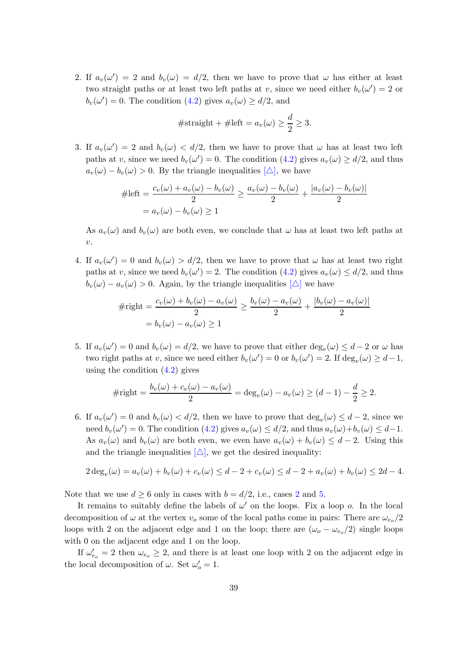<span id="page-46-0"></span>2. If  $a_v(\omega') = 2$  and  $b_v(\omega) = d/2$ , then we have to prove that  $\omega$  has either at least two straight paths or at least two left paths at v, since we need either  $b_v(\omega') = 2$  or  $b_v(\omega') = 0$ . The condition [\(4.2\)](#page-45-2) gives  $a_v(\omega) \ge d/2$ , and

#straight + #left = 
$$
a_v(\omega) \ge \frac{d}{2} \ge 3
$$
.

3. If  $a_v(\omega') = 2$  and  $b_v(\omega) < d/2$ , then we have to prove that  $\omega$  has at least two left paths at v, since we need  $b_v(\omega') = 0$ . The condition  $(4.2)$  gives  $a_v(\omega) \ge d/2$ , and thus  $a_v(\omega) - b_v(\omega) > 0$ . By the triangle inequalities  $[\triangle]$ , we have

$$
\#left = \frac{c_v(\omega) + a_v(\omega) - b_v(\omega)}{2} \ge \frac{a_v(\omega) - b_v(\omega)}{2} + \frac{|a_v(\omega) - b_v(\omega)|}{2}
$$

$$
= a_v(\omega) - b_v(\omega) \ge 1
$$

As  $a_v(\omega)$  and  $b_v(\omega)$  are both even, we conclude that  $\omega$  has at least two left paths at  $\eta$ .

4. If  $a_v(\omega') = 0$  and  $b_v(\omega) > d/2$ , then we have to prove that  $\omega$  has at least two right paths at v, since we need  $b_v(\omega') = 2$ . The condition [\(4.2\)](#page-45-2) gives  $a_v(\omega) \leq d/2$ , and thus  $b_v(\omega) - a_v(\omega) > 0$ . Again, by the triangle inequalities  $[\triangle]$  we have

$$
\# \text{right} = \frac{c_v(\omega) + b_v(\omega) - a_v(\omega)}{2} \ge \frac{b_v(\omega) - a_v(\omega)}{2} + \frac{|b_v(\omega) - a_v(\omega)|}{2}
$$

$$
= b_v(\omega) - a_v(\omega) \ge 1
$$

<span id="page-46-1"></span>5. If  $a_v(\omega') = 0$  and  $b_v(\omega) = d/2$ , we have to prove that either  $\deg_v(\omega) \leq d-2$  or  $\omega$  has two right paths at v, since we need either  $b_v(\omega') = 0$  or  $b_v(\omega') = 2$ . If  $\deg_v(\omega) \ge d - 1$ , using the condition  $(4.2)$  gives

$$
\# \text{right} = \frac{b_v(\omega) + c_v(\omega) - a_v(\omega)}{2} = \deg_v(\omega) - a_v(\omega) \ge (d - 1) - \frac{d}{2} \ge 2.
$$

6. If  $a_v(\omega') = 0$  and  $b_v(\omega) < d/2$ , then we have to prove that  $\deg_v(\omega) \leq d-2$ , since we need  $b_v(\omega') = 0$ . The condition [\(4.2\)](#page-45-2) gives  $a_v(\omega) \le d/2$ , and thus  $a_v(\omega) + b_v(\omega) \le d-1$ . As  $a_v(\omega)$  and  $b_v(\omega)$  are both even, we even have  $a_v(\omega) + b_v(\omega) \leq d - 2$ . Using this and the triangle inequalities  $[\triangle]$ , we get the desired inequality:

$$
2 \deg_v(\omega) = a_v(\omega) + b_v(\omega) + c_v(\omega) \leq d - 2 + c_v(\omega) \leq d - 2 + a_v(\omega) + b_v(\omega) \leq 2d - 4.
$$

Note that we use  $d \geq 6$  only in cases with  $b = d/2$  $b = d/2$ , i.e., cases 2 and [5.](#page-46-1)

It remains to suitably define the labels of  $\omega'$  on the loops. Fix a loop o. In the local decomposition of  $\omega$  at the vertex  $v_o$  some of the local paths come in pairs: There are  $\omega_{e_o}/2$ loops with 2 on the adjacent edge and 1 on the loop; there are  $(\omega_o - \omega_{e_0}/2)$  single loops with 0 on the adjacent edge and 1 on the loop.

If  $\omega_{e_0}^{\prime} = 2$  then  $\omega_{e_0} \geq 2$ , and there is at least one loop with 2 on the adjacent edge in the local decomposition of  $\omega$ . Set  $\omega'_{o} = 1$ .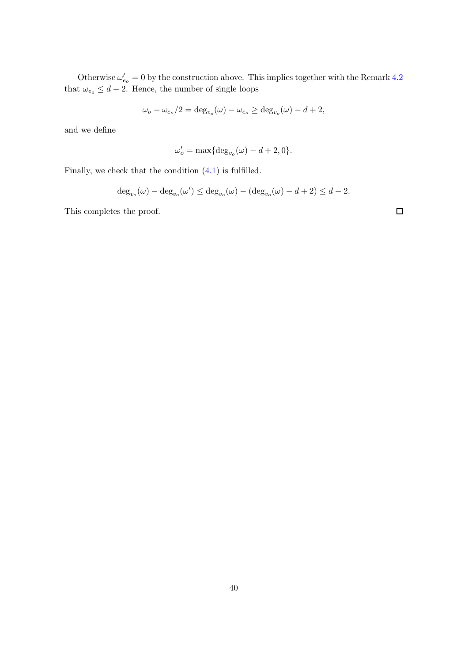Otherwise  $\omega'_{e_0} = 0$  by the construction above. This implies together with the Remark [4.2](#page-41-2) that  $\omega_{e_0} \leq d - 2$ . Hence, the number of single loops

$$
\omega_o - \omega_{e_o}/2 = \deg_{v_o}(\omega) - \omega_{e_o} \ge \deg_{v_o}(\omega) - d + 2,
$$

and we define

$$
\omega'_o = \max\{\deg_{v_o}(\omega) - d + 2, 0\}.
$$

Finally, we check that the condition [\(4.1\)](#page-45-1) is fulfilled.

$$
\deg_{v_o}(\omega) - \deg_{v_o}(\omega') \le \deg_{v_o}(\omega) - (\deg_{v_o}(\omega) - d + 2) \le d - 2.
$$

This completes the proof.

 $\Box$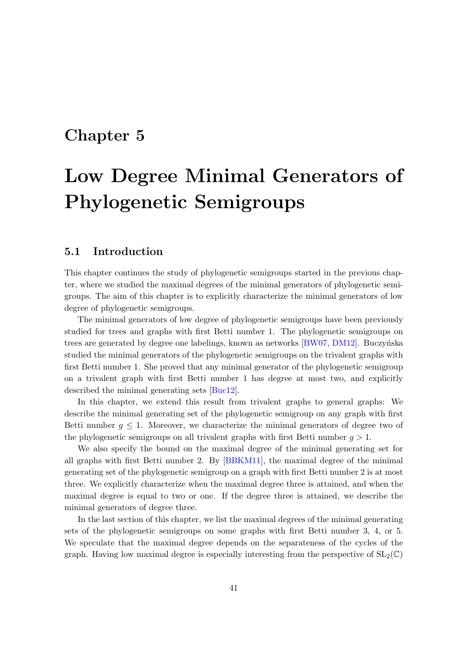### Chapter 5

# Low Degree Minimal Generators of Phylogenetic Semigroups

#### 5.1 Introduction

This chapter continues the study of phylogenetic semigroups started in the previous chapter, where we studied the maximal degrees of the minimal generators of phylogenetic semigroups. The aim of this chapter is to explicitly characterize the minimal generators of low degree of phylogenetic semigroups.

The minimal generators of low degree of phylogenetic semigroups have been previously studied for trees and graphs with first Betti number 1. The phylogenetic semigroups on trees are generated by degree one labelings, known as networks  $[BW07, DM12]$  $[BW07, DM12]$ . Buczyńska studied the minimal generators of the phylogenetic semigroups on the trivalent graphs with first Betti number 1. She proved that any minimal generator of the phylogenetic semigroup on a trivalent graph with first Betti number 1 has degree at most two, and explicitly described the minimal generating sets [\[Buc12\]](#page-88-1).

In this chapter, we extend this result from trivalent graphs to general graphs: We describe the minimal generating set of the phylogenetic semigroup on any graph with first Betti number  $g \leq 1$ . Moreover, we characterize the minimal generators of degree two of the phylogenetic semigroups on all trivalent graphs with first Betti number  $q > 1$ .

We also specify the bound on the maximal degree of the minimal generating set for all graphs with first Betti number 2. By [\[BBKM11\]](#page-88-0), the maximal degree of the minimal generating set of the phylogenetic semigroup on a graph with first Betti number 2 is at most three. We explicitly characterize when the maximal degree three is attained, and when the maximal degree is equal to two or one. If the degree three is attained, we describe the minimal generators of degree three.

In the last section of this chapter, we list the maximal degrees of the minimal generating sets of the phylogenetic semigroups on some graphs with first Betti number 3, 4, or 5. We speculate that the maximal degree depends on the separateness of the cycles of the graph. Having low maximal degree is especially interesting from the perspective of  $SL_2(\mathbb{C})$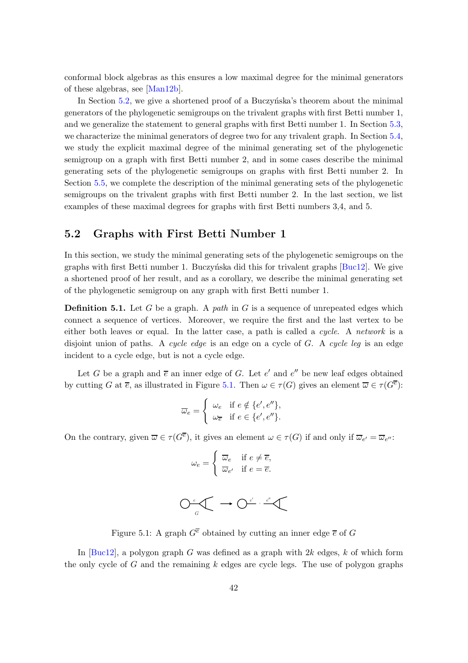conformal block algebras as this ensures a low maximal degree for the minimal generators of these algebras, see [\[Man12b\]](#page-90-3).

In Section [5.2,](#page-49-0) we give a shortened proof of a Buczynska's theorem about the minimal generators of the phylogenetic semigroups on the trivalent graphs with first Betti number 1, and we generalize the statement to general graphs with first Betti number 1. In Section [5.3,](#page-53-0) we characterize the minimal generators of degree two for any trivalent graph. In Section [5.4,](#page-54-0) we study the explicit maximal degree of the minimal generating set of the phylogenetic semigroup on a graph with first Betti number 2, and in some cases describe the minimal generating sets of the phylogenetic semigroups on graphs with first Betti number 2. In Section [5.5,](#page-60-0) we complete the description of the minimal generating sets of the phylogenetic semigroups on the trivalent graphs with first Betti number 2. In the last section, we list examples of these maximal degrees for graphs with first Betti numbers 3,4, and 5.

#### <span id="page-49-0"></span>5.2 Graphs with First Betti Number 1

In this section, we study the minimal generating sets of the phylogenetic semigroups on the graphs with first Betti number 1. Buczyńska did this for trivalent graphs  $Buc12$ . We give a shortened proof of her result, and as a corollary, we describe the minimal generating set of the phylogenetic semigroup on any graph with first Betti number 1.

**Definition 5.1.** Let G be a graph. A *path* in G is a sequence of unrepeated edges which connect a sequence of vertices. Moreover, we require the first and the last vertex to be either both leaves or equal. In the latter case, a path is called a cycle. A network is a disjoint union of paths. A cycle edge is an edge on a cycle of  $G$ . A cycle leg is an edge incident to a cycle edge, but is not a cycle edge.

Let G be a graph and  $\overline{e}$  an inner edge of G. Let e' and e'' be new leaf edges obtained by cutting G at  $\overline{e}$ , as illustrated in Figure [5.1.](#page-49-1) Then  $\omega \in \tau(G)$  gives an element  $\overline{\omega} \in \tau(G^{\overline{e}})$ :

$$
\overline{\omega}_e = \begin{cases} \omega_e & \text{if } e \notin \{e', e''\}, \\ \omega_{\overline{e}} & \text{if } e \in \{e', e''\}. \end{cases}
$$

<span id="page-49-1"></span>On the contrary, given  $\overline{\omega} \in \tau(G^{\overline{e}})$ , it gives an element  $\omega \in \tau(G)$  if and only if  $\overline{\omega}_{e'} = \overline{\omega}_{e''}$ :

$$
\omega_e = \begin{cases} \overline{\omega}_e & \text{if } e \neq \overline{e}, \\ \overline{\omega}_{e'} & \text{if } e = \overline{e}. \end{cases}
$$

$$
\bigcirc_{\mathit{G}}\mathit{C} \longrightarrow \bigcirc_{\mathit{G}}\mathit{C}'\cdot \mathit{C}''
$$

Figure 5.1: A graph  $G^{\overline{e}}$  obtained by cutting an inner edge  $\overline{e}$  of G

In  $[Buc12]$ , a polygon graph G was defined as a graph with  $2k$  edges, k of which form the only cycle of  $G$  and the remaining  $k$  edges are cycle legs. The use of polygon graphs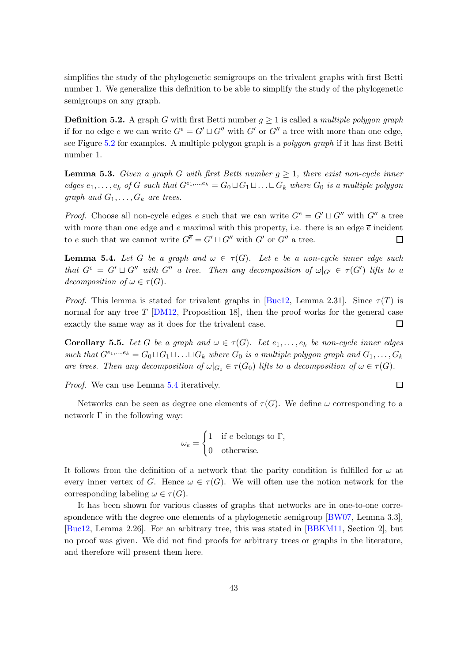simplifies the study of the phylogenetic semigroups on the trivalent graphs with first Betti number 1. We generalize this definition to be able to simplify the study of the phylogenetic semigroups on any graph.

**Definition 5.2.** A graph G with first Betti number  $g \geq 1$  is called a *multiple polygon graph* if for no edge e we can write  $G^e = G' \sqcup G''$  with  $G'$  or  $G''$  a tree with more than one edge, see Figure [5.2](#page-54-1) for examples. A multiple polygon graph is a polygon graph if it has first Betti number 1.

**Lemma 5.3.** Given a graph G with first Betti number  $q \geq 1$ , there exist non-cycle inner edges  $e_1, \ldots, e_k$  of G such that  $G^{e_1,\ldots,e_k} = G_0 \sqcup G_1 \sqcup \ldots \sqcup G_k$  where  $G_0$  is a multiple polygon graph and  $G_1, \ldots, G_k$  are trees.

*Proof.* Choose all non-cycle edges e such that we can write  $G^e = G' \sqcup G''$  with  $G''$  a tree with more than one edge and e maximal with this property, i.e. there is an edge  $\bar{e}$  incident to e such that we cannot write  $G^{\overline{e}} = G' \sqcup G''$  with  $G'$  or  $G''$  a tree.  $\Box$ 

<span id="page-50-0"></span>**Lemma 5.4.** Let G be a graph and  $\omega \in \tau(G)$ . Let e be a non-cycle inner edge such that  $G^e = G' \sqcup G''$  with  $G''$  a tree. Then any decomposition of  $\omega|_{G'} \in \tau(G')$  lifts to a decomposition of  $\omega \in \tau(G)$ .

*Proof.* This lemma is stated for trivalent graphs in [\[Buc12,](#page-88-1) Lemma 2.31]. Since  $\tau(T)$  is normal for any tree  $T$  [\[DM12,](#page-88-3) Proposition 18], then the proof works for the general case exactly the same way as it does for the trivalent case. 口

<span id="page-50-1"></span>**Corollary 5.5.** Let G be a graph and  $\omega \in \tau(G)$ . Let  $e_1, \ldots, e_k$  be non-cycle inner edges such that  $G^{e_1,...,e_k} = G_0 \sqcup G_1 \sqcup ... \sqcup G_k$  where  $G_0$  is a multiple polygon graph and  $G_1,...,G_k$ are trees. Then any decomposition of  $\omega|_{G_0} \in \tau(G_0)$  lifts to a decomposition of  $\omega \in \tau(G)$ .

Proof. We can use Lemma [5.4](#page-50-0) iteratively.

Networks can be seen as degree one elements of  $\tau(G)$ . We define  $\omega$  corresponding to a network Γ in the following way:

$$
\omega_e = \begin{cases} 1 & \text{if } e \text{ belongs to } \Gamma, \\ 0 & \text{otherwise.} \end{cases}
$$

It follows from the definition of a network that the parity condition is fulfilled for  $\omega$  at every inner vertex of G. Hence  $\omega \in \tau(G)$ . We will often use the notion network for the corresponding labeling  $\omega \in \tau(G)$ .

It has been shown for various classes of graphs that networks are in one-to-one correspondence with the degree one elements of a phylogenetic semigroup [\[BW07,](#page-88-2) Lemma 3.3], [\[Buc12,](#page-88-1) Lemma 2.26]. For an arbitrary tree, this was stated in [\[BBKM11,](#page-88-0) Section 2], but no proof was given. We did not find proofs for arbitrary trees or graphs in the literature, and therefore will present them here.

 $\Box$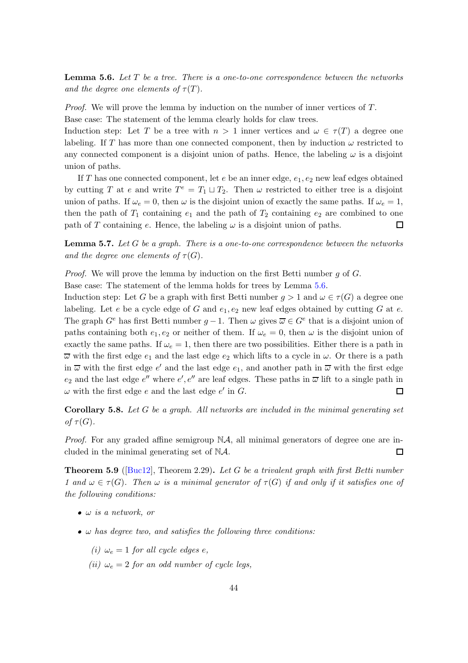<span id="page-51-0"></span>**Lemma 5.6.** Let  $T$  be a tree. There is a one-to-one correspondence between the networks and the degree one elements of  $\tau(T)$ .

Proof. We will prove the lemma by induction on the number of inner vertices of T. Base case: The statement of the lemma clearly holds for claw trees.

Induction step: Let T be a tree with  $n > 1$  inner vertices and  $\omega \in \tau(T)$  a degree one labeling. If T has more than one connected component, then by induction  $\omega$  restricted to any connected component is a disjoint union of paths. Hence, the labeling  $\omega$  is a disjoint union of paths.

If T has one connected component, let  $e$  be an inner edge,  $e_1, e_2$  new leaf edges obtained by cutting T at e and write  $T^e = T_1 \sqcup T_2$ . Then  $\omega$  restricted to either tree is a disjoint union of paths. If  $\omega_e = 0$ , then  $\omega$  is the disjoint union of exactly the same paths. If  $\omega_e = 1$ , then the path of  $T_1$  containing  $e_1$  and the path of  $T_2$  containing  $e_2$  are combined to one path of T containing e. Hence, the labeling  $\omega$  is a disjoint union of paths. □

<span id="page-51-2"></span>**Lemma 5.7.** Let  $G$  be a graph. There is a one-to-one correspondence between the networks and the degree one elements of  $\tau(G)$ .

*Proof.* We will prove the lemma by induction on the first Betti number q of  $G$ .

Base case: The statement of the lemma holds for trees by Lemma [5.6.](#page-51-0)

Induction step: Let G be a graph with first Betti number  $q > 1$  and  $\omega \in \tau(G)$  a degree one labeling. Let e be a cycle edge of G and  $e_1, e_2$  new leaf edges obtained by cutting G at e. The graph  $G^e$  has first Betti number  $g-1$ . Then  $\omega$  gives  $\overline{\omega} \in G^e$  that is a disjoint union of paths containing both  $e_1, e_2$  or neither of them. If  $\omega_e = 0$ , then  $\omega$  is the disjoint union of exactly the same paths. If  $\omega_e = 1$ , then there are two possibilities. Either there is a path in  $\overline{\omega}$  with the first edge  $e_1$  and the last edge  $e_2$  which lifts to a cycle in  $\omega$ . Or there is a path in  $\overline{\omega}$  with the first edge  $e'$  and the last edge  $e_1$ , and another path in  $\overline{\omega}$  with the first edge  $e_2$  and the last edge  $e''$  where  $e', e''$  are leaf edges. These paths in  $\overline{\omega}$  lift to a single path in  $\omega$  with the first edge e and the last edge e' in G.  $\Box$ 

**Corollary 5.8.** Let  $G$  be a graph. All networks are included in the minimal generating set of  $\tau(G)$ .

*Proof.* For any graded affine semigroup  $NA$ , all minimal generators of degree one are included in the minimal generating set of NA.  $\Box$ 

<span id="page-51-1"></span>**Theorem 5.9** ( $\lbrack \text{Buc12} \rbrack$ , Theorem 2.29). Let G be a trivalent graph with first Betti number 1 and  $\omega \in \tau(G)$ . Then  $\omega$  is a minimal generator of  $\tau(G)$  if and only if it satisfies one of the following conditions:

- $\bullet$   $\omega$  is a network, or
- $\bullet$   $\omega$  has degree two, and satisfies the following three conditions:
	- (i)  $\omega_e = 1$  for all cycle edges e,
	- (ii)  $\omega_e = 2$  for an odd number of cycle legs,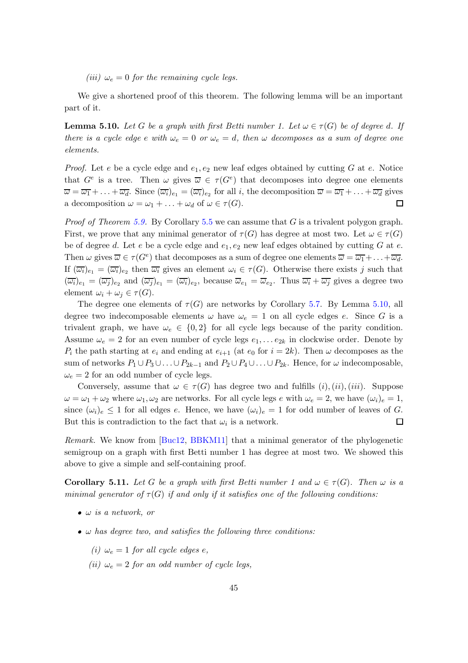(iii)  $\omega_e = 0$  for the remaining cycle legs.

We give a shortened proof of this theorem. The following lemma will be an important part of it.

<span id="page-52-0"></span>**Lemma 5.10.** Let G be a graph with first Betti number 1. Let  $\omega \in \tau(G)$  be of degree d. If there is a cycle edge e with  $\omega_e = 0$  or  $\omega_e = d$ , then  $\omega$  decomposes as a sum of degree one elements.

*Proof.* Let e be a cycle edge and  $e_1, e_2$  new leaf edges obtained by cutting G at e. Notice that  $G^e$  is a tree. Then  $\omega$  gives  $\overline{\omega} \in \tau(G^e)$  that decomposes into degree one elements  $\overline{\omega} = \overline{\omega_1} + \ldots + \overline{\omega_d}$ . Since  $(\overline{\omega_i})_{e_1} = (\overline{\omega_i})_{e_2}$  for all i, the decomposition  $\overline{\omega} = \overline{\omega_1} + \ldots + \overline{\omega_d}$  gives a decomposition  $\omega = \omega_1 + \ldots + \omega_d$  of  $\omega \in \tau(G)$ .  $\Box$ 

*Proof of Theorem [5.9.](#page-51-1)* By Corollary [5.5](#page-50-1) we can assume that G is a trivalent polygon graph. First, we prove that any minimal generator of  $\tau(G)$  has degree at most two. Let  $\omega \in \tau(G)$ be of degree d. Let e be a cycle edge and  $e_1, e_2$  new leaf edges obtained by cutting G at e. Then  $\omega$  gives  $\overline{\omega} \in \tau(G^e)$  that decomposes as a sum of degree one elements  $\overline{\omega} = \overline{\omega_1} + \ldots + \overline{\omega_d}$ . If  $(\overline{\omega_i})_{e_1} = (\overline{\omega_i})_{e_2}$  then  $\overline{\omega_i}$  gives an element  $\omega_i \in \tau(G)$ . Otherwise there exists j such that  $(\overline{\omega_i})_{e_1} = (\overline{\omega_j})_{e_2}$  and  $(\overline{\omega_j})_{e_1} = (\overline{\omega_i})_{e_2}$ , because  $\overline{\omega}_{e_1} = \overline{\omega}_{e_2}$ . Thus  $\overline{\omega_i} + \overline{\omega_j}$  gives a degree two element  $\omega_i + \omega_j \in \tau(G)$ .

The degree one elements of  $\tau(G)$  are networks by Corollary [5.7.](#page-51-2) By Lemma [5.10,](#page-52-0) all degree two indecomposable elements  $\omega$  have  $\omega_e = 1$  on all cycle edges e. Since G is a trivalent graph, we have  $\omega_e \in \{0, 2\}$  for all cycle legs because of the parity condition. Assume  $\omega_e = 2$  for an even number of cycle legs  $e_1, \ldots e_{2k}$  in clockwise order. Denote by  $P_i$  the path starting at  $e_i$  and ending at  $e_{i+1}$  (at  $e_0$  for  $i = 2k$ ). Then  $\omega$  decomposes as the sum of networks  $P_1 \cup P_3 \cup \ldots \cup P_{2k-1}$  and  $P_2 \cup P_4 \cup \ldots \cup P_{2k}$ . Hence, for  $\omega$  indecomposable,  $\omega_e = 2$  for an odd number of cycle legs.

Conversely, assume that  $\omega \in \tau(G)$  has degree two and fulfills  $(i), (iii)$ . Suppose  $\omega = \omega_1 + \omega_2$  where  $\omega_1, \omega_2$  are networks. For all cycle legs e with  $\omega_e = 2$ , we have  $(\omega_i)_e = 1$ , since  $(\omega_i)_e \leq 1$  for all edges e. Hence, we have  $(\omega_i)_e = 1$  for odd number of leaves of G. But this is contradiction to the fact that  $\omega_i$  is a network. □

Remark. We know from [\[Buc12,](#page-88-1) [BBKM11\]](#page-88-0) that a minimal generator of the phylogenetic semigroup on a graph with first Betti number 1 has degree at most two. We showed this above to give a simple and self-containing proof.

<span id="page-52-1"></span>**Corollary 5.11.** Let G be a graph with first Betti number 1 and  $\omega \in \tau(G)$ . Then  $\omega$  is a minimal generator of  $\tau(G)$  if and only if it satisfies one of the following conditions:

- $\bullet$   $\omega$  is a network, or
- $\bullet$   $\omega$  has degree two, and satisfies the following three conditions:
	- (i)  $\omega_e = 1$  for all cycle edges e,
	- (ii)  $\omega_e = 2$  for an odd number of cycle legs,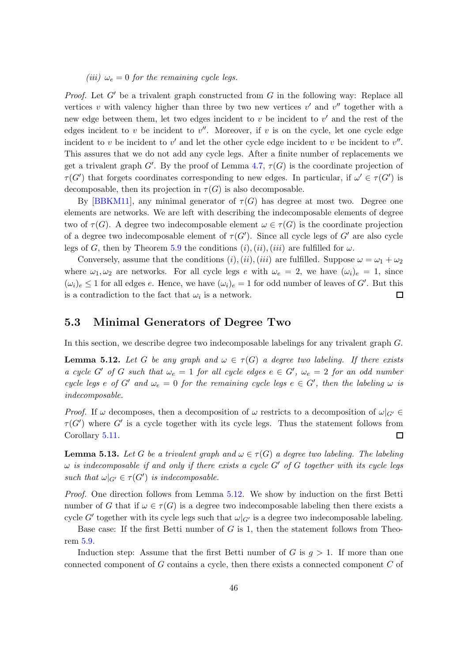(iii)  $\omega_e = 0$  for the remaining cycle legs.

*Proof.* Let  $G'$  be a trivalent graph constructed from G in the following way: Replace all vertices v with valency higher than three by two new vertices  $v'$  and  $v''$  together with a new edge between them, let two edges incident to  $v$  be incident to  $v'$  and the rest of the edges incident to  $v$  be incident to  $v''$ . Moreover, if  $v$  is on the cycle, let one cycle edge incident to v be incident to v' and let the other cycle edge incident to v be incident to  $v''$ . This assures that we do not add any cycle legs. After a finite number of replacements we get a trivalent graph  $G'$ . By the proof of Lemma [4.7,](#page-42-3)  $\tau(G)$  is the coordinate projection of  $\tau(G')$  that forgets coordinates corresponding to new edges. In particular, if  $\omega' \in \tau(G')$  is decomposable, then its projection in  $\tau(G)$  is also decomposable.

By [\[BBKM11\]](#page-88-0), any minimal generator of  $\tau(G)$  has degree at most two. Degree one elements are networks. We are left with describing the indecomposable elements of degree two of  $\tau(G)$ . A degree two indecomposable element  $\omega \in \tau(G)$  is the coordinate projection of a degree two indecomposable element of  $\tau(G')$ . Since all cycle legs of  $G'$  are also cycle legs of G, then by Theorem [5.9](#page-51-1) the conditions  $(i)$ ,  $(ii)$ ,  $(iii)$  are fulfilled for  $\omega$ .

Conversely, assume that the conditions  $(i)$ ,  $(ii)$ ,  $(iii)$  are fulfilled. Suppose  $\omega = \omega_1 + \omega_2$ where  $\omega_1, \omega_2$  are networks. For all cycle legs e with  $\omega_e = 2$ , we have  $(\omega_i)_e = 1$ , since  $(\omega_i)_e \leq 1$  for all edges e. Hence, we have  $(\omega_i)_e = 1$  for odd number of leaves of G'. But this is a contradiction to the fact that  $\omega_i$  is a network.  $\Box$ 

#### <span id="page-53-0"></span>5.3 Minimal Generators of Degree Two

In this section, we describe degree two indecomposable labelings for any trivalent graph G.

<span id="page-53-1"></span>**Lemma 5.12.** Let G be any graph and  $\omega \in \tau(G)$  a degree two labeling. If there exists a cycle G' of G such that  $\omega_e = 1$  for all cycle edges  $e \in G'$ ,  $\omega_e = 2$  for an odd number cycle legs e of G' and  $\omega_e = 0$  for the remaining cycle legs  $e \in G'$ , then the labeling  $\omega$  is indecomposable.

*Proof.* If  $\omega$  decomposes, then a decomposition of  $\omega$  restricts to a decomposition of  $\omega|_{G'} \in$  $\tau(G')$  where G' is a cycle together with its cycle legs. Thus the statement follows from Corollary [5.11.](#page-52-1) 口

<span id="page-53-2"></span>**Lemma 5.13.** Let G be a trivalent graph and  $\omega \in \tau(G)$  a degree two labeling. The labeling  $\omega$  is indecomposable if and only if there exists a cycle G' of G together with its cycle legs such that  $\omega|_{G'} \in \tau(G')$  is indecomposable.

Proof. One direction follows from Lemma [5.12.](#page-53-1) We show by induction on the first Betti number of G that if  $\omega \in \tau(G)$  is a degree two indecomposable labeling then there exists a cycle G' together with its cycle legs such that  $\omega|_{G'}$  is a degree two indecomposable labeling.

Base case: If the first Betti number of  $G$  is 1, then the statement follows from Theorem [5.9.](#page-51-1)

Induction step: Assume that the first Betti number of G is  $g > 1$ . If more than one connected component of G contains a cycle, then there exists a connected component C of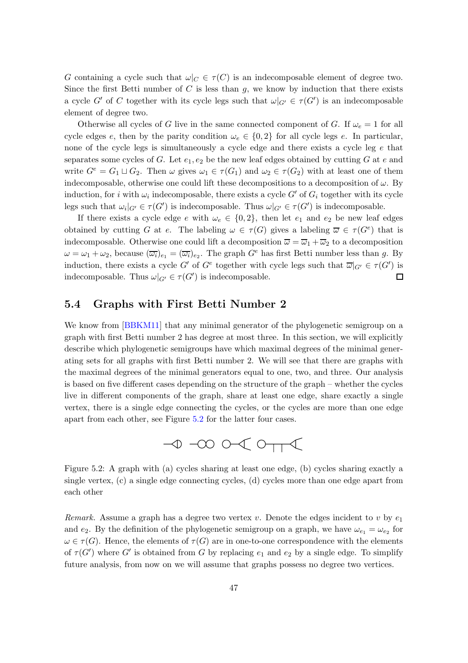G containing a cycle such that  $\omega|_C \in \tau(C)$  is an indecomposable element of degree two. Since the first Betti number of  $C$  is less than  $g$ , we know by induction that there exists a cycle G' of C together with its cycle legs such that  $\omega|_{G'} \in \tau(G')$  is an indecomposable element of degree two.

Otherwise all cycles of G live in the same connected component of G. If  $\omega_e = 1$  for all cycle edges e, then by the parity condition  $\omega_e \in \{0, 2\}$  for all cycle legs e. In particular, none of the cycle legs is simultaneously a cycle edge and there exists a cycle leg e that separates some cycles of G. Let  $e_1, e_2$  be the new leaf edges obtained by cutting G at e and write  $G^e = G_1 \sqcup G_2$ . Then  $\omega$  gives  $\omega_1 \in \tau(G_1)$  and  $\omega_2 \in \tau(G_2)$  with at least one of them indecomposable, otherwise one could lift these decompositions to a decomposition of  $\omega$ . By induction, for i with  $\omega_i$  indecomposable, there exists a cycle  $G'$  of  $G_i$  together with its cycle legs such that  $\omega_i|_{G'} \in \tau(G')$  is indecomposable. Thus  $\omega|_{G'} \in \tau(G')$  is indecomposable.

If there exists a cycle edge e with  $\omega_e \in \{0, 2\}$ , then let  $e_1$  and  $e_2$  be new leaf edges obtained by cutting G at e. The labeling  $\omega \in \tau(G)$  gives a labeling  $\overline{\omega} \in \tau(G^e)$  that is indecomposable. Otherwise one could lift a decomposition  $\overline{\omega} = \overline{\omega}_1 + \overline{\omega}_2$  to a decomposition  $\omega = \omega_1 + \omega_2$ , because  $(\overline{\omega_i})_{e_1} = (\overline{\omega_i})_{e_2}$ . The graph  $G^e$  has first Betti number less than g. By induction, there exists a cycle G' of  $G^e$  together with cycle legs such that  $\overline{\omega}|_{G'} \in \tau(G')$  is indecomposable. Thus  $\omega|_{G'} \in \tau(G')$  is indecomposable. □

#### <span id="page-54-0"></span>5.4 Graphs with First Betti Number 2

We know from [\[BBKM11\]](#page-88-0) that any minimal generator of the phylogenetic semigroup on a graph with first Betti number 2 has degree at most three. In this section, we will explicitly describe which phylogenetic semigroups have which maximal degrees of the minimal generating sets for all graphs with first Betti number 2. We will see that there are graphs with the maximal degrees of the minimal generators equal to one, two, and three. Our analysis is based on five different cases depending on the structure of the graph – whether the cycles live in different components of the graph, share at least one edge, share exactly a single vertex, there is a single edge connecting the cycles, or the cycles are more than one edge apart from each other, see Figure [5.2](#page-54-1) for the latter four cases.



<span id="page-54-1"></span>Figure 5.2: A graph with (a) cycles sharing at least one edge, (b) cycles sharing exactly a single vertex, (c) a single edge connecting cycles, (d) cycles more than one edge apart from each other

Remark. Assume a graph has a degree two vertex  $v$ . Denote the edges incident to  $v$  by  $e_1$ and  $e_2$ . By the definition of the phylogenetic semigroup on a graph, we have  $\omega_{e_1} = \omega_{e_2}$  for  $\omega \in \tau(G)$ . Hence, the elements of  $\tau(G)$  are in one-to-one correspondence with the elements of  $\tau(G')$  where G' is obtained from G by replacing  $e_1$  and  $e_2$  by a single edge. To simplify future analysis, from now on we will assume that graphs possess no degree two vertices.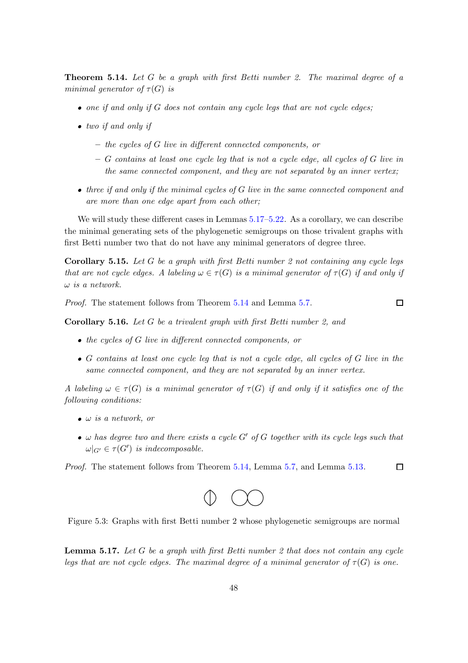<span id="page-55-1"></span>**Theorem 5.14.** Let G be a graph with first Betti number 2. The maximal degree of a minimal generator of  $\tau(G)$  is

- $\bullet$  one if and only if G does not contain any cycle legs that are not cycle edges;
- two if and only if
	- the cycles of G live in different connected components, or
	- $-$  G contains at least one cycle leg that is not a cycle edge, all cycles of G live in the same connected component, and they are not separated by an inner vertex;
- $\bullet$  three if and only if the minimal cycles of G live in the same connected component and are more than one edge apart from each other;

We will study these different cases in Lemmas  $5.17$ – $5.22$ . As a corollary, we can describe the minimal generating sets of the phylogenetic semigroups on those trivalent graphs with first Betti number two that do not have any minimal generators of degree three.

<span id="page-55-3"></span>**Corollary 5.15.** Let G be a graph with first Betti number 2 not containing any cycle legs that are not cycle edges. A labeling  $\omega \in \tau(G)$  is a minimal generator of  $\tau(G)$  if and only if  $\omega$  is a network.

Proof. The statement follows from Theorem [5.14](#page-55-1) and Lemma [5.7.](#page-51-2)

 $\Box$ 

<span id="page-55-4"></span>Corollary 5.16. Let G be a trivalent graph with first Betti number 2, and

- the cycles of G live in different connected components, or
- $\bullet$  G contains at least one cycle leg that is not a cycle edge, all cycles of G live in the same connected component, and they are not separated by an inner vertex.

A labeling  $\omega \in \tau(G)$  is a minimal generator of  $\tau(G)$  if and only if it satisfies one of the following conditions:

- $\bullet$   $\omega$  is a network, or
- $\omega$  has degree two and there exists a cycle G' of G together with its cycle legs such that  $\omega|_{G'} \in \tau(G')$  is indecomposable.

<span id="page-55-2"></span> $\Box$ Proof. The statement follows from Theorem [5.14,](#page-55-1) Lemma [5.7,](#page-51-2) and Lemma [5.13.](#page-53-2)



Figure 5.3: Graphs with first Betti number 2 whose phylogenetic semigroups are normal

<span id="page-55-0"></span>**Lemma 5.17.** Let G be a graph with first Betti number 2 that does not contain any cycle legs that are not cycle edges. The maximal degree of a minimal generator of  $\tau(G)$  is one.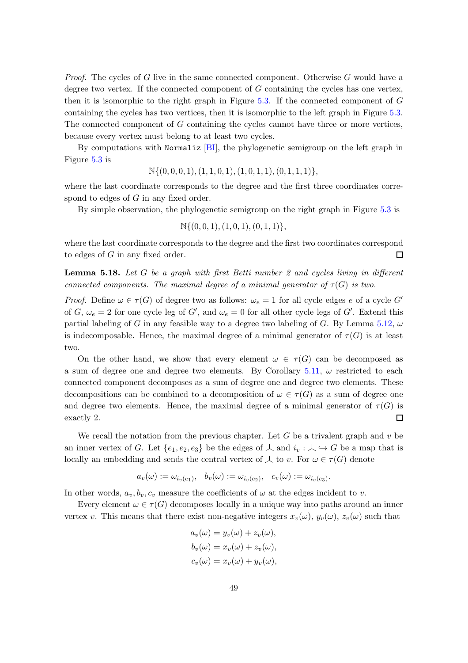*Proof.* The cycles of G live in the same connected component. Otherwise G would have a degree two vertex. If the connected component of G containing the cycles has one vertex, then it is isomorphic to the right graph in Figure  $5.3$ . If the connected component of  $G$ containing the cycles has two vertices, then it is isomorphic to the left graph in Figure [5.3.](#page-55-2) The connected component of G containing the cycles cannot have three or more vertices, because every vertex must belong to at least two cycles.

By computations with Normaliz  $[B]$ , the phylogenetic semigroup on the left graph in Figure [5.3](#page-55-2) is

$$
\mathbb{N}\{(0,0,0,1),(1,1,0,1),(1,0,1,1),(0,1,1,1)\},\
$$

where the last coordinate corresponds to the degree and the first three coordinates correspond to edges of G in any fixed order.

By simple observation, the phylogenetic semigroup on the right graph in Figure [5.3](#page-55-2) is

$$
\mathbb{N}\{(0,0,1),(1,0,1),(0,1,1)\},\
$$

where the last coordinate corresponds to the degree and the first two coordinates correspond to edges of G in any fixed order.  $\Box$ 

**Lemma 5.18.** Let G be a graph with first Betti number 2 and cycles living in different connected components. The maximal degree of a minimal generator of  $\tau(G)$  is two.

*Proof.* Define  $\omega \in \tau(G)$  of degree two as follows:  $\omega_e = 1$  for all cycle edges e of a cycle G' of G,  $\omega_e = 2$  for one cycle leg of G', and  $\omega_e = 0$  for all other cycle legs of G'. Extend this partial labeling of G in any feasible way to a degree two labeling of G. By Lemma [5.12,](#page-53-1)  $\omega$ is indecomposable. Hence, the maximal degree of a minimal generator of  $\tau(G)$  is at least two.

On the other hand, we show that every element  $\omega \in \tau(G)$  can be decomposed as a sum of degree one and degree two elements. By Corollary [5.11,](#page-52-1)  $\omega$  restricted to each connected component decomposes as a sum of degree one and degree two elements. These decompositions can be combined to a decomposition of  $\omega \in \tau(G)$  as a sum of degree one and degree two elements. Hence, the maximal degree of a minimal generator of  $\tau(G)$  is exactly 2. □

We recall the notation from the previous chapter. Let  $G$  be a trivalent graph and  $v$  be an inner vertex of G. Let  $\{e_1, e_2, e_3\}$  be the edges of  $\perp$  and  $i_v : \perp \hookrightarrow G$  be a map that is locally an embedding and sends the central vertex of  $\perp$  to v. For  $\omega \in \tau(G)$  denote

$$
a_v(\omega) := \omega_{i_v(e_1)}, \quad b_v(\omega) := \omega_{i_v(e_2)}, \quad c_v(\omega) := \omega_{i_v(e_3)}.
$$

In other words,  $a_v, b_v, c_v$  measure the coefficients of  $\omega$  at the edges incident to v.

Every element  $\omega \in \tau(G)$  decomposes locally in a unique way into paths around an inner vertex v. This means that there exist non-negative integers  $x_v(\omega)$ ,  $y_v(\omega)$ ,  $z_v(\omega)$  such that

$$
a_v(\omega) = y_v(\omega) + z_v(\omega),
$$
  
\n
$$
b_v(\omega) = x_v(\omega) + z_v(\omega),
$$
  
\n
$$
c_v(\omega) = x_v(\omega) + y_v(\omega),
$$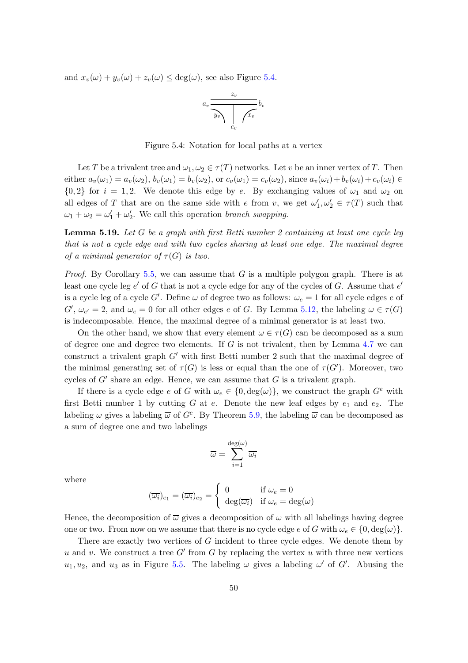<span id="page-57-0"></span>and  $x_v(\omega) + y_v(\omega) + z_v(\omega) \le \deg(\omega)$ , see also Figure [5.4.](#page-57-0)

$$
a_v \frac{z_v}{\sqrt{\frac{y_v}{c_v}}}
$$
 
$$
b_v
$$

Figure 5.4: Notation for local paths at a vertex

Let T be a trivalent tree and  $\omega_1, \omega_2 \in \tau(T)$  networks. Let v be an inner vertex of T. Then either  $a_v(\omega_1) = a_v(\omega_2)$ ,  $b_v(\omega_1) = b_v(\omega_2)$ , or  $c_v(\omega_1) = c_v(\omega_2)$ , since  $a_v(\omega_i) + b_v(\omega_i) + c_v(\omega_i) \in$  ${0,2}$  for  $i = 1,2$ . We denote this edge by e. By exchanging values of  $\omega_1$  and  $\omega_2$  on all edges of T that are on the same side with e from v, we get  $\omega'_1, \omega'_2 \in \tau(T)$  such that  $\omega_1 + \omega_2 = \omega'_1 + \omega'_2$ . We call this operation *branch swapping*.

<span id="page-57-1"></span>**Lemma 5.19.** Let  $G$  be a graph with first Betti number 2 containing at least one cycle leg that is not a cycle edge and with two cycles sharing at least one edge. The maximal degree of a minimal generator of  $\tau(G)$  is two.

*Proof.* By Corollary [5.5,](#page-50-1) we can assume that  $G$  is a multiple polygon graph. There is at least one cycle leg  $e'$  of G that is not a cycle edge for any of the cycles of G. Assume that  $e'$ is a cycle leg of a cycle G'. Define  $\omega$  of degree two as follows:  $\omega_e = 1$  for all cycle edges e of  $G', \omega_{e'} = 2$ , and  $\omega_e = 0$  for all other edges e of G. By Lemma [5.12,](#page-53-1) the labeling  $\omega \in \tau(G)$ is indecomposable. Hence, the maximal degree of a minimal generator is at least two.

On the other hand, we show that every element  $\omega \in \tau(G)$  can be decomposed as a sum of degree one and degree two elements. If  $G$  is not trivalent, then by Lemma [4.7](#page-42-3) we can construct a trivalent graph  $G'$  with first Betti number 2 such that the maximal degree of the minimal generating set of  $\tau(G)$  is less or equal than the one of  $\tau(G')$ . Moreover, two cycles of  $G'$  share an edge. Hence, we can assume that  $G$  is a trivalent graph.

If there is a cycle edge e of G with  $\omega_e \in \{0, \deg(\omega)\}\)$ , we construct the graph  $G^e$  with first Betti number 1 by cutting G at e. Denote the new leaf edges by  $e_1$  and  $e_2$ . The labeling  $\omega$  gives a labeling  $\overline{\omega}$  of  $G^e$ . By Theorem [5.9,](#page-51-1) the labeling  $\overline{\omega}$  can be decomposed as a sum of degree one and two labelings

$$
\overline{\omega} = \sum_{i=1}^{\deg(\omega)} \overline{\omega_i}
$$

where

$$
(\overline{\omega_i})_{e_1} = (\overline{\omega_i})_{e_2} = \begin{cases} 0 & \text{if } \omega_e = 0\\ \deg(\overline{\omega_i}) & \text{if } \omega_e = \deg(\omega) \end{cases}
$$

Hence, the decomposition of  $\overline{\omega}$  gives a decomposition of  $\omega$  with all labelings having degree one or two. From now on we assume that there is no cycle edge e of G with  $\omega_e \in \{0, \deg(\omega)\}.$ 

There are exactly two vertices of G incident to three cycle edges. We denote them by  $u$  and  $v$ . We construct a tree  $G'$  from  $G$  by replacing the vertex  $u$  with three new vertices  $u_1, u_2$ , and  $u_3$  as in Figure [5.5.](#page-58-0) The labeling  $\omega$  gives a labeling  $\omega'$  of  $G'$ . Abusing the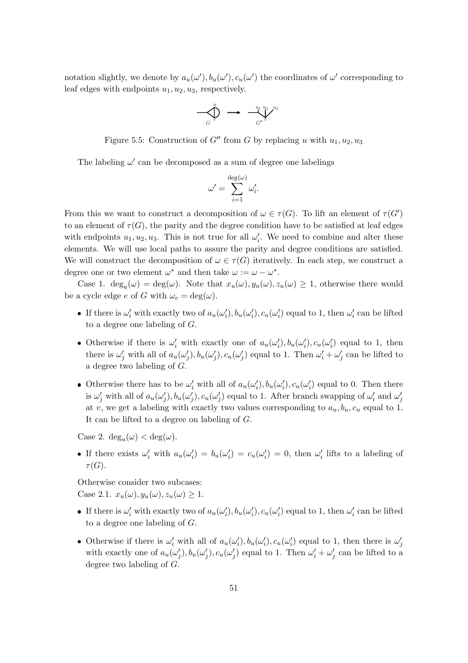<span id="page-58-0"></span>notation slightly, we denote by  $a_u(\omega'), b_u(\omega'), c_u(\omega')$  the coordinates of  $\omega'$  corresponding to leaf edges with endpoints  $u_1, u_2, u_3$ , respectively.

$$
\bigotimes_{G}^{u} \longrightarrow \bigotimes_{G''}^{u_1} \bigotimes_{v''}^{u_2} \bigotimes_{v''}
$$

Figure 5.5: Construction of  $G''$  from G by replacing u with  $u_1, u_2, u_3$ 

The labeling  $\omega'$  can be decomposed as a sum of degree one labelings

$$
\omega' = \sum_{i=1}^{\deg(\omega)} \omega'_i.
$$

From this we want to construct a decomposition of  $\omega \in \tau(G)$ . To lift an element of  $\tau(G')$ to an element of  $\tau(G)$ , the parity and the degree condition have to be satisfied at leaf edges with endpoints  $u_1, u_2, u_3$ . This is not true for all  $\omega'_i$ . We need to combine and alter these elements. We will use local paths to assure the parity and degree conditions are satisfied. We will construct the decomposition of  $\omega \in \tau(G)$  iteratively. In each step, we construct a degree one or two element  $\omega^*$  and then take  $\omega := \omega - \omega^*$ .

Case 1.  $\deg_u(\omega) = \deg(\omega)$ . Note that  $x_u(\omega), y_u(\omega), z_u(\omega) \geq 1$ , otherwise there would be a cycle edge e of G with  $\omega_e = \deg(\omega)$ .

- If there is  $\omega'_i$  with exactly two of  $a_u(\omega'_i)$ ,  $b_u(\omega'_i)$ ,  $c_u(\omega'_i)$  equal to 1, then  $\omega'_i$  can be lifted to a degree one labeling of G.
- Otherwise if there is  $\omega'_i$  with exactly one of  $a_u(\omega'_i)$ ,  $b_u(\omega'_i)$ ,  $c_u(\omega'_i)$  equal to 1, then there is  $\omega'_j$  with all of  $a_u(\omega'_j)$ ,  $b_u(\omega'_j)$ ,  $c_u(\omega'_j)$  equal to 1. Then  $\omega'_i + \omega'_j$  can be lifted to a degree two labeling of G.
- Otherwise there has to be  $\omega'_i$  with all of  $a_u(\omega'_i)$ ,  $b_u(\omega'_i)$ ,  $c_u(\omega'_i)$  equal to 0. Then there is  $\omega'_j$  with all of  $a_u(\omega'_j)$ ,  $b_u(\omega'_j)$ ,  $c_u(\omega'_j)$  equal to 1. After branch swapping of  $\omega'_i$  and  $\omega'_j$ at v, we get a labeling with exactly two values corresponding to  $a_u, b_u, c_u$  equal to 1. It can be lifted to a degree on labeling of G.

Case 2.  $\deg_u(\omega) < \deg(\omega)$ .

• If there exists  $\omega'_i$  with  $a_u(\omega'_i) = b_u(\omega'_i) = c_u(\omega'_i) = 0$ , then  $\omega'_i$  lifts to a labeling of  $\tau(G).$ 

Otherwise consider two subcases: Case 2.1.  $x_u(\omega), y_u(\omega), z_u(\omega) \geq 1$ .

- If there is  $\omega'_i$  with exactly two of  $a_u(\omega'_i)$ ,  $b_u(\omega'_i)$ ,  $c_u(\omega'_i)$  equal to 1, then  $\omega'_i$  can be lifted to a degree one labeling of G.
- Otherwise if there is  $\omega'_i$  with all of  $a_u(\omega'_i)$ ,  $b_u(\omega'_i)$ ,  $c_u(\omega'_i)$  equal to 1, then there is  $\omega'_j$ with exactly one of  $a_u(\omega'_j)$ ,  $b_u(\omega'_j)$ ,  $c_u(\omega'_j)$  equal to 1. Then  $\omega'_i + \omega'_j$  can be lifted to a degree two labeling of G.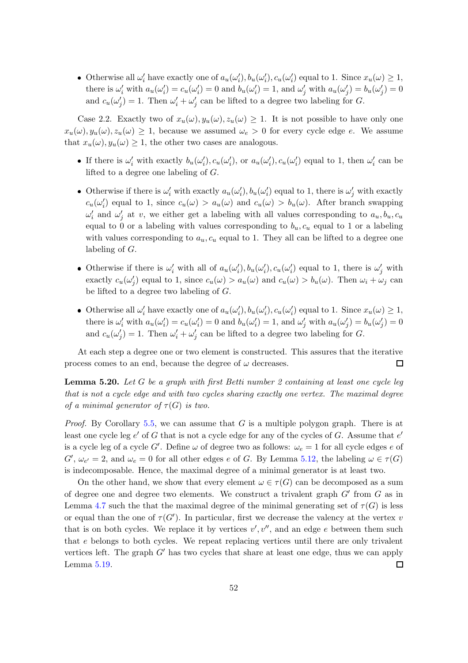• Otherwise all  $\omega'_i$  have exactly one of  $a_u(\omega'_i)$ ,  $b_u(\omega'_i)$ ,  $c_u(\omega'_i)$  equal to 1. Since  $x_u(\omega) \geq 1$ , there is  $\omega'_i$  with  $a_u(\omega'_i) = c_u(\omega'_i) = 0$  and  $b_u(\omega'_i) = 1$ , and  $\omega'_j$  with  $a_u(\omega'_j) = b_u(\omega'_j) = 0$ and  $c_u(\omega'_j) = 1$ . Then  $\omega'_i + \omega'_j$  can be lifted to a degree two labeling for G.

Case 2.2. Exactly two of  $x_u(\omega), y_u(\omega), z_u(\omega) \geq 1$ . It is not possible to have only one  $x_u(\omega), y_u(\omega), z_u(\omega) \geq 1$ , because we assumed  $\omega_e > 0$  for every cycle edge e. We assume that  $x_u(\omega), y_u(\omega) \geq 1$ , the other two cases are analogous.

- If there is  $\omega'_i$  with exactly  $b_u(\omega'_i)$ ,  $c_u(\omega'_i)$ , or  $a_u(\omega'_i)$ ,  $c_u(\omega'_i)$  equal to 1, then  $\omega'_i$  can be lifted to a degree one labeling of G.
- Otherwise if there is  $\omega'_i$  with exactly  $a_u(\omega'_i)$ ,  $b_u(\omega'_i)$  equal to 1, there is  $\omega'_j$  with exactly  $c_u(\omega'_i)$  equal to 1, since  $c_u(\omega) > a_u(\omega)$  and  $c_u(\omega) > b_u(\omega)$ . After branch swapping  $\omega'_i$  and  $\omega'_j$  at v, we either get a labeling with all values corresponding to  $a_u, b_u, c_u$ equal to 0 or a labeling with values corresponding to  $b_u, c_u$  equal to 1 or a labeling with values corresponding to  $a_u, c_u$  equal to 1. They all can be lifted to a degree one labeling of G.
- Otherwise if there is  $\omega'_i$  with all of  $a_u(\omega'_i)$ ,  $b_u(\omega'_i)$ ,  $c_u(\omega'_i)$  equal to 1, there is  $\omega'_j$  with exactly  $c_u(\omega'_j)$  equal to 1, since  $c_u(\omega) > a_u(\omega)$  and  $c_u(\omega) > b_u(\omega)$ . Then  $\omega_i + \omega_j$  can be lifted to a degree two labeling of G.
- Otherwise all  $\omega'_i$  have exactly one of  $a_u(\omega'_i)$ ,  $b_u(\omega'_i)$ ,  $c_u(\omega'_i)$  equal to 1. Since  $x_u(\omega) \geq 1$ , there is  $\omega'_i$  with  $a_u(\omega'_i) = c_u(\omega'_i) = 0$  and  $b_u(\omega'_i) = 1$ , and  $\omega'_j$  with  $a_u(\omega'_j) = b_u(\omega'_j) = 0$ and  $c_u(\omega'_j) = 1$ . Then  $\omega'_i + \omega'_j$  can be lifted to a degree two labeling for G.

At each step a degree one or two element is constructed. This assures that the iterative process comes to an end, because the degree of  $\omega$  decreases. □

**Lemma 5.20.** Let G be a graph with first Betti number 2 containing at least one cycle leg that is not a cycle edge and with two cycles sharing exactly one vertex. The maximal degree of a minimal generator of  $\tau(G)$  is two.

*Proof.* By Corollary [5.5,](#page-50-1) we can assume that G is a multiple polygon graph. There is at least one cycle leg  $e'$  of G that is not a cycle edge for any of the cycles of G. Assume that  $e'$ is a cycle leg of a cycle G'. Define  $\omega$  of degree two as follows:  $\omega_e = 1$  for all cycle edges e of  $G', \omega_{e'} = 2$ , and  $\omega_e = 0$  for all other edges e of G. By Lemma [5.12,](#page-53-1) the labeling  $\omega \in \tau(G)$ is indecomposable. Hence, the maximal degree of a minimal generator is at least two.

On the other hand, we show that every element  $\omega \in \tau(G)$  can be decomposed as a sum of degree one and degree two elements. We construct a trivalent graph  $G'$  from  $G$  as in Lemma [4.7](#page-42-3) such the that the maximal degree of the minimal generating set of  $\tau(G)$  is less or equal than the one of  $\tau(G')$ . In particular, first we decrease the valency at the vertex v that is on both cycles. We replace it by vertices  $v', v'',$  and an edge e between them such that e belongs to both cycles. We repeat replacing vertices until there are only trivalent vertices left. The graph  $G'$  has two cycles that share at least one edge, thus we can apply Lemma [5.19.](#page-57-1)  $\Box$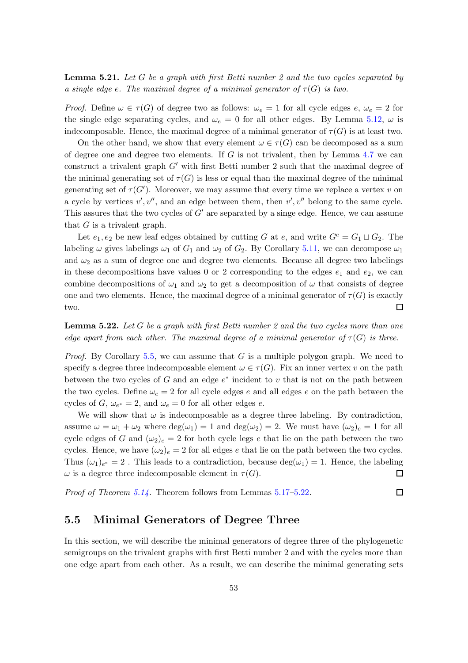**Lemma 5.21.** Let G be a graph with first Betti number 2 and the two cycles separated by a single edge e. The maximal degree of a minimal generator of  $\tau(G)$  is two.

*Proof.* Define  $\omega \in \tau(G)$  of degree two as follows:  $\omega_e = 1$  for all cycle edges e,  $\omega_e = 2$  for the single edge separating cycles, and  $\omega_e = 0$  for all other edges. By Lemma [5.12,](#page-53-1)  $\omega$  is indecomposable. Hence, the maximal degree of a minimal generator of  $\tau(G)$  is at least two.

On the other hand, we show that every element  $\omega \in \tau(G)$  can be decomposed as a sum of degree one and degree two elements. If  $G$  is not trivalent, then by Lemma [4.7](#page-42-3) we can construct a trivalent graph  $G'$  with first Betti number 2 such that the maximal degree of the minimal generating set of  $\tau(G)$  is less or equal than the maximal degree of the minimal generating set of  $\tau(G')$ . Moreover, we may assume that every time we replace a vertex v on a cycle by vertices  $v', v'',$  and an edge between them, then  $v', v''$  belong to the same cycle. This assures that the two cycles of  $G'$  are separated by a singe edge. Hence, we can assume that  $G$  is a trivalent graph.

Let  $e_1, e_2$  be new leaf edges obtained by cutting G at e, and write  $G^e = G_1 \sqcup G_2$ . The labeling  $\omega$  gives labelings  $\omega_1$  of  $G_1$  and  $\omega_2$  of  $G_2$ . By Corollary [5.11,](#page-52-1) we can decompose  $\omega_1$ and  $\omega_2$  as a sum of degree one and degree two elements. Because all degree two labelings in these decompositions have values 0 or 2 corresponding to the edges  $e_1$  and  $e_2$ , we can combine decompositions of  $\omega_1$  and  $\omega_2$  to get a decomposition of  $\omega$  that consists of degree one and two elements. Hence, the maximal degree of a minimal generator of  $\tau(G)$  is exactly two.  $\Box$ 

<span id="page-60-1"></span>**Lemma 5.22.** Let G be a graph with first Betti number 2 and the two cycles more than one edge apart from each other. The maximal degree of a minimal generator of  $\tau(G)$  is three.

*Proof.* By Corollary  $5.5$ , we can assume that G is a multiple polygon graph. We need to specify a degree three indecomposable element  $\omega \in \tau(G)$ . Fix an inner vertex v on the path between the two cycles of  $G$  and an edge  $e^*$  incident to  $v$  that is not on the path between the two cycles. Define  $\omega_e = 2$  for all cycle edges e and all edges e on the path between the cycles of  $G, \omega_{e^*} = 2$ , and  $\omega_e = 0$  for all other edges  $e$ .

We will show that  $\omega$  is indecomposable as a degree three labeling. By contradiction, assume  $\omega = \omega_1 + \omega_2$  where  $\deg(\omega_1) = 1$  and  $\deg(\omega_2) = 2$ . We must have  $(\omega_2)_e = 1$  for all cycle edges of G and  $(\omega_2)_e = 2$  for both cycle legs e that lie on the path between the two cycles. Hence, we have  $(\omega_2)_e = 2$  for all edges e that lie on the path between the two cycles. Thus  $(\omega_1)_{e^*} = 2$ . This leads to a contradiction, because  $\deg(\omega_1) = 1$ . Hence, the labeling  $\omega$  is a degree three indecomposable element in  $\tau(G)$ .  $\Box$ 

<span id="page-60-0"></span>Proof of Theorem [5.14.](#page-55-1) Theorem follows from Lemmas [5.17](#page-55-0)[–5.22.](#page-60-1)

口

#### 5.5 Minimal Generators of Degree Three

In this section, we will describe the minimal generators of degree three of the phylogenetic semigroups on the trivalent graphs with first Betti number 2 and with the cycles more than one edge apart from each other. As a result, we can describe the minimal generating sets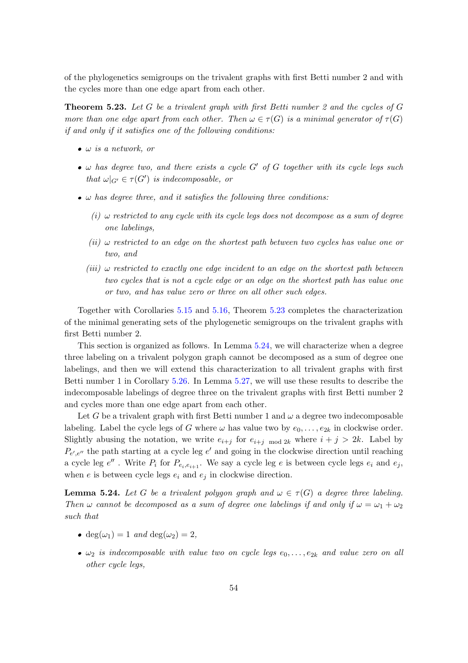of the phylogenetics semigroups on the trivalent graphs with first Betti number 2 and with the cycles more than one edge apart from each other.

<span id="page-61-0"></span>**Theorem 5.23.** Let G be a trivalent graph with first Betti number 2 and the cycles of  $G$ more than one edge apart from each other. Then  $\omega \in \tau(G)$  is a minimal generator of  $\tau(G)$ if and only if it satisfies one of the following conditions:

- $\bullet$   $\omega$  is a network, or
- $\bullet$   $\omega$  has degree two, and there exists a cycle G' of G together with its cycle legs such that  $\omega|_{G'} \in \tau(G')$  is indecomposable, or
- $\bullet$   $\omega$  has degree three, and it satisfies the following three conditions:
	- (i)  $\omega$  restricted to any cycle with its cycle legs does not decompose as a sum of degree one labelings,
	- (ii)  $\omega$  restricted to an edge on the shortest path between two cycles has value one or two, and
	- $(iii)$   $\omega$  restricted to exactly one edge incident to an edge on the shortest path between two cycles that is not a cycle edge or an edge on the shortest path has value one or two, and has value zero or three on all other such edges.

Together with Corollaries [5.15](#page-55-3) and [5.16,](#page-55-4) Theorem [5.23](#page-61-0) completes the characterization of the minimal generating sets of the phylogenetic semigroups on the trivalent graphs with first Betti number 2.

This section is organized as follows. In Lemma [5.24,](#page-61-1) we will characterize when a degree three labeling on a trivalent polygon graph cannot be decomposed as a sum of degree one labelings, and then we will extend this characterization to all trivalent graphs with first Betti number 1 in Corollary [5.26.](#page-64-0) In Lemma [5.27,](#page-64-1) we will use these results to describe the indecomposable labelings of degree three on the trivalent graphs with first Betti number 2 and cycles more than one edge apart from each other.

Let G be a trivalent graph with first Betti number 1 and  $\omega$  a degree two indecomposable labeling. Label the cycle legs of G where  $\omega$  has value two by  $e_0, \ldots, e_{2k}$  in clockwise order. Slightly abusing the notation, we write  $e_{i+j}$  for  $e_{i+j}$  mod 2k where  $i + j > 2k$ . Label by  $P_{e',e''}$  the path starting at a cycle leg  $e'$  and going in the clockwise direction until reaching a cycle leg  $e''$ . Write  $P_i$  for  $P_{e_i,e_{i+1}}$ . We say a cycle leg e is between cycle legs  $e_i$  and  $e_j$ , when  $e$  is between cycle legs  $e_i$  and  $e_j$  in clockwise direction.

<span id="page-61-1"></span>**Lemma 5.24.** Let G be a trivalent polygon graph and  $\omega \in \tau(G)$  a degree three labeling. Then  $\omega$  cannot be decomposed as a sum of degree one labelings if and only if  $\omega = \omega_1 + \omega_2$ such that

- $\bullet$  deg( $\omega_1$ ) = 1 and deg( $\omega_2$ ) = 2,
- $\omega_2$  is indecomposable with value two on cycle legs  $e_0, \ldots, e_{2k}$  and value zero on all other cycle legs,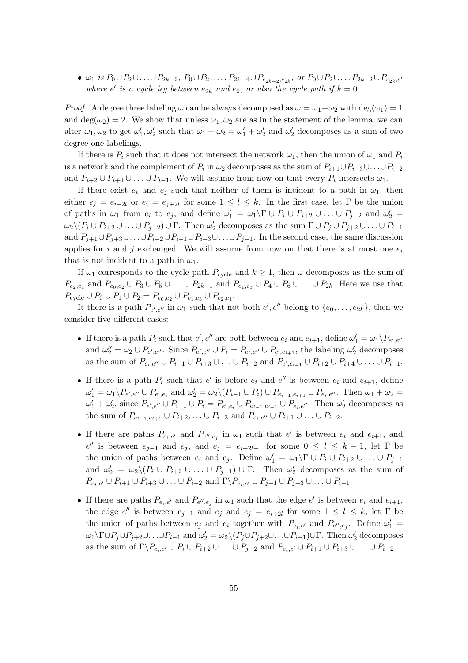$\bullet$   $\omega_1$  is  $P_0 \cup P_2 \cup \ldots \cup P_{2k-2}$ ,  $P_0 \cup P_2 \cup \ldots P_{2k-4} \cup P_{e_{2k-2},e_{2k}}$ , or  $P_0 \cup P_2 \cup \ldots P_{2k-2} \cup P_{e_{2k},e'}$ where e' is a cycle leg between  $e_{2k}$  and  $e_0$ , or also the cycle path if  $k = 0$ .

*Proof.* A degree three labeling  $\omega$  can be always decomposed as  $\omega = \omega_1 + \omega_2$  with deg $(\omega_1) = 1$ and deg( $\omega_2$ ) = 2. We show that unless  $\omega_1, \omega_2$  are as in the statement of the lemma, we can alter  $\omega_1, \omega_2$  to get  $\omega'_1, \omega'_2$  such that  $\omega_1 + \omega_2 = \omega'_1 + \omega'_2$  and  $\omega'_2$  decomposes as a sum of two degree one labelings.

If there is  $P_i$  such that it does not intersect the network  $\omega_1$ , then the union of  $\omega_1$  and  $P_i$ is a network and the complement of  $P_i$  in  $\omega_2$  decomposes as the sum of  $P_{i+1}\cup P_{i+3}\cup\ldots\cup P_{i-2}$ and  $P_{i+2} \cup P_{i+4} \cup \ldots \cup P_{i-1}$ . We will assume from now on that every  $P_i$  intersects  $\omega_1$ .

If there exist  $e_i$  and  $e_j$  such that neither of them is incident to a path in  $\omega_1$ , then either  $e_j = e_{i+2l}$  or  $e_i = e_{j+2l}$  for some  $1 \leq l \leq k$ . In the first case, let  $\Gamma$  be the union of paths in  $\omega_1$  from  $e_i$  to  $e_j$ , and define  $\omega'_1 = \omega_1 \backslash \Gamma \cup P_i \cup P_{i+2} \cup ... \cup P_{j-2}$  and  $\omega'_2 =$  $\omega_2 \setminus (P_i \cup P_{i+2} \cup \ldots \cup P_{j-2}) \cup \Gamma$ . Then  $\omega'_2$  decomposes as the sum  $\Gamma \cup P_j \cup P_{j+2} \cup \ldots \cup P_{i-1}$ and  $P_{i+1}\cup P_{i+3}\cup \ldots \cup P_{i-2}\cup P_{i+1}\cup P_{i+3}\cup \ldots \cup P_{i-1}$ . In the second case, the same discussion applies for i and j exchanged. We will assume from now on that there is at most one  $e_i$ that is not incident to a path in  $\omega_1$ .

If  $\omega_1$  corresponds to the cycle path  $P_{\text{cycle}}$  and  $k \geq 1$ , then  $\omega$  decomposes as the sum of  $P_{e_2,e_1}$  and  $P_{e_0,e_2} \cup P_3 \cup P_5 \cup \ldots \cup P_{2k-1}$  and  $P_{e_1,e_3} \cup P_4 \cup P_6 \cup \ldots \cup P_{2k}$ . Here we use that  $P_{\text{cycle}} \cup P_0 \cup P_1 \cup P_2 = P_{e_0,e_2} \cup P_{e_1,e_3} \cup P_{e_2,e_1}.$ 

It there is a path  $P_{e',e''}$  in  $\omega_1$  such that not both  $e', e''$  belong to  $\{e_0, \ldots, e_{2k}\}\$ , then we consider five different cases:

- If there is a path  $P_i$  such that  $e', e''$  are both between  $e_i$  and  $e_{i+1}$ , define  $\omega'_1 = \omega_1 \backslash P_{e',e''}$ and  $\omega''_2 = \omega_2 \cup P_{e',e''}$ . Since  $P_{e',e''} \cup P_i = P_{e_i,e''} \cup P_{e',e_{i+1}}$ , the labeling  $\omega'_2$  decomposes as the sum of  $P_{e_i,e''} \cup P_{i+1} \cup P_{i+3} \cup \ldots \cup P_{i-2}$  and  $P_{e',e_{i+1}} \cup P_{i+2} \cup P_{i+4} \cup \ldots \cup P_{i-1}$ .
- If there is a path  $P_i$  such that  $e'$  is before  $e_i$  and  $e''$  is between  $e_i$  and  $e_{i+1}$ , define  $\omega'_1 = \omega_1 \backslash P_{e',e'} \cup P_{e',e_i}$  and  $\omega'_2 = \omega_2 \backslash (P_{i-1} \cup P_i) \cup P_{e_{i-1},e_{i+1}} \cup P_{e_i,e''}$ . Then  $\omega_1 + \omega_2 =$  $\omega'_1+\omega'_2$ , since  $P_{e',e''}\cup P_{i-1}\cup P_i=P_{e',e_i}\cup P_{e_{i-1},e_{i+1}}\cup P_{e_i,e''}$ . Then  $\omega'_2$  decomposes as the sum of  $P_{e_{i-1},e_{i+1}} \cup P_{i+2}, \ldots \cup P_{i-3}$  and  $P_{e_i,e''} \cup P_{i+1} \cup \ldots \cup P_{i-2}$ .
- If there are paths  $P_{e_i,e'}$  and  $P_{e'',e_j}$  in  $\omega_1$  such that  $e'$  is between  $e_i$  and  $e_{i+1}$ , and  $e''$  is between  $e_{j-1}$  and  $e_j$ , and  $e_j = e_{i+2l+1}$  for some  $0 ≤ l ≤ k - 1$ , let Γ be the union of paths between  $e_i$  and  $e_j$ . Define  $\omega'_1 = \omega_1 \backslash \Gamma \cup P_i \cup P_{i+2} \cup ... \cup P_{j-1}$ and  $\omega'_2 = \omega_2 \setminus (P_i \cup P_{i+2} \cup ... \cup P_{j-1}) \cup \Gamma$ . Then  $\omega'_2$  decomposes as the sum of  $P_{e_i,e'} \cup P_{i+1} \cup P_{i+3} \cup \ldots \cup P_{i-2}$  and  $\Gamma \backslash P_{e_i,e'} \cup P_{j+1} \cup P_{j+3} \cup \ldots \cup P_{i-1}$ .
- If there are paths  $P_{e_i,e'}$  and  $P_{e'',e_j}$  in  $\omega_1$  such that the edge  $e'$  is between  $e_i$  and  $e_{i+1}$ , the edge  $e''$  is between  $e_{j-1}$  and  $e_j$  and  $e_j = e_{i+2l}$  for some  $1 \leq l \leq k$ , let  $\Gamma$  be the union of paths between  $e_j$  and  $e_i$  together with  $P_{e_i,e'}$  and  $P_{e'',e_j}$ . Define  $\omega'_1$  =  $\omega_1\setminus\Gamma\cup P_j\cup P_{j+2}\cup\ldots\cup P_{i-1}$  and  $\omega_2'=\omega_2\setminus(P_j\cup P_{j+2}\cup\ldots\cup P_{i-1})\cup\Gamma$ . Then  $\omega_2'$  decomposes as the sum of  $\Gamma \backslash P_{e_i,e'} \cup P_i \cup P_{i+2} \cup \ldots \cup P_{j-2}$  and  $P_{e_i,e'} \cup P_{i+1} \cup P_{i+3} \cup \ldots \cup P_{i-2}$ .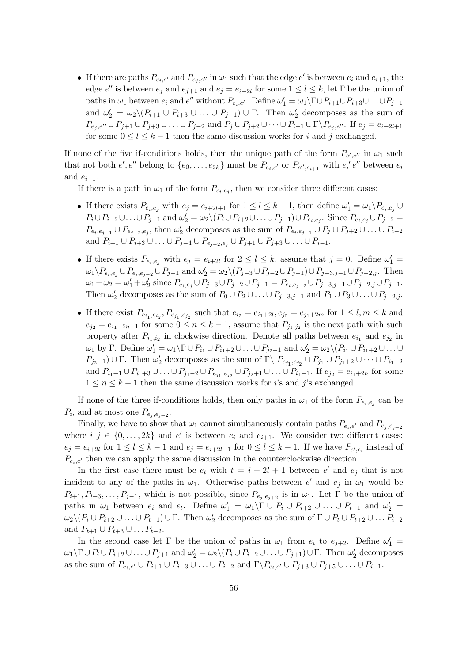If there are paths  $P_{e_i,e'}$  and  $P_{e_j,e''}$  in  $\omega_1$  such that the edge  $e'$  is between  $e_i$  and  $e_{i+1}$ , the edge  $e''$  is between  $e_j$  and  $e_{j+1}$  and  $e_j = e_{i+2l}$  for some  $1 \leq l \leq k$ , let  $\Gamma$  be the union of paths in  $\omega_1$  between  $e_i$  and  $e''$  without  $P_{e_i,e'}$ . Define  $\omega'_1 = \omega_1 \setminus \Gamma \cup P_{i+1} \cup P_{i+3} \cup \ldots \cup P_{j-1}$ and  $\omega'_2 = \omega_2 \setminus (P_{i+1} \cup P_{i+3} \cup ... \cup P_{j-1}) \cup \Gamma$ . Then  $\omega'_2$  decomposes as the sum of  $P_{e_i, e''} \cup P_{j+1} \cup P_{j+3} \cup \ldots \cup P_{j-2}$  and  $P_j \cup P_{j+2} \cup \cdots \cup P_{i-1} \cup \Gamma \backslash P_{e_i, e''}$ . If  $e_j = e_{i+2l+1}$ for some  $0 \leq l \leq k-1$  then the same discussion works for i and j exchanged.

If none of the five if-conditions holds, then the unique path of the form  $P_{e',e''}$  in  $\omega_1$  such that not both  $e', e''$  belong to  $\{e_0, \ldots, e_{2k}\}\$  must be  $P_{e_i,e'}$  or  $P_{e'',e_{i+1}}$  with  $e', e''$  between  $e_i$ and  $e_{i+1}$ .

If there is a path in  $\omega_1$  of the form  $P_{e_i,e_j}$ , then we consider three different cases:

- If there exists  $P_{e_i,e_j}$  with  $e_j = e_{i+2l+1}$  for  $1 \leq l \leq k-1$ , then define  $\omega'_1 = \omega_1 \backslash P_{e_i,e_j} \cup$  $P_i \cup P_{i+2} \cup \ldots \cup P_{j-1}$  and  $\omega'_2 = \omega_2 \setminus (P_i \cup P_{i+2} \cup \ldots \cup P_{j-1}) \cup P_{e_i,e_j}$ . Since  $P_{e_i,e_j} \cup P_{j-2} =$  $P_{e_i,e_{j-1}} \cup P_{e_{j-2},e_j}$ , then  $\omega'_2$  decomposes as the sum of  $P_{e_i,e_{j-1}} \cup P_j \cup P_{j+2} \cup \ldots \cup P_{i-2}$ and  $P_{i+1} \cup P_{i+3} \cup \ldots \cup P_{j-4} \cup P_{e_{j-2},e_j} \cup P_{j+1} \cup P_{j+3} \cup \ldots \cup P_{i-1}.$
- If there exists  $P_{e_i,e_j}$  with  $e_j = e_{i+2l}$  for  $2 \leq l \leq k$ , assume that  $j = 0$ . Define  $\omega'_1 =$  $\omega_1 \backslash P_{e_i,e_j} \cup P_{e_i,e_{j-2}} \cup P_{j-1}$  and  $\omega'_2 = \omega_2 \backslash (P_{j-3} \cup P_{j-2} \cup P_{j-1}) \cup P_{j-3,j-1} \cup P_{j-2,j}$ . Then  $\omega_1 + \omega_2 = \omega'_1 + \omega'_2$  since  $P_{e_i, e_j} \cup P_{j-3} \cup P_{j-2} \cup P_{j-1} = P_{e_i, e_{j-2}} \cup P_{j-3, j-1} \cup P_{j-2, j} \cup P_{j-1}.$ Then  $\omega'_2$  decomposes as the sum of  $P_0 \cup P_2 \cup \ldots \cup P_{j-3,j-1}$  and  $P_1 \cup P_3 \cup \ldots \cup P_{j-2,j}$ .
- If there exist  $P_{e_{i_1},e_{i_2}}, P_{e_{j_1},e_{j_2}}$  such that  $e_{i_2} = e_{i_1+2l}, e_{j_2} = e_{j_1+2m}$  for  $1 \leq l, m \leq k$  and  $e_{j2} = e_{i_1+2n+1}$  for some  $0 \leq n \leq k-1$ , assume that  $P_{j_1,j_2}$  is the next path with such property after  $P_{i_1,i_2}$  in clockwise direction. Denote all paths between  $e_{i_1}$  and  $e_{j_2}$  in  $ω_1$  by Γ. Define  $ω_1' = ω_1 \setminus Γ ∪ P_{i_1} ∪ P_{i_1+2} ∪ ... ∪ P_{j_2-1}$  and  $ω_2' = ω_2 \setminus (P_{i_1} ∪ P_{i_1+2} ∪ ... ∪ P_{j_2-1})$  $P_{j_2-1}\cup\Gamma$ . Then  $\omega'_2$  decomposes as the sum of  $\Gamma\setminus P_{e_{j_1},e_{j_2}}\cup P_{j_1}\cup P_{j_1+2}\cup\cdots\cup P_{i_1-2}$ and  $P_{i_1+1} \cup P_{i_1+3} \cup \ldots \cup P_{j_1-2} \cup P_{e_{j_1},e_{j_2}} \cup P_{j_2+1} \cup \ldots \cup P_{i_1-1}$ . If  $e_{j_2} = e_{i_1+2n}$  for some  $1 \leq n \leq k-1$  then the same discussion works for *i*'s and *j*'s exchanged.

If none of the three if-conditions holds, then only paths in  $\omega_1$  of the form  $P_{e_i,e_j}$  can be  $P_i$ , and at most one  $P_{e_j,e_{j+2}}$ .

Finally, we have to show that  $\omega_1$  cannot simultaneously contain paths  $P_{e_i,e'}$  and  $P_{e_i,e_{i+2}}$ where  $i, j \in \{0, ..., 2k\}$  and  $e'$  is between  $e_i$  and  $e_{i+1}$ . We consider two different cases:  $e_j = e_{i+2l}$  for  $1 \leq l \leq k-1$  and  $e_j = e_{i+2l+1}$  for  $0 \leq l \leq k-1$ . If we have  $P_{e',e_i}$  instead of  $P_{e_i,e'}$  then we can apply the same discussion in the counterclockwise direction.

In the first case there must be  $e_t$  with  $t = i + 2l + 1$  between  $e'$  and  $e_j$  that is not incident to any of the paths in  $\omega_1$ . Otherwise paths between e' and  $e_j$  in  $\omega_1$  would be  $P_{i+1}, P_{i+3}, \ldots, P_{j-1}$ , which is not possible, since  $P_{e_i, e_{i+2}}$  is in  $\omega_1$ . Let  $\Gamma$  be the union of paths in  $\omega_1$  between  $e_i$  and  $e_t$ . Define  $\omega'_1 = \omega_1 \backslash \Gamma \cup P_i \cup P_{i+2} \cup ... \cup P_{t-1}$  and  $\omega'_2 =$  $\omega_2 \setminus (P_i \cup P_{i+2} \cup \ldots \cup P_{t-1}) \cup \Gamma$ . Then  $\omega'_2$  decomposes as the sum of  $\Gamma \cup P_t \cup P_{t+2} \cup \ldots P_{i-2}$ and  $P_{t+1} \cup P_{t+3} \cup \ldots P_{t-2}$ .

In the second case let  $\Gamma$  be the union of paths in  $\omega_1$  from  $e_i$  to  $e_{j+2}$ . Define  $\omega'_1$  =  $\omega_1\backslash \Gamma\cup P_i\cup P_{i+2}\cup\ldots\cup P_{j+1}$  and  $\omega'_2=\omega_2\backslash (P_i\cup P_{i+2}\cup\ldots\cup P_{j+1})\cup \Gamma$ . Then  $\omega'_2$  decomposes as the sum of  $P_{e_i,e'} \cup P_{i+1} \cup P_{i+3} \cup \ldots \cup P_{i-2}$  and  $\Gamma \backslash P_{e_i,e'} \cup P_{j+3} \cup P_{j+5} \cup \ldots \cup P_{i-1}$ .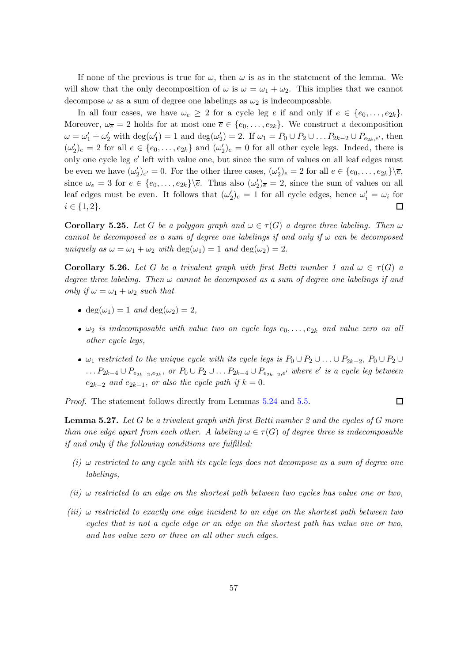If none of the previous is true for  $\omega$ , then  $\omega$  is as in the statement of the lemma. We will show that the only decomposition of  $\omega$  is  $\omega = \omega_1 + \omega_2$ . This implies that we cannot decompose  $\omega$  as a sum of degree one labelings as  $\omega_2$  is indecomposable.

In all four cases, we have  $\omega_e \geq 2$  for a cycle leg e if and only if  $e \in \{e_0, \ldots, e_{2k}\}.$ Moreover,  $\omega_{\bar{e}} = 2$  holds for at most one  $\bar{e} \in \{e_0, \ldots, e_{2k}\}.$  We construct a decomposition  $\omega = \omega_1' + \omega_2'$  with  $\deg(\omega_1') = 1$  and  $\deg(\omega_2') = 2$ . If  $\omega_1 = P_0 \cup P_2 \cup \ldots P_{2k-2} \cup P_{e_{2k},e'}$ , then  $(\omega'_2)_e = 2$  for all  $e \in \{e_0, \ldots, e_{2k}\}\$  and  $(\omega'_2)_e = 0$  for all other cycle legs. Indeed, there is only one cycle leg  $e'$  left with value one, but since the sum of values on all leaf edges must be even we have  $(\omega'_2)_{e'} = 0$ . For the other three cases,  $(\omega'_2)_e = 2$  for all  $e \in \{e_0, \ldots, e_{2k}\}\backslash \overline{e}$ , since  $\omega_e = 3$  for  $e \in \{e_0, \ldots, e_{2k}\}\setminus\overline{e}$ . Thus also  $(\omega'_2)_{\overline{e}} = 2$ , since the sum of values on all leaf edges must be even. It follows that  $(\omega'_2)_e = 1$  for all cycle edges, hence  $\omega'_i = \omega_i$  for  $i \in \{1, 2\}.$  $\Box$ 

<span id="page-64-2"></span>**Corollary 5.25.** Let G be a polygon graph and  $\omega \in \tau(G)$  a degree three labeling. Then  $\omega$ cannot be decomposed as a sum of degree one labelings if and only if  $\omega$  can be decomposed uniquely as  $\omega = \omega_1 + \omega_2$  with  $\deg(\omega_1) = 1$  and  $\deg(\omega_2) = 2$ .

<span id="page-64-0"></span>**Corollary 5.26.** Let G be a trivalent graph with first Betti number 1 and  $\omega \in \tau(G)$  a degree three labeling. Then  $\omega$  cannot be decomposed as a sum of degree one labelings if and only if  $\omega = \omega_1 + \omega_2$  such that

- deg( $\omega_1$ ) = 1 and deg( $\omega_2$ ) = 2,
- $\omega_2$  is indecomposable with value two on cycle legs  $e_0, \ldots, e_{2k}$  and value zero on all other cycle legs,
- $\omega_1$  restricted to the unique cycle with its cycle legs is  $P_0 \cup P_2 \cup \ldots \cup P_{2k-2}$ ,  $P_0 \cup P_2 \cup \ldots \cup P_{2k-2}$  $\ldots P_{2k-4}\cup P_{e_{2k-2},e_{2k}}$ , or  $P_0\cup P_2\cup \ldots P_{2k-4}\cup P_{e_{2k-2},e'}$  where  $e'$  is a cycle leg between  $e_{2k-2}$  and  $e_{2k-1}$ , or also the cycle path if  $k = 0$ .

 $\Box$ 

Proof. The statement follows directly from Lemmas [5.24](#page-61-1) and [5.5.](#page-50-1)

<span id="page-64-1"></span>**Lemma 5.27.** Let G be a trivalent graph with first Betti number 2 and the cycles of G more than one edge apart from each other. A labeling  $\omega \in \tau(G)$  of degree three is indecomposable if and only if the following conditions are fulfilled:

- (i)  $\omega$  restricted to any cycle with its cycle legs does not decompose as a sum of degree one labelings,
- (ii)  $\omega$  restricted to an edge on the shortest path between two cycles has value one or two,
- $(iii)$  ω restricted to exactly one edge incident to an edge on the shortest path between two cycles that is not a cycle edge or an edge on the shortest path has value one or two, and has value zero or three on all other such edges.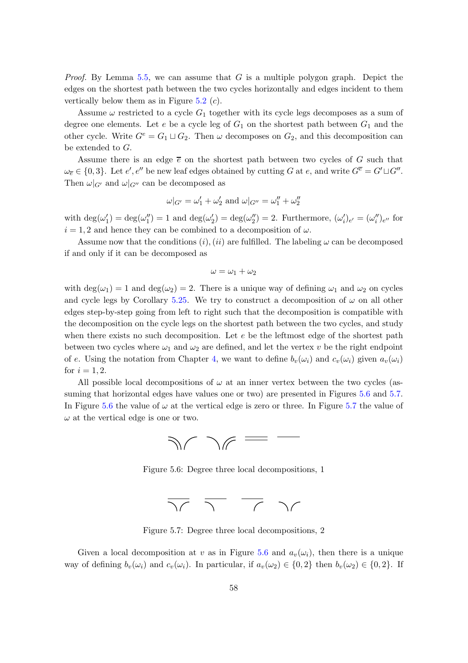*Proof.* By Lemma [5.5,](#page-50-1) we can assume that G is a multiple polygon graph. Depict the edges on the shortest path between the two cycles horizontally and edges incident to them vertically below them as in Figure  $5.2$  (c).

Assume  $\omega$  restricted to a cycle  $G_1$  together with its cycle legs decomposes as a sum of degree one elements. Let  $e$  be a cycle leg of  $G_1$  on the shortest path between  $G_1$  and the other cycle. Write  $G^e = G_1 \sqcup G_2$ . Then  $\omega$  decomposes on  $G_2$ , and this decomposition can be extended to G.

Assume there is an edge  $\bar{e}$  on the shortest path between two cycles of G such that  $\omega_{\overline{e}} \in \{0,3\}$ . Let  $e', e''$  be new leaf edges obtained by cutting G at e, and write  $G^{\overline{e}} = G' \sqcup G''$ . Then  $\omega|_{G'}$  and  $\omega|_{G''}$  can be decomposed as

$$
\omega|_{G'} = \omega'_1 + \omega'_2
$$
 and  $\omega|_{G''} = \omega''_1 + \omega''_2$ 

with  $\deg(\omega'_1) = \deg(\omega''_1) = 1$  and  $\deg(\omega'_2) = \deg(\omega''_2) = 2$ . Furthermore,  $(\omega'_i)_{e'} = (\omega''_i)_{e''}$  for  $i = 1, 2$  and hence they can be combined to a decomposition of  $\omega$ .

Assume now that the conditions  $(i)$ ,  $(ii)$  are fulfilled. The labeling  $\omega$  can be decomposed if and only if it can be decomposed as

$$
\omega=\omega_1+\omega_2
$$

with  $\deg(\omega_1) = 1$  and  $\deg(\omega_2) = 2$ . There is a unique way of defining  $\omega_1$  and  $\omega_2$  on cycles and cycle legs by Corollary [5.25.](#page-64-2) We try to construct a decomposition of  $\omega$  on all other edges step-by-step going from left to right such that the decomposition is compatible with the decomposition on the cycle legs on the shortest path between the two cycles, and study when there exists no such decomposition. Let  $e$  be the leftmost edge of the shortest path between two cycles where  $\omega_1$  and  $\omega_2$  are defined, and let the vertex v be the right endpoint of e. Using the notation from Chapter [4,](#page-38-0) we want to define  $b_v(\omega_i)$  and  $c_v(\omega_i)$  given  $a_v(\omega_i)$ for  $i = 1, 2$ .

<span id="page-65-0"></span>All possible local decompositions of  $\omega$  at an inner vertex between the two cycles (as-suming that horizontal edges have values one or two) are presented in Figures [5.6](#page-65-0) and [5.7.](#page-65-1) In Figure [5.6](#page-65-0) the value of  $\omega$  at the vertical edge is zero or three. In Figure [5.7](#page-65-1) the value of  $\omega$  at the vertical edge is one or two.



Figure 5.6: Degree three local decompositions, 1



Figure 5.7: Degree three local decompositions, 2

<span id="page-65-1"></span>Given a local decomposition at v as in Figure [5.6](#page-65-0) and  $a_v(\omega_i)$ , then there is a unique way of defining  $b_v(\omega_i)$  and  $c_v(\omega_i)$ . In particular, if  $a_v(\omega_2) \in \{0,2\}$  then  $b_v(\omega_2) \in \{0,2\}$ . If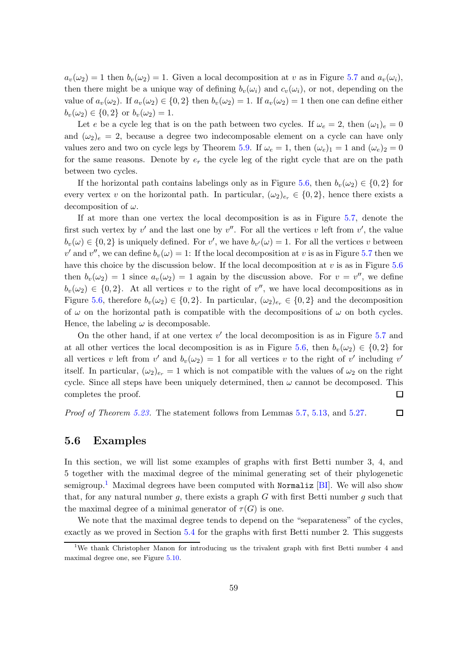$a_v(\omega_2) = 1$  then  $b_v(\omega_2) = 1$ . Given a local decomposition at v as in Figure [5.7](#page-65-1) and  $a_v(\omega_i)$ , then there might be a unique way of defining  $b_v(\omega_i)$  and  $c_v(\omega_i)$ , or not, depending on the value of  $a_v(\omega_2)$ . If  $a_v(\omega_2) \in \{0,2\}$  then  $b_v(\omega_2) = 1$ . If  $a_v(\omega_2) = 1$  then one can define either  $b_v(\omega_2) \in \{0, 2\}$  or  $b_v(\omega_2) = 1$ .

Let e be a cycle leg that is on the path between two cycles. If  $\omega_e = 2$ , then  $(\omega_1)_e = 0$ and  $(\omega_2)_e = 2$ , because a degree two indecomposable element on a cycle can have only values zero and two on cycle legs by Theorem [5.9.](#page-51-1) If  $\omega_e = 1$ , then  $(\omega_e)_1 = 1$  and  $(\omega_e)_2 = 0$ for the same reasons. Denote by  $e_r$  the cycle leg of the right cycle that are on the path between two cycles.

If the horizontal path contains labelings only as in Figure [5.6,](#page-65-0) then  $b_v(\omega_2) \in \{0,2\}$  for every vertex v on the horizontal path. In particular,  $(\omega_2)_{e_r} \in \{0,2\}$ , hence there exists a decomposition of  $\omega$ .

If at more than one vertex the local decomposition is as in Figure [5.7,](#page-65-1) denote the first such vertex by  $v'$  and the last one by  $v''$ . For all the vertices v left from  $v'$ , the value  $b_v(\omega) \in \{0, 2\}$  is uniquely defined. For v', we have  $b_{v'}(\omega) = 1$ . For all the vertices v between v' and v'', we can define  $b_v(\omega) = 1$ : If the local decomposition at v is as in Figure [5.7](#page-65-1) then we have this choice by the discussion below. If the local decomposition at  $v$  is as in Figure [5.6](#page-65-0) then  $b_v(\omega_2) = 1$  since  $a_v(\omega_2) = 1$  again by the discussion above. For  $v = v''$ , we define  $b_v(\omega_2) \in \{0, 2\}$ . At all vertices v to the right of v'', we have local decompositions as in Figure [5.6,](#page-65-0) therefore  $b_v(\omega_2) \in \{0,2\}$ . In particular,  $(\omega_2)_{e_r} \in \{0,2\}$  and the decomposition of  $\omega$  on the horizontal path is compatible with the decompositions of  $\omega$  on both cycles. Hence, the labeling  $\omega$  is decomposable.

On the other hand, if at one vertex  $v'$  the local decomposition is as in Figure [5.7](#page-65-1) and at all other vertices the local decomposition is as in Figure [5.6,](#page-65-0) then  $b_v(\omega_2) \in \{0,2\}$  for all vertices v left from  $v'$  and  $b_v(\omega_2) = 1$  for all vertices v to the right of v' including v' itself. In particular,  $(\omega_2)_{e_r} = 1$  which is not compatible with the values of  $\omega_2$  on the right cycle. Since all steps have been uniquely determined, then  $\omega$  cannot be decomposed. This completes the proof. 囗

Proof of Theorem [5.23.](#page-61-0) The statement follows from Lemmas [5.7,](#page-51-2) [5.13,](#page-53-2) and [5.27.](#page-64-1)  $\Box$ 

#### 5.6 Examples

In this section, we will list some examples of graphs with first Betti number 3, 4, and 5 together with the maximal degree of the minimal generating set of their phylogenetic semigroup.<sup>[1](#page-66-0)</sup> Maximal degrees have been computed with Normaliz [\[BI\]](#page-88-4). We will also show that, for any natural number g, there exists a graph  $G$  with first Betti number  $g$  such that the maximal degree of a minimal generator of  $\tau(G)$  is one.

We note that the maximal degree tends to depend on the "separateness" of the cycles, exactly as we proved in Section [5.4](#page-54-0) for the graphs with first Betti number 2. This suggests

<span id="page-66-0"></span><sup>&</sup>lt;sup>1</sup>We thank Christopher Manon for introducing us the trivalent graph with first Betti number 4 and maximal degree one, see Figure [5.10.](#page-68-0)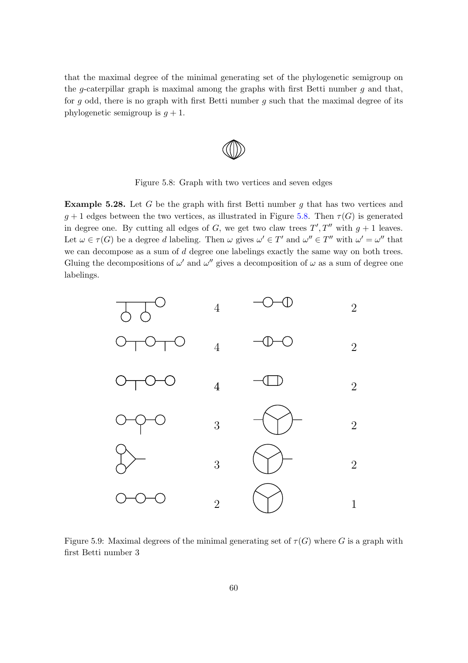<span id="page-67-0"></span>that the maximal degree of the minimal generating set of the phylogenetic semigroup on the g-caterpillar graph is maximal among the graphs with first Betti number  $g$  and that, for g odd, there is no graph with first Betti number g such that the maximal degree of its phylogenetic semigroup is  $g + 1$ .

Figure 5.8: Graph with two vertices and seven edges

**Example 5.28.** Let G be the graph with first Betti number  $q$  that has two vertices and  $g + 1$  edges between the two vertices, as illustrated in Figure [5.8.](#page-67-0) Then  $\tau(G)$  is generated in degree one. By cutting all edges of G, we get two claw trees  $T', T''$  with  $g + 1$  leaves. Let  $\omega \in \tau(G)$  be a degree d labeling. Then  $\omega$  gives  $\omega' \in T'$  and  $\omega'' \in T''$  with  $\omega' = \omega''$  that we can decompose as a sum of d degree one labelings exactly the same way on both trees. Gluing the decompositions of  $\omega'$  and  $\omega''$  gives a decomposition of  $\omega$  as a sum of degree one labelings.



Figure 5.9: Maximal degrees of the minimal generating set of  $\tau(G)$  where G is a graph with first Betti number 3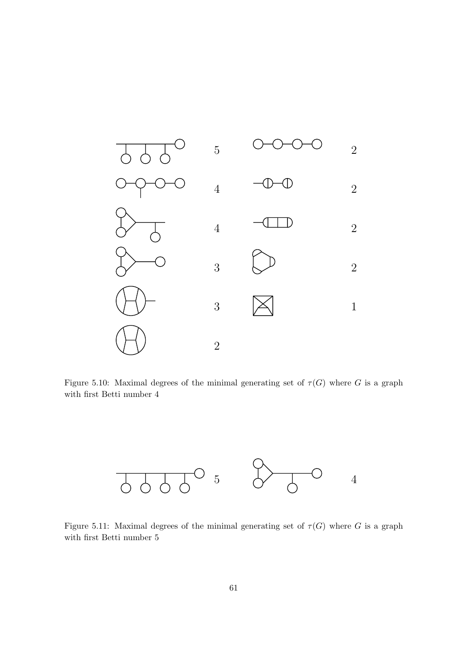<span id="page-68-0"></span>

Figure 5.10: Maximal degrees of the minimal generating set of  $\tau(G)$  where G is a graph with first Betti number 4



Figure 5.11: Maximal degrees of the minimal generating set of  $\tau(G)$  where G is a graph with first Betti number 5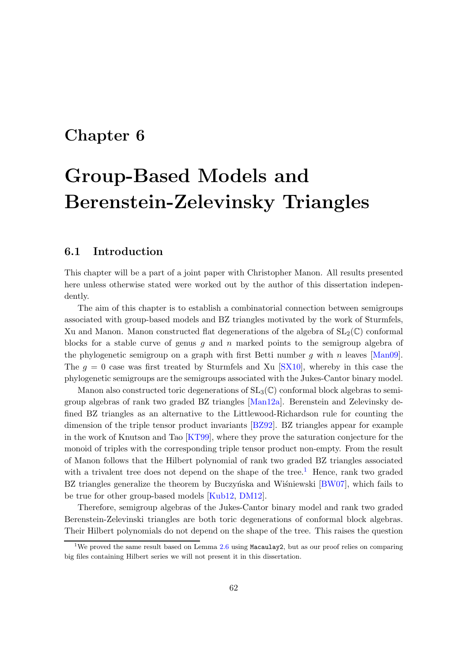## Chapter 6

# Group-Based Models and Berenstein-Zelevinsky Triangles

### 6.1 Introduction

This chapter will be a part of a joint paper with Christopher Manon. All results presented here unless otherwise stated were worked out by the author of this dissertation independently.

The aim of this chapter is to establish a combinatorial connection between semigroups associated with group-based models and BZ triangles motivated by the work of Sturmfels, Xu and Manon. Manon constructed flat degenerations of the algebra of  $SL_2(\mathbb{C})$  conformal blocks for a stable curve of genus q and  $n$  marked points to the semigroup algebra of the phylogenetic semigroup on a graph with first Betti number q with n leaves  $[Man09]$ . The  $g = 0$  case was first treated by Sturmfels and Xu [\[SX10\]](#page-91-1), whereby in this case the phylogenetic semigroups are the semigroups associated with the Jukes-Cantor binary model.

Manon also constructed toric degenerations of  $SL_3(\mathbb{C})$  conformal block algebras to semigroup algebras of rank two graded BZ triangles [\[Man12a\]](#page-90-4). Berenstein and Zelevinsky defined BZ triangles as an alternative to the Littlewood-Richardson rule for counting the dimension of the triple tensor product invariants [\[BZ92\]](#page-88-5). BZ triangles appear for example in the work of Knutson and Tao [\[KT99\]](#page-90-5), where they prove the saturation conjecture for the monoid of triples with the corresponding triple tensor product non-empty. From the result of Manon follows that the Hilbert polynomial of rank two graded BZ triangles associated with a trivalent tree does not depend on the shape of the tree.<sup>[1](#page-69-0)</sup> Hence, rank two graded BZ triangles generalize the theorem by Buczyńska and Wisniewski [\[BW07\]](#page-88-2), which fails to be true for other group-based models [\[Kub12,](#page-90-6) [DM12\]](#page-88-3).

Therefore, semigroup algebras of the Jukes-Cantor binary model and rank two graded Berenstein-Zelevinski triangles are both toric degenerations of conformal block algebras. Their Hilbert polynomials do not depend on the shape of the tree. This raises the question

<span id="page-69-0"></span><sup>&</sup>lt;sup>1</sup>We proved the same result based on Lemma [2.6](#page-24-0) using Macaulay2, but as our proof relies on comparing big files containing Hilbert series we will not present it in this dissertation.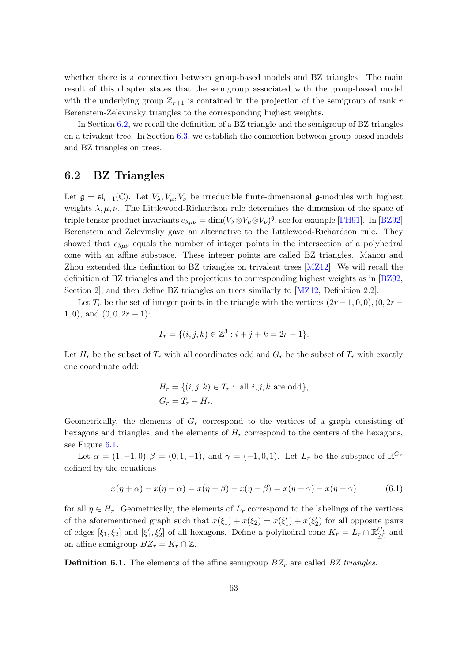whether there is a connection between group-based models and BZ triangles. The main result of this chapter states that the semigroup associated with the group-based model with the underlying group  $\mathbb{Z}_{r+1}$  is contained in the projection of the semigroup of rank r Berenstein-Zelevinsky triangles to the corresponding highest weights.

In Section [6.2,](#page-70-0) we recall the definition of a BZ triangle and the semigroup of BZ triangles on a trivalent tree. In Section [6.3,](#page-73-0) we establish the connection between group-based models and BZ triangles on trees.

#### <span id="page-70-0"></span>6.2 BZ Triangles

Let  $\mathfrak{g} = \mathfrak{sl}_{r+1}(\mathbb{C})$ . Let  $V_{\lambda}, V_{\mu}, V_{\nu}$  be irreducible finite-dimensional g-modules with highest weights  $\lambda, \mu, \nu$ . The Littlewood-Richardson rule determines the dimension of the space of triple tensor product invariants  $c_{\lambda\mu\nu} = \dim(V_{\lambda} \otimes V_{\mu} \otimes V_{\nu})^{\mathfrak{g}}$ , see for example [\[FH91\]](#page-89-0). In [\[BZ92\]](#page-88-5) Berenstein and Zelevinsky gave an alternative to the Littlewood-Richardson rule. They showed that  $c_{\lambda\mu\nu}$  equals the number of integer points in the intersection of a polyhedral cone with an affine subspace. These integer points are called BZ triangles. Manon and Zhou extended this definition to BZ triangles on trivalent trees [\[MZ12\]](#page-90-7). We will recall the definition of BZ triangles and the projections to corresponding highest weights as in [\[BZ92,](#page-88-5) Section 2], and then define BZ triangles on trees similarly to [\[MZ12,](#page-90-7) Definition 2.2].

Let  $T_r$  be the set of integer points in the triangle with the vertices  $(2r-1,0,0), (0, 2r-1)$  $1, 0$ , and  $(0, 0, 2r - 1)$ :

$$
T_r = \{ (i, j, k) \in \mathbb{Z}^3 : i + j + k = 2r - 1 \}.
$$

Let  $H_r$  be the subset of  $T_r$  with all coordinates odd and  $G_r$  be the subset of  $T_r$  with exactly one coordinate odd:

$$
H_r = \{(i, j, k) \in T_r : \text{ all } i, j, k \text{ are odd}\},\
$$
  

$$
G_r = T_r - H_r.
$$

Geometrically, the elements of  $G_r$  correspond to the vertices of a graph consisting of hexagons and triangles, and the elements of  $H_r$  correspond to the centers of the hexagons, see Figure [6.1.](#page-71-0)

Let  $\alpha = (1, -1, 0), \beta = (0, 1, -1),$  and  $\gamma = (-1, 0, 1)$ . Let  $L_r$  be the subspace of  $\mathbb{R}^{G_r}$ defined by the equations

$$
x(\eta + \alpha) - x(\eta - \alpha) = x(\eta + \beta) - x(\eta - \beta) = x(\eta + \gamma) - x(\eta - \gamma)
$$
(6.1)

for all  $\eta \in H_r$ . Geometrically, the elements of  $L_r$  correspond to the labelings of the vertices of the aforementioned graph such that  $x(\xi_1) + x(\xi_2) = x(\xi_1') + x(\xi_2')$  for all opposite pairs of edges  $[\xi_1, \xi_2]$  and  $[\xi'_1, \xi'_2]$  of all hexagons. Define a polyhedral cone  $K_r = L_r \cap \mathbb{R}_{\geq 0}^{G_r}$  and an affine semigroup  $BZ_r = K_r \cap \mathbb{Z}$ .

**Definition 6.1.** The elements of the affine semigroup  $BZ_r$  are called BZ triangles.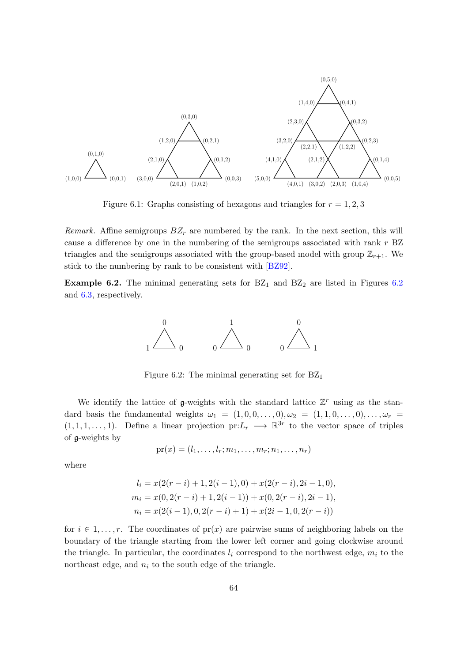<span id="page-71-0"></span>

Figure 6.1: Graphs consisting of hexagons and triangles for  $r = 1, 2, 3$ 

Remark. Affine semigroups  $BZ_r$  are numbered by the rank. In the next section, this will cause a difference by one in the numbering of the semigroups associated with rank  $r$  BZ triangles and the semigroups associated with the group-based model with group  $\mathbb{Z}_{r+1}$ . We stick to the numbering by rank to be consistent with [\[BZ92\]](#page-88-5).

<span id="page-71-1"></span>**Example [6.2](#page-71-1).** The minimal generating sets for  $BZ_1$  and  $BZ_2$  are listed in Figures 6.2 and [6.3,](#page-72-0) respectively.



Figure 6.2: The minimal generating set for  $BZ_1$ 

We identify the lattice of  $g$ -weights with the standard lattice  $\mathbb{Z}^r$  using as the standard basis the fundamental weights  $\omega_1 = (1, 0, 0, \ldots, 0), \omega_2 = (1, 1, 0, \ldots, 0), \ldots, \omega_r =$  $(1, 1, 1, \ldots, 1)$ . Define a linear projection pr: $L_r \longrightarrow \mathbb{R}^{3r}$  to the vector space of triples of g-weights by

$$
\mathrm{pr}(x)=(l_1,\ldots,l_r;m_1,\ldots,m_r;n_1,\ldots,n_r)
$$

where

$$
l_i = x(2(r - i) + 1, 2(i - 1), 0) + x(2(r - i), 2i - 1, 0),
$$
  
\n
$$
m_i = x(0, 2(r - i) + 1, 2(i - 1)) + x(0, 2(r - i), 2i - 1),
$$
  
\n
$$
n_i = x(2(i - 1), 0, 2(r - i) + 1) + x(2i - 1, 0, 2(r - i))
$$

for  $i \in 1, \ldots, r$ . The coordinates of  $pr(x)$  are pairwise sums of neighboring labels on the boundary of the triangle starting from the lower left corner and going clockwise around the triangle. In particular, the coordinates  $l_i$  correspond to the northwest edge,  $m_i$  to the northeast edge, and  $n_i$  to the south edge of the triangle.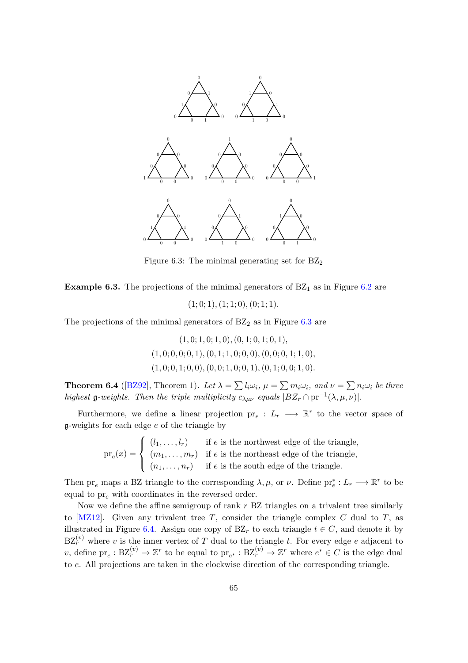<span id="page-72-0"></span>

Figure 6.3: The minimal generating set for  $BZ_2$ 

<span id="page-72-1"></span>**Example 6.3.** The projections of the minimal generators of  $BZ_1$  as in Figure [6.2](#page-71-0) are

 $(1; 0; 1), (1; 1; 0), (0; 1; 1).$ 

The projections of the minimal generators of  $BZ<sub>2</sub>$  as in Figure [6.3](#page-72-0) are

 $(1, 0; 1, 0; 1, 0), (0, 1; 0, 1; 0, 1),$  $(1, 0; 0, 0; 0, 1), (0, 1; 1, 0; 0, 0), (0, 0; 0, 1; 1, 0),$  $(1, 0; 0, 1; 0, 0), (0, 0; 1, 0; 0, 1), (0, 1; 0, 0; 1, 0).$ 

<span id="page-72-2"></span>**Theorem 6.4** ([\[BZ92\]](#page-88-0), Theorem 1). Let  $\lambda = \sum l_i \omega_i$ ,  $\mu = \sum m_i \omega_i$ , and  $\nu = \sum n_i \omega_i$  be three highest **g**-weights. Then the triple multiplicity  $c_{\lambda\mu\nu}$  equals  $|BZ_r \cap pr^{-1}(\lambda, \mu, \nu)|$ .

Furthermore, we define a linear projection  $pr_e: L_r \longrightarrow \mathbb{R}^r$  to the vector space of  $g$ -weights for each edge  $e$  of the triangle by

> $pr_e(x) =$  $\sqrt{ }$  $\int$  $\overline{\mathcal{L}}$  $(l_1, \ldots, l_r)$  if e is the northwest edge of the triangle,  $(m_1, \ldots, m_r)$  if e is the northeast edge of the triangle,  $(n_1, \ldots, n_r)$  if e is the south edge of the triangle.

Then  ${\rm pr}_e$  maps a BZ triangle to the corresponding  $\lambda, \mu$ , or  $\nu$ . Define  ${\rm pr}_e^*: L_r \longrightarrow \mathbb{R}^r$  to be equal to  $pr_e$  with coordinates in the reversed order.

Now we define the affine semigroup of rank  $r$  BZ triangles on a trivalent tree similarly to  $[MZ12]$ . Given any trivalent tree T, consider the triangle complex C dual to T, as illustrated in Figure [6.4.](#page-73-0) Assign one copy of  $BZ_r$  to each triangle  $t \in C$ , and denote it by  $BZ_r^{(v)}$  where v is the inner vertex of T dual to the triangle t. For every edge e adjacent to v, define  $\text{pr}_e : \text{BZ}_r^{(v)} \to \mathbb{Z}^r$  to be equal to  $\text{pr}_{e^*} : \text{BZ}_r^{(v)} \to \mathbb{Z}^r$  where  $e^* \in C$  is the edge dual to e. All projections are taken in the clockwise direction of the corresponding triangle.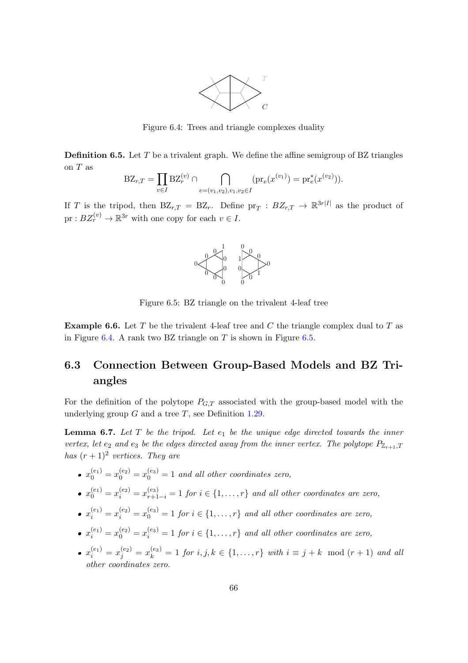

Figure 6.4: Trees and triangle complexes duality

<span id="page-73-0"></span>**Definition 6.5.** Let  $T$  be a trivalent graph. We define the affine semigroup of BZ triangles on  ${\cal T}$  as

$$
\text{BZ}_{r,T} = \prod_{v \in I} \text{BZ}_{r}^{(v)} \cap \bigcap_{e = (v_1, v_2), v_1, v_2 \in I} (\text{pr}_e(x^{(v_1)}) = \text{pr}_e^*(x^{(v_2)})).
$$

<span id="page-73-1"></span>If T is the tripod, then  $BZ_{r,T} = BZ_r$ . Define  $pr_T : BZ_{r,T} \to \mathbb{R}^{3r|I|}$  as the product of  $pr: BZ_r^{(v)} \to \mathbb{R}^{3r}$  with one copy for each  $v \in I$ .



Figure 6.5: BZ triangle on the trivalent 4-leaf tree

**Example 6.6.** Let T be the trivalent 4-leaf tree and C the triangle complex dual to T as in Figure [6.4.](#page-73-0) A rank two BZ triangle on  $T$  is shown in Figure [6.5.](#page-73-1)

#### 6.3 Connection Between Group-Based Models and BZ Triangles

For the definition of the polytope  $P_{G,T}$  associated with the group-based model with the underlying group  $G$  and a tree  $T$ , see Definition [1.29.](#page-18-0)

**Lemma 6.7.** Let  $T$  be the tripod. Let  $e_1$  be the unique edge directed towards the inner vertex, let  $e_2$  and  $e_3$  be the edges directed away from the inner vertex. The polytope  $P_{\mathbb{Z}_{r+1},T}$ has  $(r+1)^2$  vertices. They are

- $x_0^{(e_1)} = x_0^{(e_2)} = x_0^{(e_3)} = 1$  and all other coordinates zero,
- $x_0^{(e_1)} = x_i^{(e_2)} = x_{r+1-i}^{(e_3)} = 1$  for  $i \in \{1, ..., r\}$  and all other coordinates are zero,
- $x_i^{(e_1)} = x_i^{(e_2)} = x_0^{(e_3)} = 1$  for  $i \in \{1, \ldots, r\}$  and all other coordinates are zero,
- $x_i^{(e_1)} = x_0^{(e_2)} = x_i^{(e_3)} = 1$  for  $i \in \{1, \ldots, r\}$  and all other coordinates are zero,
- $x_i^{(e_1)} = x_j^{(e_2)} = x_k^{(e_3)} = 1$  for  $i, j, k \in \{1, ..., r\}$  with  $i \equiv j + k \mod(r + 1)$  and all other coordinates zero.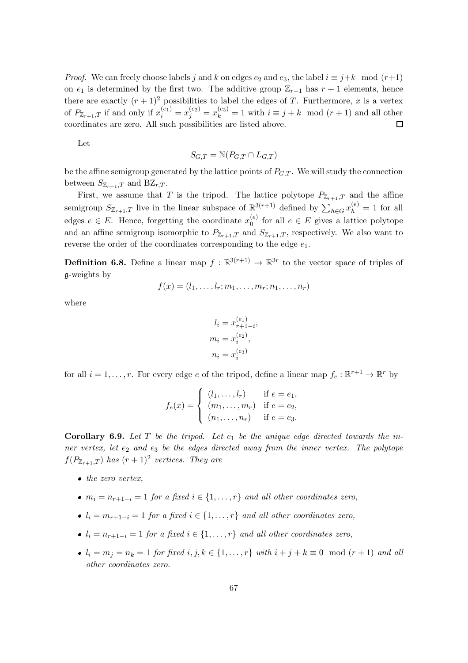*Proof.* We can freely choose labels j and k on edges  $e_2$  and  $e_3$ , the label  $i \equiv j+k \mod (r+1)$ on  $e_1$  is determined by the first two. The additive group  $\mathbb{Z}_{r+1}$  has  $r+1$  elements, hence there are exactly  $(r + 1)^2$  possibilities to label the edges of T. Furthermore, x is a vertex of  $P_{\mathbb{Z}_{r+1},T}$  if and only if  $x_i^{(e_1)} = x_j^{(e_2)} = x_k^{(e_3)} = 1$  with  $i \equiv j+k \mod(r+1)$  and all other coordinates are zero. All such possibilities are listed above.  $\Box$ 

Let

$$
S_{G,T} = \mathbb{N}(P_{G,T} \cap L_{G,T})
$$

be the affine semigroup generated by the lattice points of  $P_{GT}$ . We will study the connection between  $S_{\mathbb{Z}_{r+1},T}$  and  $BZ_{r,T}$ .

First, we assume that T is the tripod. The lattice polytope  $P_{\mathbb{Z}_{r+1},T}$  and the affine semigroup  $S_{\mathbb{Z}_{r+1},T}$  live in the linear subspace of  $\mathbb{R}^{3(r+1)}$  defined by  $\sum_{h\in G}x_h^{(e)}=1$  for all edges  $e \in E$ . Hence, forgetting the coordinate  $x_0^{(e)}$  $\binom{e}{0}$  for all  $e \in E$  gives a lattice polytope and an affine semigroup isomorphic to  $P_{\mathbb{Z}_{r+1},T}$  and  $S_{\mathbb{Z}_{r+1},T}$ , respectively. We also want to reverse the order of the coordinates corresponding to the edge  $e_1$ .

**Definition 6.8.** Define a linear map  $f : \mathbb{R}^{3(r+1)} \to \mathbb{R}^{3r}$  to the vector space of triples of g-weights by

$$
f(x)=(l_1,\ldots,l_r;m_1,\ldots,m_r;n_1,\ldots,n_r)
$$

where

$$
l_i = x_{r+1-i}^{(e_1)},
$$
  
\n
$$
m_i = x_i^{(e_2)},
$$
  
\n
$$
n_i = x_i^{(e_3)}
$$

for all  $i = 1, \ldots, r$ . For every edge e of the tripod, define a linear map  $f_e : \mathbb{R}^{r+1} \to \mathbb{R}^r$  by

$$
f_e(x) = \begin{cases} (l_1, \dots, l_r) & \text{if } e = e_1, \\ (m_1, \dots, m_r) & \text{if } e = e_2, \\ (n_1, \dots, n_r) & \text{if } e = e_3. \end{cases}
$$

**Corollary 6.9.** Let T be the tripod. Let  $e_1$  be the unique edge directed towards the inner vertex, let  $e_2$  and  $e_3$  be the edges directed away from the inner vertex. The polytope  $f(P_{\mathbb{Z}_{r+1},T})$  has  $(r+1)^2$  vertices. They are

- $\bullet$  the zero vertex,
- $m_i = n_{r+1-i} = 1$  for a fixed  $i \in \{1, ..., r\}$  and all other coordinates zero,
- $l_i = m_{r+1-i} = 1$  for a fixed  $i \in \{1, \ldots, r\}$  and all other coordinates zero,
- $l_i = n_{r+1-i} = 1$  for a fixed  $i \in \{1, \ldots, r\}$  and all other coordinates zero,
- $l_i = m_j = n_k = 1$  for fixed  $i, j, k \in \{1, \ldots, r\}$  with  $i + j + k \equiv 0 \mod(r + 1)$  and all other coordinates zero.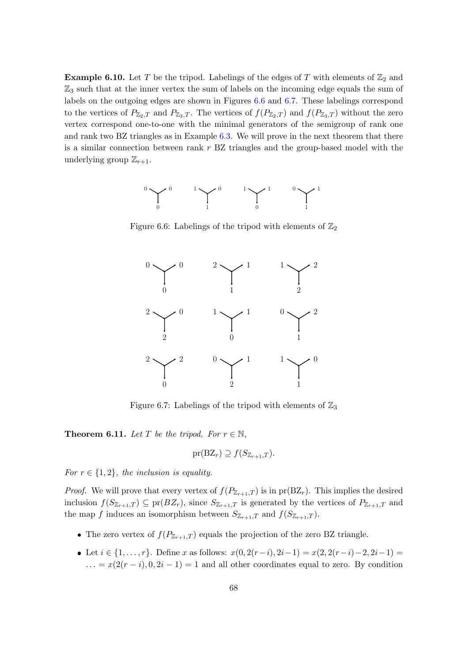<span id="page-75-2"></span>**Example 6.10.** Let T be the tripod. Labelings of the edges of T with elements of  $\mathbb{Z}_2$  and  $\mathbb{Z}_3$  such that at the inner vertex the sum of labels on the incoming edge equals the sum of labels on the outgoing edges are shown in Figures [6.6](#page-75-0) and [6.7.](#page-75-1) These labelings correspond to the vertices of  $P_{\mathbb{Z}_2,T}$  and  $P_{\mathbb{Z}_3,T}$ . The vertices of  $f(P_{\mathbb{Z}_2,T})$  and  $f(P_{\mathbb{Z}_3,T})$  without the zero vertex correspond one-to-one with the minimal generators of the semigroup of rank one and rank two BZ triangles as in Example [6.3.](#page-72-1) We will prove in the next theorem that there is a similar connection between rank r BZ triangles and the group-based model with the underlying group  $\mathbb{Z}_{r+1}$ .

<span id="page-75-0"></span>

<span id="page-75-1"></span>Figure 6.6: Labelings of the tripod with elements of  $\mathbb{Z}_2$ 



Figure 6.7: Labelings of the tripod with elements of  $\mathbb{Z}_3$ 

<span id="page-75-3"></span>**Theorem 6.11.** Let T be the tripod. For  $r \in \mathbb{N}$ ,

$$
\mathrm{pr}(\mathrm{BZ}_r) \supseteq f(S_{\mathbb{Z}_{r+1},T}).
$$

For  $r \in \{1, 2\}$ , the inclusion is equality.

*Proof.* We will prove that every vertex of  $f(P_{\mathbb{Z}_{r+1},T})$  is in pr(BZ<sub>r</sub>). This implies the desired inclusion  $f(S_{\mathbb{Z}_{r+1},T}) \subseteq \text{pr}(B\mathbb{Z}_r)$ , since  $S_{\mathbb{Z}_{r+1},T}$  is generated by the vertices of  $P_{\mathbb{Z}_{r+1},T}$  and the map f induces an isomorphism between  $S_{\mathbb{Z}_{r+1},T}$  and  $f(S_{\mathbb{Z}_{r+1},T})$ .

- The zero vertex of  $f(P_{\mathbb{Z}_{r+1},T})$  equals the projection of the zero BZ triangle.
- Let  $i \in \{1, \ldots, r\}$ . Define x as follows:  $x(0, 2(r-i), 2i-1) = x(2, 2(r-i)-2, 2i-1) =$  $\ldots = x(2(r - i), 0, 2i - 1) = 1$  and all other coordinates equal to zero. By condition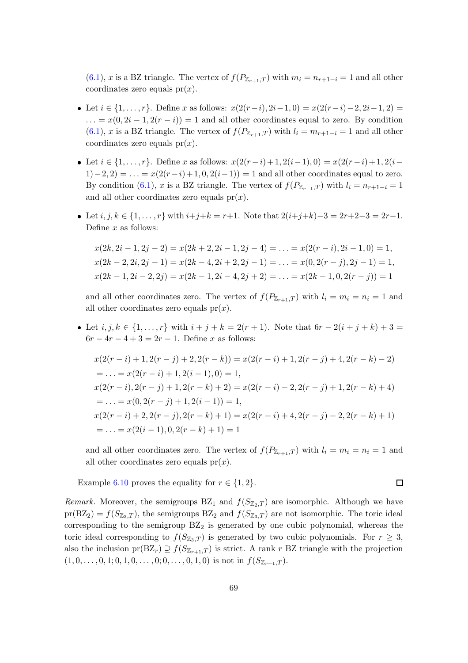$(6.1)$ , x is a BZ triangle. The vertex of  $f(P_{\mathbb{Z}_{r+1},T})$  with  $m_i = n_{r+1-i} = 1$  and all other coordinates zero equals  $pr(x)$ .

- Let  $i \in \{1, \ldots, r\}$ . Define x as follows:  $x(2(r-i), 2i-1, 0) = x(2(r-i)-2, 2i-1, 2) =$  $\dots = x(0, 2i - 1, 2(r - i)) = 1$  and all other coordinates equal to zero. By condition [\(6.1\)](#page-70-0), x is a BZ triangle. The vertex of  $f(P_{\mathbb{Z}_{r+1},T})$  with  $l_i = m_{r+1-i} = 1$  and all other coordinates zero equals  $pr(x)$ .
- Let  $i \in \{1, \ldots, r\}$ . Define x as follows:  $x(2(r-i)+1, 2(i-1), 0) = x(2(r-i)+1, 2(i-1))$  $1(-2, 2) = ... = x(2(r-i)+1, 0, 2(i-1)) = 1$  and all other coordinates equal to zero. By condition [\(6.1\)](#page-70-0), x is a BZ triangle. The vertex of  $f(P_{\mathbb{Z}_{r+1},T})$  with  $l_i = n_{r+1-i} = 1$ and all other coordinates zero equals  $pr(x)$ .
- Let  $i, j, k \in \{1, ..., r\}$  with  $i+j+k = r+1$ . Note that  $2(i+j+k)-3 = 2r+2-3 = 2r-1$ . Define  $x$  as follows:

$$
x(2k, 2i - 1, 2j - 2) = x(2k + 2, 2i - 1, 2j - 4) = \dots = x(2(r - i), 2i - 1, 0) = 1,
$$
  
\n
$$
x(2k - 2, 2i, 2j - 1) = x(2k - 4, 2i + 2, 2j - 1) = \dots = x(0, 2(r - j), 2j - 1) = 1,
$$
  
\n
$$
x(2k - 1, 2i - 2, 2j) = x(2k - 1, 2i - 4, 2j + 2) = \dots = x(2k - 1, 0, 2(r - j)) = 1
$$

and all other coordinates zero. The vertex of  $f(P_{\mathbb{Z}_{r+1},T})$  with  $l_i = m_i = n_i = 1$  and all other coordinates zero equals  $pr(x)$ .

• Let  $i, j, k \in \{1, ..., r\}$  with  $i + j + k = 2(r + 1)$ . Note that  $6r - 2(i + j + k) + 3 =$  $6r - 4r - 4 + 3 = 2r - 1$ . Define x as follows:

$$
x(2(r-i)+1, 2(r-j)+2, 2(r-k)) = x(2(r-i)+1, 2(r-j)+4, 2(r-k)-2)
$$
  
\n
$$
= \dots = x(2(r-i)+1, 2(i-1), 0) = 1,
$$
  
\n
$$
x(2(r-i), 2(r-j)+1, 2(r-k)+2) = x(2(r-i)-2, 2(r-j)+1, 2(r-k)+4)
$$
  
\n
$$
= \dots = x(0, 2(r-j)+1, 2(i-1)) = 1,
$$
  
\n
$$
x(2(r-i)+2, 2(r-j), 2(r-k)+1) = x(2(r-i)+4, 2(r-j)-2, 2(r-k)+1)
$$
  
\n
$$
= \dots = x(2(i-1), 0, 2(r-k)+1) = 1
$$

and all other coordinates zero. The vertex of  $f(P_{\mathbb{Z}_{r+1},T})$  with  $l_i = m_i = n_i = 1$  and all other coordinates zero equals  $pr(x)$ .

Example [6.10](#page-75-2) proves the equality for  $r \in \{1,2\}$ .

 $\Box$ 

*Remark.* Moreover, the semigroups  $BZ_1$  and  $f(S_{Z_2,T})$  are isomorphic. Although we have  $pr(BZ_2) = f(S_{\mathbb{Z}_3,T})$ , the semigroups  $BZ_2$  and  $f(S_{\mathbb{Z}_3,T})$  are not isomorphic. The toric ideal corresponding to the semigroup  $BZ_2$  is generated by one cubic polynomial, whereas the toric ideal corresponding to  $f(S_{\mathbb{Z}_3,T})$  is generated by two cubic polynomials. For  $r \geq 3$ , also the inclusion  $pr(BZ_r) \supseteq f(S_{\mathbb{Z}_{r+1},T})$  is strict. A rank r BZ triangle with the projection  $(1, 0, \ldots, 0, 1; 0, 1, 0, \ldots, 0; 0, \ldots, 0, 1, 0)$  is not in  $f(S_{\mathbb{Z}_{r+1},T})$ .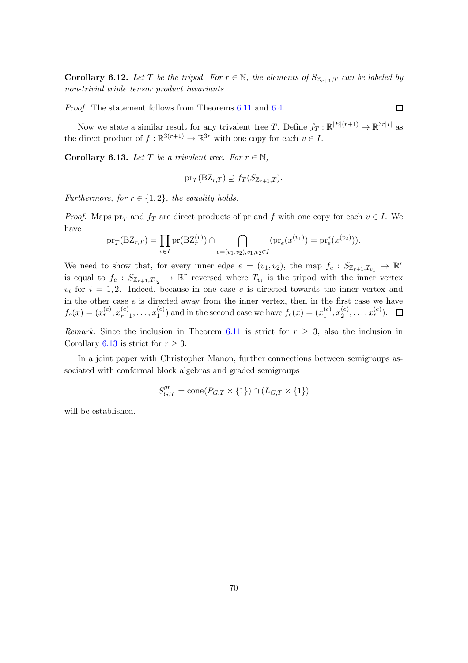**Corollary 6.12.** Let T be the tripod. For  $r \in \mathbb{N}$ , the elements of  $S_{\mathbb{Z}_{r+1},T}$  can be labeled by non-trivial triple tensor product invariants.

Proof. The statement follows from Theorems [6.11](#page-75-3) and [6.4.](#page-72-2)

Now we state a similar result for any trivalent tree T. Define  $f_T : \mathbb{R}^{|E|(r+1)} \to \mathbb{R}^{3r|I|}$  as the direct product of  $f : \mathbb{R}^{3(r+1)} \to \mathbb{R}^{3r}$  with one copy for each  $v \in I$ .

<span id="page-77-0"></span>**Corollary 6.13.** Let T be a trivalent tree. For  $r \in \mathbb{N}$ ,

$$
\mathrm{pr}_{T}(\mathrm{BZ}_{r,T}) \supseteq f_{T}(S_{\mathbb{Z}_{r+1},T}).
$$

Furthermore, for  $r \in \{1, 2\}$ , the equality holds.

*Proof.* Maps  $pr_T$  and  $f_T$  are direct products of pr and f with one copy for each  $v \in I$ . We have

$$
\mathrm{pr}_{T}(\mathrm{BZ}_{r,T}) = \prod_{v \in I} \mathrm{pr}(\mathrm{BZ}_{r}^{(v)}) \cap \bigcap_{e=(v_{1},v_{2}),v_{1},v_{2} \in I} (\mathrm{pr}_{e}(x^{(v_{1})}) = \mathrm{pr}_{e}^{*}(x^{(v_{2})})).
$$

We need to show that, for every inner edge  $e = (v_1, v_2)$ , the map  $f_e : S_{\mathbb{Z}_{r+1}, T_{v_1}} \to \mathbb{R}^r$ is equal to  $f_e$ :  $S_{\mathbb{Z}_{r+1},T_{v_2}} \to \mathbb{R}^r$  reversed where  $T_{v_i}$  is the tripod with the inner vertex  $v_i$  for  $i = 1, 2$ . Indeed, because in one case e is directed towards the inner vertex and in the other case  $e$  is directed away from the inner vertex, then in the first case we have  $f_e(x) = (x_r^{(e)}, x_{r-}^{(e)})$  $_{r-1}^{(e)}, \ldots, x_1^{(e)}$  $1<sup>(e)</sup>$ ) and in the second case we have  $f_e(x) = (x_1^{(e)})$  $_1^{(e)}, x_2^{(e)}$  $\binom{(e)}{2}, \ldots, x_r^{(e)}$ .

Remark. Since the inclusion in Theorem [6.11](#page-75-3) is strict for  $r \geq 3$ , also the inclusion in Corollary [6.13](#page-77-0) is strict for  $r > 3$ .

In a joint paper with Christopher Manon, further connections between semigroups associated with conformal block algebras and graded semigroups

$$
S_{G,T}^{gr} = \text{cone}(P_{G,T} \times \{1\}) \cap (L_{G,T} \times \{1\})
$$

will be established.

 $\Box$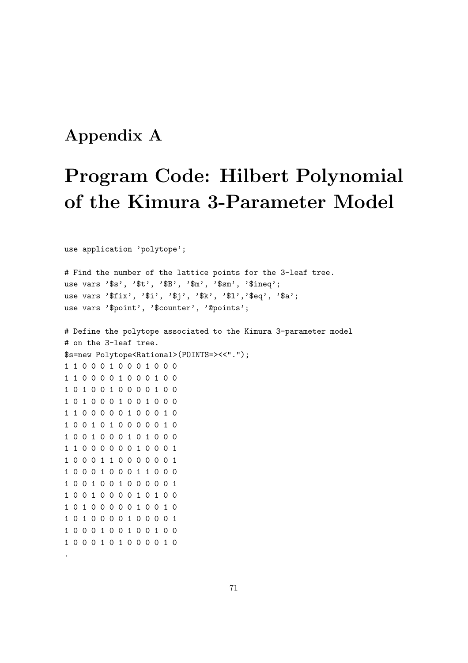#### Appendix A

# Program Code: Hilbert Polynomial of the Kimura 3-Parameter Model

use application 'polytope';

.

# Find the number of the lattice points for the 3-leaf tree. use vars '\$s', '\$t', '\$B', '\$m', '\$sm', '\$ineq'; use vars '\$fix', '\$i', '\$j', '\$k', '\$1','\$eq', '\$a'; use vars '\$point', '\$counter', '@points'; # Define the polytope associated to the Kimura 3-parameter model # on the 3-leaf tree. \$s=new Polytope<Rational>(POINTS=><<"."); 1 1 0 0 0 1 0 0 0 1 0 0 0 1 1 0 0 0 0 1 0 0 0 1 0 0 1 0 1 0 0 1 0 0 0 0 1 0 0 1 0 1 0 0 0 1 0 0 1 0 0 0 1 1 0 0 0 0 0 1 0 0 0 1 0 1 0 0 1 0 1 0 0 0 0 0 1 0 1 0 0 1 0 0 0 1 0 1 0 0 0 1 1 0 0 0 0 0 0 1 0 0 0 1 1 0 0 0 1 1 0 0 0 0 0 0 1 1 0 0 0 1 0 0 0 1 1 0 0 0 1 0 0 1 0 0 1 0 0 0 0 0 1 1 0 0 1 0 0 0 0 1 0 1 0 0 1 0 1 0 0 0 0 0 1 0 0 1 0 1 0 1 0 0 0 0 1 0 0 0 0 1 1 0 0 0 1 0 0 1 0 0 1 0 0 1 0 0 0 1 0 1 0 0 0 0 1 0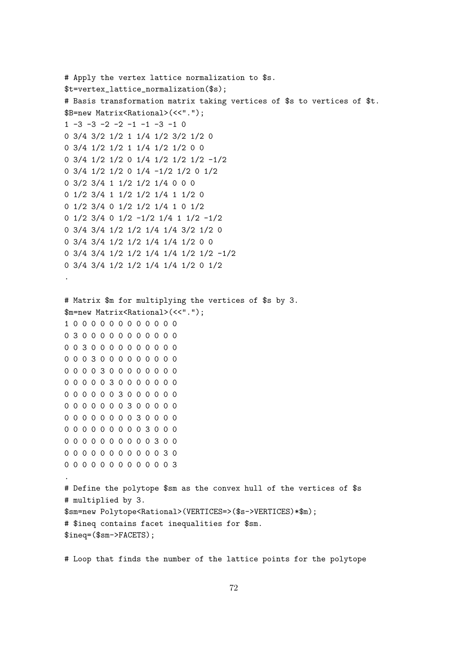```
# Apply the vertex lattice normalization to $s.
$t=vertex_lattice_normalization($s);
# Basis transformation matrix taking vertices of $s to vertices of $t.
$B=new Matrix<Rational>(<<".");
1 -3 -3 -2 -2 -1 -1 -3 -1 00 3/4 3/2 1/2 1 1/4 1/2 3/2 1/2 0
0 3/4 1/2 1/2 1 1/4 1/2 1/2 0 0
0 3/4 1/2 1/2 0 1/4 1/2 1/2 1/2 -1/2
0 3/4 1/2 1/2 0 1/4 -1/2 1/2 0 1/2
0 3/2 3/4 1 1/2 1/2 1/4 0 0 0
0 1/2 3/4 1 1/2 1/2 1/4 1 1/2 0
0 1/2 3/4 0 1/2 1/2 1/4 1 0 1/2
0 1/2 3/4 0 1/2 -1/2 1/4 1 1/2 -1/2
0 3/4 3/4 1/2 1/2 1/4 1/4 3/2 1/2 0
0 3/4 3/4 1/2 1/2 1/4 1/4 1/2 0 0
0 3/4 3/4 1/2 1/2 1/4 1/4 1/2 1/2 -1/2
0 3/4 3/4 1/2 1/2 1/4 1/4 1/2 0 1/2
.
# Matrix $m for multiplying the vertices of $s by 3.
$m=new Matrix<Rational>(<<".");
1 0 0 0 0 0 0 0 0 0 0 0 0
0 3 0 0 0 0 0 0 0 0 0 0 0
0 0 3 0 0 0 0 0 0 0 0 0 0
0 0 0 3 0 0 0 0 0 0 0 0 0
0 0 0 0 3 0 0 0 0 0 0 0 0
0 0 0 0 0 3 0 0 0 0 0 0 0
0 0 0 0 0 0 3 0 0 0 0 0 0
0 0 0 0 0 0 0 3 0 0 0 0 0
0 0 0 0 0 0 0 0 3 0 0 0 0
0 0 0 0 0 0 0 0 0 3 0 0 0
0 0 0 0 0 0 0 0 0 0 3 0 0
0 0 0 0 0 0 0 0 0 0 0 3 0
0 0 0 0 0 0 0 0 0 0 0 0 3
.
# Define the polytope $sm as the convex hull of the vertices of $s
# multiplied by 3.
$sm=new Polytope<Rational>(VERTICES=>($s->VERTICES)*$m);
# $ineq contains facet inequalities for $sm.
$ineq=($sm->FACETS);
```
# Loop that finds the number of the lattice points for the polytope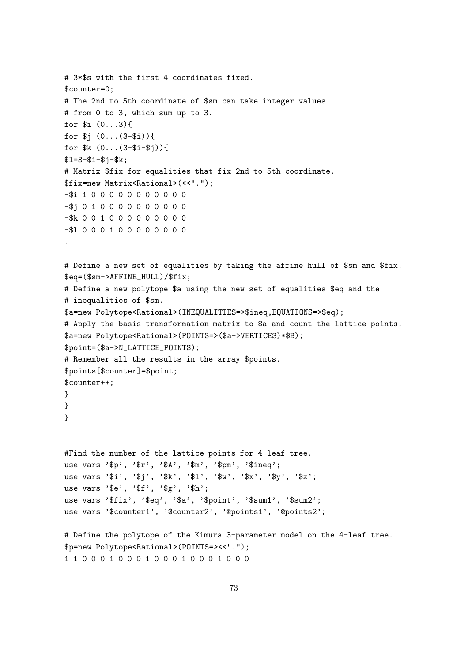```
# 3*$s with the first 4 coordinates fixed.
$counter=0;
# The 2nd to 5th coordinate of $sm can take integer values
# from 0 to 3, which sum up to 3.
for i(0...3){
for \$j (0... (3-\$i)){
for k (0... (3 - 1) ) {
$1=3-$i-$j-$k;# Matrix $fix for equalities that fix 2nd to 5th coordinate.
$fix=new Matrix<Rational>(<<".");
-$i 100000000000
-$i 0 1 0 0 0 0 0 0 0 0 0 0
-$k 0 0 1 0 0 0 0 0 0 0 0 0 0
-$1000100000000# Define a new set of equalities by taking the affine hull of $sm and $fix.
\text{Seq} = (\text{Sm-}\text{AFFINE_HULL}) / \text{fix};# Define a new polytope $a using the new set of equalities $eq and the
# inequalities of $sm.
$a=new Polytope<Rational>(INEQUALITIES=>$ineq,EQUATIONS=>$eq);
# Apply the basis transformation matrix to $a and count the lattice points.
$a=new Polytope<Rational>(POINTS=>($a->VERTICES)*$B);
$point=($a->N_LATTICE_POINTS);
# Remember all the results in the array $points.
$points[$counter]=$point;
% counter++;\mathcal{L}\mathcal{F}\mathcal{L}#Find the number of the lattice points for 4-leaf tree.
use vars '$p', '$r', '$A', '$m', '$pm', '$ineq';
use vars '$i', '$j', '$k', '$1', '$w', '$x', '$y', '$z';
use vars '$e', '$f', '$g', '$h';
use vars '$fix', '$eq', '$a', '$point', '$sum1', '$sum2';
use vars '$counter1', '$counter2', '@points1', '@points2';
# Define the polytope of the Kimura 3-parameter model on the 4-leaf tree.
$p=new Polytope<Rational>(POINTS=><<".");
110001000100010001000
```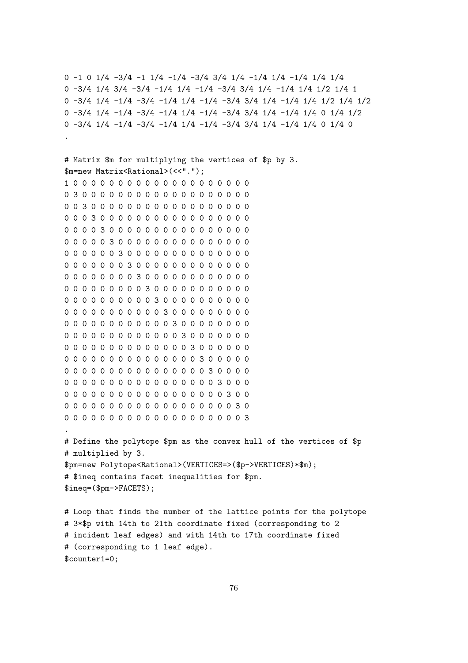0 -1 0 1/4 -3/4 -1 1/4 -1/4 -3/4 3/4 1/4 -1/4 1/4 -1/4 1/4 1/4 0 -3/4 1/4 3/4 -3/4 -1/4 1/4 -1/4 -3/4 3/4 1/4 -1/4 1/4 1/2 1/4 1 0 -3/4 1/4 -1/4 -3/4 -1/4 1/4 -1/4 -3/4 3/4 1/4 -1/4 1/4 1/2 1/4 1/2 0 -3/4 1/4 -1/4 -3/4 -1/4 1/4 -1/4 -3/4 3/4 1/4 -1/4 1/4 0 1/4 1/2 0 -3/4 1/4 -1/4 -3/4 -1/4 1/4 -1/4 -3/4 3/4 1/4 -1/4 1/4 0 1/4 0 .

```
# Matrix $m for multiplying the vertices of $p by 3.
$m=new Matrix<Rational>(<<".");
1 0 0 0 0 0 0 0 0 0 0 0 0 0 0 0 0 0 0 0 0
0 3 0 0 0 0 0 0 0 0 0 0 0 0 0 0 0 0 0 0 0
0 0 3 0 0 0 0 0 0 0 0 0 0 0 0 0 0 0 0 0 0
0 0 0 3 0 0 0 0 0 0 0 0 0 0 0 0 0 0 0 0 0
0 0 0 0 3 0 0 0 0 0 0 0 0 0 0 0 0 0 0 0 0
0 0 0 0 0 3 0 0 0 0 0 0 0 0 0 0 0 0 0 0 0
0 0 0 0 0 0 3 0 0 0 0 0 0 0 0 0 0 0 0 0 0
0 0 0 0 0 0 0 3 0 0 0 0 0 0 0 0 0 0 0 0 0
0 0 0 0 0 0 0 0 3 0 0 0 0 0 0 0 0 0 0 0 0
0 0 0 0 0 0 0 0 0 3 0 0 0 0 0 0 0 0 0 0 0
0 0 0 0 0 0 0 0 0 0 3 0 0 0 0 0 0 0 0 0 0
0 0 0 0 0 0 0 0 0 0 0 3 0 0 0 0 0 0 0 0 0
0 0 0 0 0 0 0 0 0 0 0 0 3 0 0 0 0 0 0 0 0
0 0 0 0 0 0 0 0 0 0 0 0 0 3 0 0 0 0 0 0 0
0 0 0 0 0 0 0 0 0 0 0 0 0 0 3 0 0 0 0 0 0
0 0 0 0 0 0 0 0 0 0 0 0 0 0 0 3 0 0 0 0 0
0 0 0 0 0 0 0 0 0 0 0 0 0 0 0 0 3 0 0 0 0
0 0 0 0 0 0 0 0 0 0 0 0 0 0 0 0 0 3 0 0 0
0 0 0 0 0 0 0 0 0 0 0 0 0 0 0 0 0 0 3 0 0
0 0 0 0 0 0 0 0 0 0 0 0 0 0 0 0 0 0 0 3 0
0 0 0 0 0 0 0 0 0 0 0 0 0 0 0 0 0 0 0 0 3
.
# Define the polytope $pm as the convex hull of the vertices of $p
# multiplied by 3.
$pm=new Polytope<Rational>(VERTICES=>($p->VERTICES)*$m);
# $ineq contains facet inequalities for $pm.
$ineq=($pm->FACETS);
# Loop that finds the number of the lattice points for the polytope
# 3*$p with 14th to 21th coordinate fixed (corresponding to 2
# incident leaf edges) and with 14th to 17th coordinate fixed
```
# (corresponding to 1 leaf edge). \$counter1=0;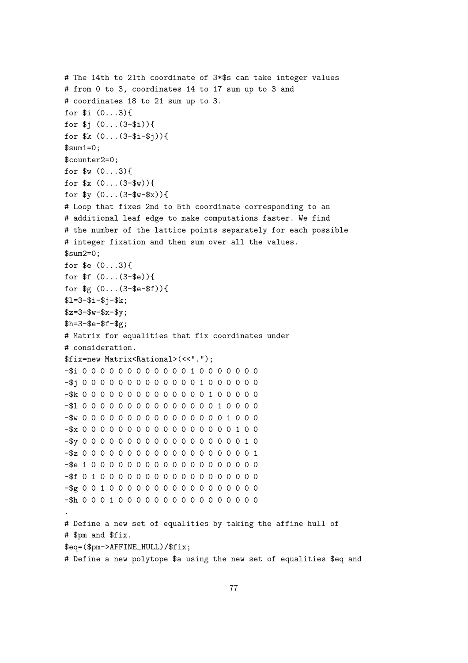```
# The 14th to 21th coordinate of 3*$s can take integer values
# from 0 to 3, coordinates 14 to 17 sum up to 3 and
# coordinates 18 to 21 sum up to 3.
for i (0...3){
for j(0... (3-3i))for k (0... (3 - 1 - 1))$sum1=0:
$counter2=0;
for w(0...3){
for x(0... (3- w))for y(0... (3-sw-sx)) {
# Loop that fixes 2nd to 5th coordinate corresponding to an
# additional leaf edge to make computations faster. We find
# the number of the lattice points separately for each possible
# integer fixation and then sum over all the values.
$sum2=0;for \text{$\$e$} (0...3) {
for f(0... (3-8e))for g(0... (3 - 2 - 1))$1=3-$i-$j-$k;$z=3-$w-$x-$y;h = 3 - 8e - 5f - 8g:
# Matrix for equalities that fix coordinates under
# consideration.
$fix=new Matrix<Rational>(<<".");
-$j00000000000001000000
-$100000000000000010000-$w 0 0 0 0 0 0 0 0 0 0 0 0 0 0 0 0 1 0 0 0
-$x 0 0 0 0 0 0 0 0 0 0 0 0 0 0 0 0 0 1 0 0
-$y 0 0 0 0 0 0 0 0 0 0 0 0 0 0 0 0 0 0 1 0
-$z 0 0 0 0 0 0 0 0 0 0 0 0 0 0 0 0 0 0 1
# Define a new set of equalities by taking the affine hull of
# $pm and $fix.
\text{Seq} = (\text{Spm} \rightarrow \text{AFFINE_HULL}) / \text{Siix};# Define a new polytope $a using the new set of equalities $eq and
```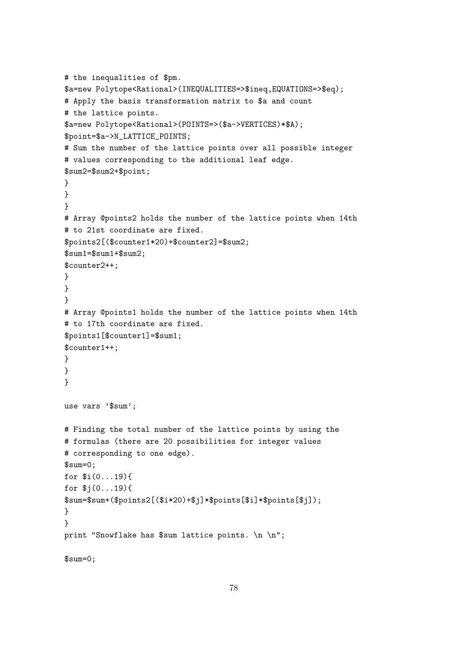```
# the inequalities of $pm.
$a=new Polytope<Rational>(INEQUALITIES=>$ineq,EQUATIONS=>$eq);
# Apply the basis transformation matrix to $a and count
# the lattice points.
$a=new Polytope<Rational>(POINTS=>($a->VERTICES)*$A);
$point=$a->N_LATTICE_POINTS;
# Sum the number of the lattice points over all possible integer
# values corresponding to the additional leaf edge.
$sum2=$sum2+$point;
}
}
}
# Array @points2 holds the number of the lattice points when 14th
# to 21st coordinate are fixed.
$points2[($counter1*20)+$counter2]=$sum2;
$sum1=$sum1+$sum2;
$counter2++;
}
}
}
# Array @points1 holds the number of the lattice points when 14th
# to 17th coordinate are fixed.
$points1[$counter1]=$sum1;
$counter1++;
}
}
}
use vars '$sum';
# Finding the total number of the lattice points by using the
# formulas (there are 20 possibilities for integer values
# corresponding to one edge).
$sum=0;
for $i(0...19){
for $j(0...19){
$sum=$sum+($points2[($i*20)+$j]*$points[$i]*$points[$j]);
}
}
print "Snowflake has $sum lattice points. \n \n";
```
\$sum=0;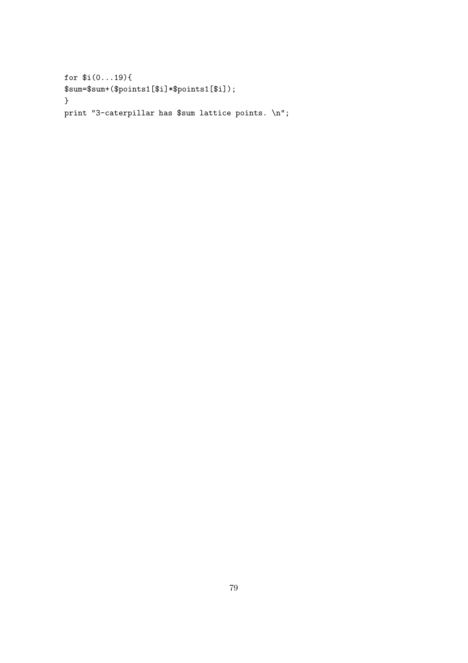```
for (i(0...19){
\\ $sum=\$sum+(\$points1[\$i]*\$points1[\$i])\; ;\mathcal{F}
```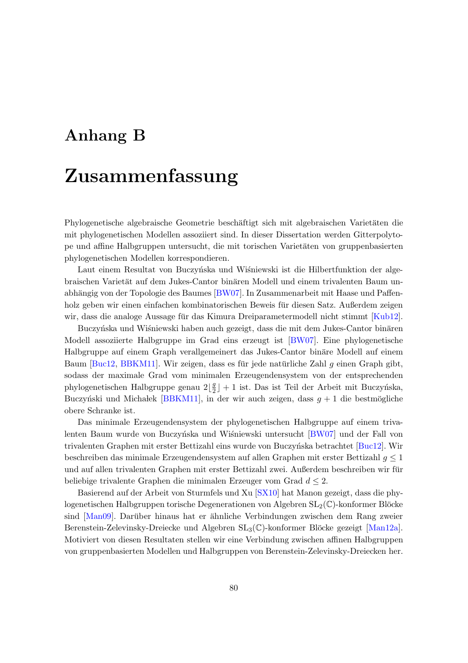### Anhang B

# Zusammenfassung

Phylogenetische algebraische Geometrie beschäftigt sich mit algebraischen Varietäten die mit phylogenetischen Modellen assoziiert sind. In dieser Dissertation werden Gitterpolytope und affine Halbgruppen untersucht, die mit torischen Varietäten von gruppenbasierten phylogenetischen Modellen korrespondieren.

Laut einem Resultat von Buczyńska und Wiśniewski ist die Hilbertfunktion der algebraischen Varietät auf dem Jukes-Cantor binären Modell und einem trivalenten Baum un-abhängig von der Topologie des Baumes [\[BW07\]](#page-88-1). In Zusammenarbeit mit Haase und Paffenholz geben wir einen einfachen kombinatorischen Beweis fur diesen Satz. Außerdem zeigen ¨ wir, dass die analoge Aussage für das Kimura Dreiparametermodell nicht stimmt [[Kub12\]](#page-90-1).

Buczyńska und Wiśniewski haben auch gezeigt, dass die mit dem Jukes-Cantor binären Modell assoziierte Halbgruppe im Grad eins erzeugt ist [\[BW07\]](#page-88-1). Eine phylogenetische Halbgruppe auf einem Graph verallgemeinert das Jukes-Cantor binäre Modell auf einem Baum [\[Buc12,](#page-88-2) [BBKM11\]](#page-88-3). Wir zeigen, dass es für jede natürliche Zahl  $q$  einen Graph gibt, sodass der maximale Grad vom minimalen Erzeugendensystem von der entsprechenden phylogenetischen Halbgruppe genau  $2\left\lfloor \frac{g}{2}\right\rfloor$  $\frac{g}{2}$ ] + 1 ist. Das ist Teil der Arbeit mit Buczyńska, Buczyński und Michałek [\[BBKM11\]](#page-88-3), in der wir auch zeigen, dass  $g + 1$  die bestmögliche obere Schranke ist.

Das minimale Erzeugendensystem der phylogenetischen Halbgruppe auf einem triva-lenten Baum wurde von Buczyńska und Wiśniewski untersucht [\[BW07\]](#page-88-1) und der Fall von trivalenten Graphen mit erster Bettizahl eins wurde von Buczyńska betrachtet [\[Buc12\]](#page-88-2). Wir beschreiben das minimale Erzeugendensystem auf allen Graphen mit erster Bettizahl g ≤ 1 und auf allen trivalenten Graphen mit erster Bettizahl zwei. Außerdem beschreiben wir für beliebige trivalente Graphen die minimalen Erzeuger vom Grad  $d \leq 2$ .

Basierend auf der Arbeit von Sturmfels und Xu [\[SX10\]](#page-91-0) hat Manon gezeigt, dass die phylogenetischen Halbgruppen torische Degenerationen von Algebren  $SL_2(\mathbb{C})$ -konformer Blöcke  $\sin{\frac{M}{\text{an0}}}$ . Darüber hinaus hat er ähnliche Verbindungen zwischen dem Rang zweier Berenstein-Zelevinsky-Dreiecke und Algebren  $SL_3(\mathbb{C})$ -konformer Blöcke gezeigt [\[Man12a\]](#page-90-3). Motiviert von diesen Resultaten stellen wir eine Verbindung zwischen affinen Halbgruppen von gruppenbasierten Modellen und Halbgruppen von Berenstein-Zelevinsky-Dreiecken her.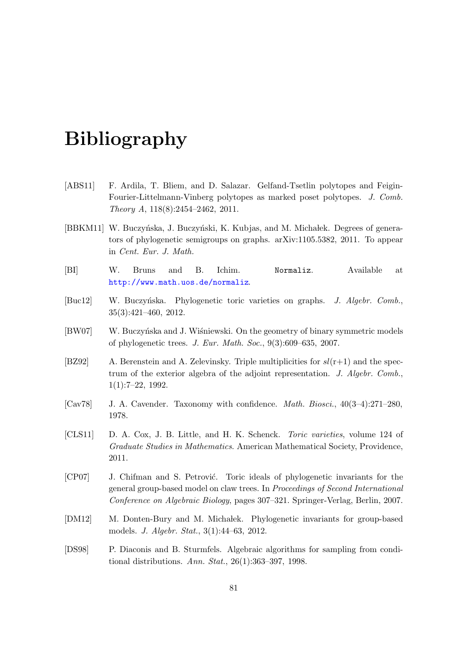# Bibliography

- [ABS11] F. Ardila, T. Bliem, and D. Salazar. Gelfand-Tsetlin polytopes and Feigin-Fourier-Littelmann-Vinberg polytopes as marked poset polytopes. J. Comb. Theory A, 118(8):2454–2462, 2011.
- <span id="page-88-3"></span>[BBKM11] W. Buczyńska, J. Buczyński, K. Kubjas, and M. Michałek. Degrees of generators of phylogenetic semigroups on graphs. arXiv:1105.5382, 2011. To appear in Cent. Eur. J. Math.
- [BI] W. Bruns and B. Ichim. Normaliz. Available at <http://www.math.uos.de/normaliz>.
- <span id="page-88-2"></span>[Buc12] W. Buczyńska. Phylogenetic toric varieties on graphs. J. Algebr. Comb., 35(3):421–460, 2012.
- <span id="page-88-1"></span>[BW07] W. Buczyńska and J. Wiśniewski. On the geometry of binary symmetric models of phylogenetic trees. J. Eur. Math. Soc., 9(3):609–635, 2007.
- <span id="page-88-0"></span>[BZ92] A. Berenstein and A. Zelevinsky. Triple multiplicities for  $sl(r+1)$  and the spectrum of the exterior algebra of the adjoint representation. J. Algebr. Comb., 1(1):7–22, 1992.
- [Cav78] J. A. Cavender. Taxonomy with confidence. Math. Biosci., 40(3–4):271–280, 1978.
- [CLS11] D. A. Cox, J. B. Little, and H. K. Schenck. Toric varieties, volume 124 of Graduate Studies in Mathematics. American Mathematical Society, Providence, 2011.
- [CP07] J. Chifman and S. Petrović. Toric ideals of phylogenetic invariants for the general group-based model on claw trees. In Proceedings of Second International Conference on Algebraic Biology, pages 307–321. Springer-Verlag, Berlin, 2007.
- [DM12] M. Donten-Bury and M. Michalek. Phylogenetic invariants for group-based models. J. Algebr. Stat., 3(1):44–63, 2012.
- [DS98] P. Diaconis and B. Sturmfels. Algebraic algorithms for sampling from conditional distributions. Ann. Stat., 26(1):363–397, 1998.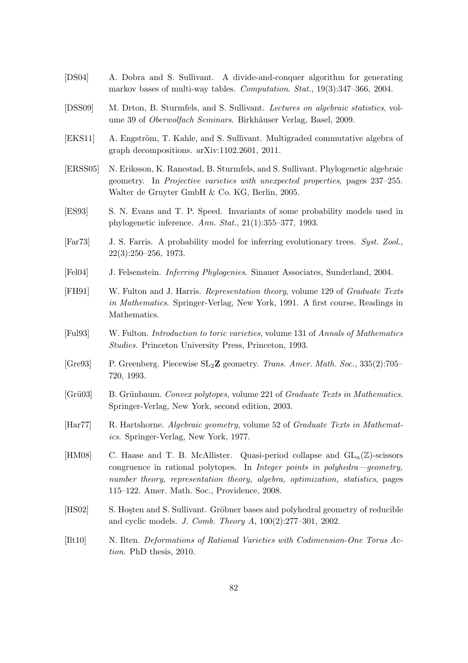- [DS04] A. Dobra and S. Sullivant. A divide-and-conquer algorithm for generating markov bases of multi-way tables. Computation. Stat., 19(3):347–366, 2004.
- [DSS09] M. Drton, B. Sturmfels, and S. Sullivant. Lectures on algebraic statistics, volume 39 of *Oberwolfach Seminars*. Birkhäuser Verlag, Basel, 2009.
- [EKS11] A. Engström, T. Kahle, and S. Sullivant. Multigraded commutative algebra of graph decompositions. arXiv:1102.2601, 2011.
- [ERSS05] N. Eriksson, K. Ranestad, B. Sturmfels, and S. Sullivant. Phylogenetic algebraic geometry. In Projective varieties with unexpected properties, pages 237–255. Walter de Gruyter GmbH & Co. KG, Berlin, 2005.
- [ES93] S. N. Evans and T. P. Speed. Invariants of some probability models used in phylogenetic inference. Ann. Stat., 21(1):355–377, 1993.
- [Far73] J. S. Farris. A probability model for inferring evolutionary trees. Syst. Zool., 22(3):250–256, 1973.
- [Fel04] J. Felsenstein. Inferring Phylogenies. Sinauer Associates, Sunderland, 2004.
- [FH91] W. Fulton and J. Harris. Representation theory, volume 129 of Graduate Texts in Mathematics. Springer-Verlag, New York, 1991. A first course, Readings in Mathematics.
- [Ful93] W. Fulton. Introduction to toric varieties, volume 131 of Annals of Mathematics Studies. Princeton University Press, Princeton, 1993.
- [Gre93] P. Greenberg. Piecewise SL2Z geometry. Trans. Amer. Math. Soc., 335(2):705– 720, 1993.
- [Grü03] B. Grünbaum. Convex polytopes, volume 221 of Graduate Texts in Mathematics. Springer-Verlag, New York, second edition, 2003.
- [Har77] R. Hartshorne. Algebraic geometry, volume 52 of Graduate Texts in Mathematics. Springer-Verlag, New York, 1977.
- [HM08] C. Haase and T. B. McAllister. Quasi-period collapse and  $GL_n(\mathbb{Z})$ -scissors congruence in rational polytopes. In Integer points in polyhedra—geometry, number theory, representation theory, algebra, optimization, statistics, pages 115–122. Amer. Math. Soc., Providence, 2008.
- [HS02] S. Hosten and S. Sullivant. Gröbner bases and polyhedral geometry of reducible and cyclic models. J. Comb. Theory A, 100(2):277–301, 2002.
- [Ilt10] N. Ilten. Deformations of Rational Varieties with Codimension-One Torus Action. PhD thesis, 2010.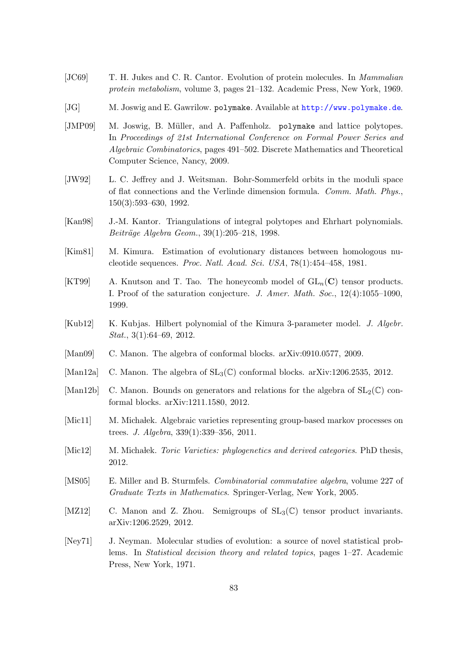- [JC69] T. H. Jukes and C. R. Cantor. Evolution of protein molecules. In Mammalian protein metabolism, volume 3, pages 21–132. Academic Press, New York, 1969.
- [JG] M. Joswig and E. Gawrilow. polymake. Available at <http://www.polymake.de>.
- [JMP09] M. Joswig, B. Müller, and A. Paffenholz. polymake and lattice polytopes. In Proceedings of 21st International Conference on Formal Power Series and Algebraic Combinatorics, pages 491–502. Discrete Mathematics and Theoretical Computer Science, Nancy, 2009.
- [JW92] L. C. Jeffrey and J. Weitsman. Bohr-Sommerfeld orbits in the moduli space of flat connections and the Verlinde dimension formula. Comm. Math. Phys., 150(3):593–630, 1992.
- [Kan98] J.-M. Kantor. Triangulations of integral polytopes and Ehrhart polynomials. Beiträge Algebra Geom., 39(1):205–218, 1998.
- [Kim81] M. Kimura. Estimation of evolutionary distances between homologous nucleotide sequences. Proc. Natl. Acad. Sci. USA, 78(1):454–458, 1981.
- [KT99] A. Knutson and T. Tao. The honeycomb model of  $GL_n(\mathbf{C})$  tensor products. I. Proof of the saturation conjecture. J. Amer. Math. Soc., 12(4):1055–1090, 1999.
- <span id="page-90-1"></span>[Kub12] K. Kubjas. Hilbert polynomial of the Kimura 3-parameter model. J. Algebr. *Stat.*,  $3(1):64-69$ ,  $2012$ .
- <span id="page-90-2"></span>[Man09] C. Manon. The algebra of conformal blocks. arXiv:0910.0577, 2009.
- <span id="page-90-3"></span>[Man12a] C. Manon. The algebra of  $SL_3(\mathbb{C})$  conformal blocks. arXiv:1206.2535, 2012.
- [Man12b] C. Manon. Bounds on generators and relations for the algebra of  $SL_2(\mathbb{C})$  conformal blocks. arXiv:1211.1580, 2012.
- [Mic11] M. Michałek. Algebraic varieties representing group-based markov processes on trees. J. Algebra, 339(1):339–356, 2011.
- [Mic12] M. Michałek. Toric Varieties: phylogenetics and derived categories. PhD thesis, 2012.
- [MS05] E. Miller and B. Sturmfels. Combinatorial commutative algebra, volume 227 of Graduate Texts in Mathematics. Springer-Verlag, New York, 2005.
- <span id="page-90-0"></span>[MZ12] C. Manon and Z. Zhou. Semigroups of  $SL_3(\mathbb{C})$  tensor product invariants. arXiv:1206.2529, 2012.
- [Ney71] J. Neyman. Molecular studies of evolution: a source of novel statistical problems. In Statistical decision theory and related topics, pages 1–27. Academic Press, New York, 1971.